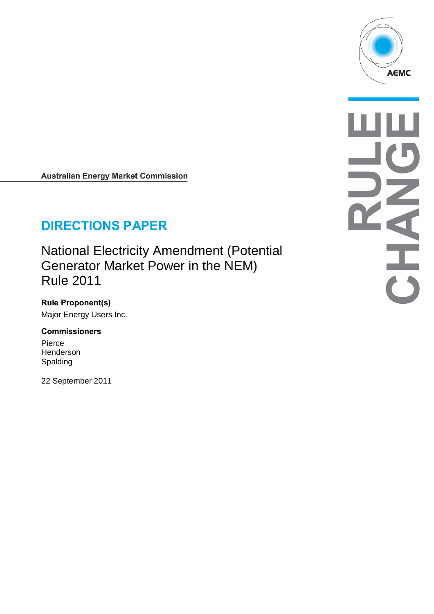

**Australian Energy Market Commission** 

# **DIRECTIONS PAPER**

National Electricity Amendment (Potential Generator Market Power in the NEM) Rule 2011

**Rule Proponent(s)** Major Energy Users Inc.

#### **Commissioners**

Pierce **Henderson** Spalding

22 September 2011

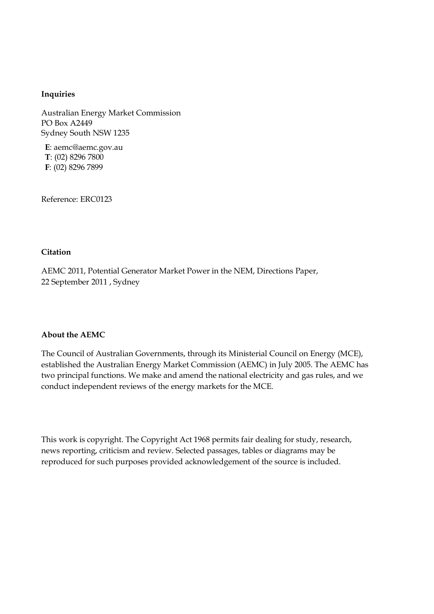#### **Inquiries**

Australian Energy Market Commission PO Box A2449 Sydney South NSW 1235

**E**: aemc@aemc.gov.au **T**: (02) 8296 7800 **F**: (02) 8296 7899

Reference: ERC0123

#### **Citation**

AEMC 2011, Potential Generator Market Power in the NEM, Directions Paper, 22 September 2011 , Sydney

#### **About the AEMC**

The Council of Australian Governments, through its Ministerial Council on Energy (MCE), established the Australian Energy Market Commission (AEMC) in July 2005. The AEMC has two principal functions. We make and amend the national electricity and gas rules, and we conduct independent reviews of the energy markets for the MCE.

This work is copyright. The Copyright Act 1968 permits fair dealing for study, research, news reporting, criticism and review. Selected passages, tables or diagrams may be reproduced for such purposes provided acknowledgement of the source is included.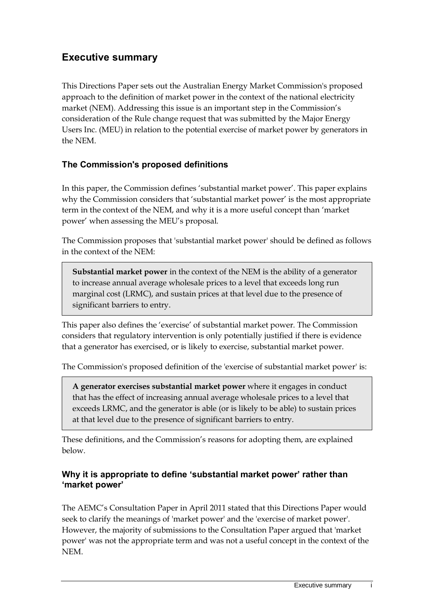# **Executive summary**

This Directions Paper sets out the Australian Energy Market Commission's proposed approach to the definition of market power in the context of the national electricity market (NEM). Addressing this issue is an important step in the Commission's consideration of the Rule change request that was submitted by the Major Energy Users Inc. (MEU) in relation to the potential exercise of market power by generators in the NEM.

## **The Commission's proposed definitions**

In this paper, the Commission defines 'substantial market power'. This paper explains why the Commission considers that 'substantial market power' is the most appropriate term in the context of the NEM, and why it is a more useful concept than 'market power' when assessing the MEU's proposal.

The Commission proposes that 'substantial market power' should be defined as follows in the context of the NEM:

**Substantial market power** in the context of the NEM is the ability of a generator to increase annual average wholesale prices to a level that exceeds long run marginal cost (LRMC), and sustain prices at that level due to the presence of significant barriers to entry.

This paper also defines the 'exercise' of substantial market power. The Commission considers that regulatory intervention is only potentially justified if there is evidence that a generator has exercised, or is likely to exercise, substantial market power.

The Commission's proposed definition of the 'exercise of substantial market power' is:

**A generator exercises substantial market power** where it engages in conduct that has the effect of increasing annual average wholesale prices to a level that exceeds LRMC, and the generator is able (or is likely to be able) to sustain prices at that level due to the presence of significant barriers to entry.

These definitions, and the Commission's reasons for adopting them, are explained below.

### **Why it is appropriate to define 'substantial market power' rather than 'market power'**

The AEMC's Consultation Paper in April 2011 stated that this Directions Paper would seek to clarify the meanings of 'market power' and the 'exercise of market power'. However, the majority of submissions to the Consultation Paper argued that 'market power' was not the appropriate term and was not a useful concept in the context of the NEM.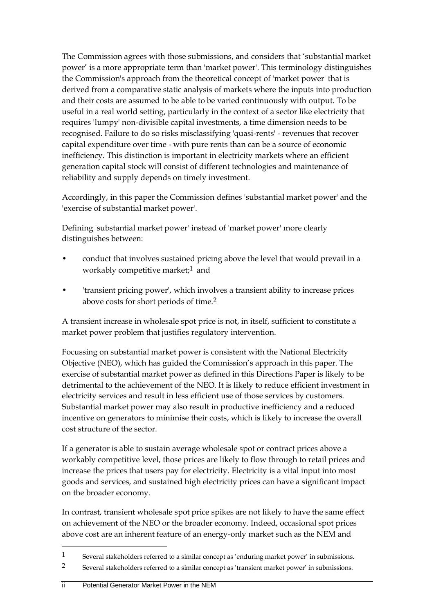The Commission agrees with those submissions, and considers that 'substantial market power' is a more appropriate term than 'market power'. This terminology distinguishes the Commission's approach from the theoretical concept of 'market power' that is derived from a comparative static analysis of markets where the inputs into production and their costs are assumed to be able to be varied continuously with output. To be useful in a real world setting, particularly in the context of a sector like electricity that requires 'lumpy' non-divisible capital investments, a time dimension needs to be recognised. Failure to do so risks misclassifying 'quasi-rents' - revenues that recover capital expenditure over time - with pure rents than can be a source of economic inefficiency. This distinction is important in electricity markets where an efficient generation capital stock will consist of different technologies and maintenance of reliability and supply depends on timely investment.

Accordingly, in this paper the Commission defines 'substantial market power' and the 'exercise of substantial market power'.

Defining 'substantial market power' instead of 'market power' more clearly distinguishes between:

- conduct that involves sustained pricing above the level that would prevail in a workably competitive market;<sup>1</sup> and
- 'transient pricing power', which involves a transient ability to increase prices above costs for short periods of time.2

A transient increase in wholesale spot price is not, in itself, sufficient to constitute a market power problem that justifies regulatory intervention.

Focussing on substantial market power is consistent with the National Electricity Objective (NEO), which has guided the Commission's approach in this paper. The exercise of substantial market power as defined in this Directions Paper is likely to be detrimental to the achievement of the NEO. It is likely to reduce efficient investment in electricity services and result in less efficient use of those services by customers. Substantial market power may also result in productive inefficiency and a reduced incentive on generators to minimise their costs, which is likely to increase the overall cost structure of the sector.

If a generator is able to sustain average wholesale spot or contract prices above a workably competitive level, those prices are likely to flow through to retail prices and increase the prices that users pay for electricity. Electricity is a vital input into most goods and services, and sustained high electricity prices can have a significant impact on the broader economy.

In contrast, transient wholesale spot price spikes are not likely to have the same effect on achievement of the NEO or the broader economy. Indeed, occasional spot prices above cost are an inherent feature of an energy-only market such as the NEM and

<sup>1</sup> Several stakeholders referred to a similar concept as 'enduring market power' in submissions.

<sup>2</sup> Several stakeholders referred to a similar concept as 'transient market power' in submissions.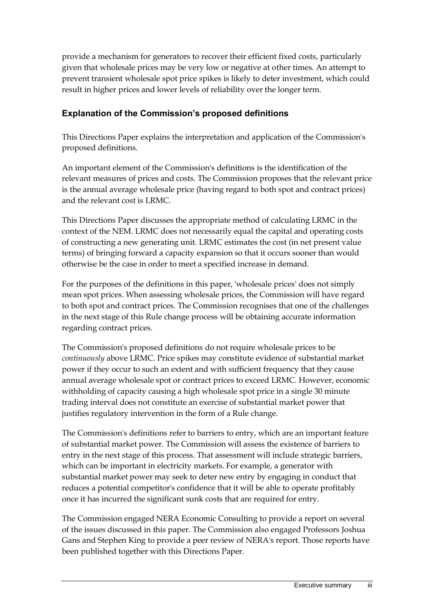provide a mechanism for generators to recover their efficient fixed costs, particularly given that wholesale prices may be very low or negative at other times. An attempt to prevent transient wholesale spot price spikes is likely to deter investment, which could result in higher prices and lower levels of reliability over the longer term.

## **Explanation of the Commission's proposed definitions**

This Directions Paper explains the interpretation and application of the Commission's proposed definitions.

An important element of the Commission's definitions is the identification of the relevant measures of prices and costs. The Commission proposes that the relevant price is the annual average wholesale price (having regard to both spot and contract prices) and the relevant cost is LRMC.

This Directions Paper discusses the appropriate method of calculating LRMC in the context of the NEM. LRMC does not necessarily equal the capital and operating costs of constructing a new generating unit. LRMC estimates the cost (in net present value terms) of bringing forward a capacity expansion so that it occurs sooner than would otherwise be the case in order to meet a specified increase in demand.

For the purposes of the definitions in this paper, 'wholesale prices' does not simply mean spot prices. When assessing wholesale prices, the Commission will have regard to both spot and contract prices. The Commission recognises that one of the challenges in the next stage of this Rule change process will be obtaining accurate information regarding contract prices.

The Commission's proposed definitions do not require wholesale prices to be *continuously* above LRMC. Price spikes may constitute evidence of substantial market power if they occur to such an extent and with sufficient frequency that they cause annual average wholesale spot or contract prices to exceed LRMC. However, economic withholding of capacity causing a high wholesale spot price in a single 30 minute trading interval does not constitute an exercise of substantial market power that justifies regulatory intervention in the form of a Rule change.

The Commission's definitions refer to barriers to entry, which are an important feature of substantial market power. The Commission will assess the existence of barriers to entry in the next stage of this process. That assessment will include strategic barriers, which can be important in electricity markets. For example, a generator with substantial market power may seek to deter new entry by engaging in conduct that reduces a potential competitor's confidence that it will be able to operate profitably once it has incurred the significant sunk costs that are required for entry.

The Commission engaged NERA Economic Consulting to provide a report on several of the issues discussed in this paper. The Commission also engaged Professors Joshua Gans and Stephen King to provide a peer review of NERA's report. Those reports have been published together with this Directions Paper.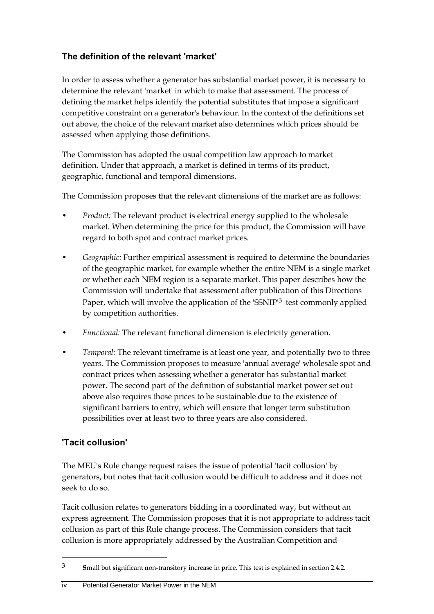## **The definition of the relevant 'market'**

In order to assess whether a generator has substantial market power, it is necessary to determine the relevant 'market' in which to make that assessment. The process of defining the market helps identify the potential substitutes that impose a significant competitive constraint on a generator's behaviour. In the context of the definitions set out above, the choice of the relevant market also determines which prices should be assessed when applying those definitions.

The Commission has adopted the usual competition law approach to market definition. Under that approach, a market is defined in terms of its product, geographic, functional and temporal dimensions.

The Commission proposes that the relevant dimensions of the market are as follows:

- *Product:* The relevant product is electrical energy supplied to the wholesale market. When determining the price for this product, the Commission will have regard to both spot and contract market prices.
- *Geographic:* Further empirical assessment is required to determine the boundaries of the geographic market, for example whether the entire NEM is a single market or whether each NEM region is a separate market. This paper describes how the Commission will undertake that assessment after publication of this Directions Paper, which will involve the application of the 'SSNIP<sup>'3</sup> test commonly applied by competition authorities.
- *Functional:* The relevant functional dimension is electricity generation.
- *Temporal:* The relevant timeframe is at least one year, and potentially two to three years. The Commission proposes to measure 'annual average' wholesale spot and contract prices when assessing whether a generator has substantial market power. The second part of the definition of substantial market power set out above also requires those prices to be sustainable due to the existence of significant barriers to entry, which will ensure that longer term substitution possibilities over at least two to three years are also considered.

## **'Tacit collusion'**

 $\overline{a}$ 

The MEU's Rule change request raises the issue of potential 'tacit collusion' by generators, but notes that tacit collusion would be difficult to address and it does not seek to do so.

Tacit collusion relates to generators bidding in a coordinated way, but without an express agreement. The Commission proposes that it is not appropriate to address tacit collusion as part of this Rule change process. The Commission considers that tacit collusion is more appropriately addressed by the Australian Competition and

<sup>3</sup> **S**mall but **s**ignificant **n**on-transitory **i**ncrease in **p**rice. This test is explained in section 2.4.2.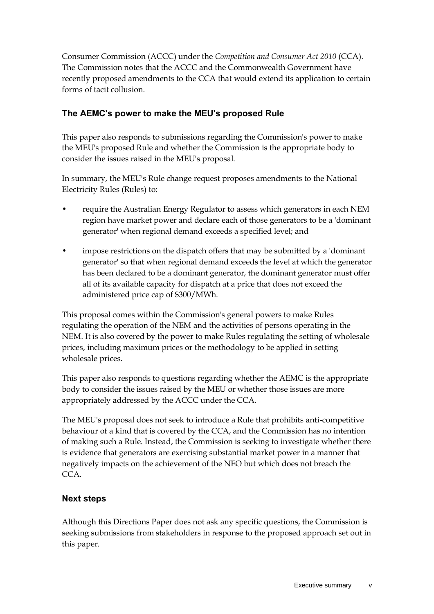Consumer Commission (ACCC) under the *Competition and Consumer Act 2010* (CCA). The Commission notes that the ACCC and the Commonwealth Government have recently proposed amendments to the CCA that would extend its application to certain forms of tacit collusion.

## **The AEMC's power to make the MEU's proposed Rule**

This paper also responds to submissions regarding the Commission's power to make the MEU's proposed Rule and whether the Commission is the appropriate body to consider the issues raised in the MEU's proposal.

In summary, the MEU's Rule change request proposes amendments to the National Electricity Rules (Rules) to:

- require the Australian Energy Regulator to assess which generators in each NEM region have market power and declare each of those generators to be a 'dominant generator' when regional demand exceeds a specified level; and
- impose restrictions on the dispatch offers that may be submitted by a 'dominant generator' so that when regional demand exceeds the level at which the generator has been declared to be a dominant generator, the dominant generator must offer all of its available capacity for dispatch at a price that does not exceed the administered price cap of \$300/MWh.

This proposal comes within the Commission's general powers to make Rules regulating the operation of the NEM and the activities of persons operating in the NEM. It is also covered by the power to make Rules regulating the setting of wholesale prices, including maximum prices or the methodology to be applied in setting wholesale prices.

This paper also responds to questions regarding whether the AEMC is the appropriate body to consider the issues raised by the MEU or whether those issues are more appropriately addressed by the ACCC under the CCA.

The MEU's proposal does not seek to introduce a Rule that prohibits anti-competitive behaviour of a kind that is covered by the CCA, and the Commission has no intention of making such a Rule. Instead, the Commission is seeking to investigate whether there is evidence that generators are exercising substantial market power in a manner that negatively impacts on the achievement of the NEO but which does not breach the CCA.

## **Next steps**

Although this Directions Paper does not ask any specific questions, the Commission is seeking submissions from stakeholders in response to the proposed approach set out in this paper.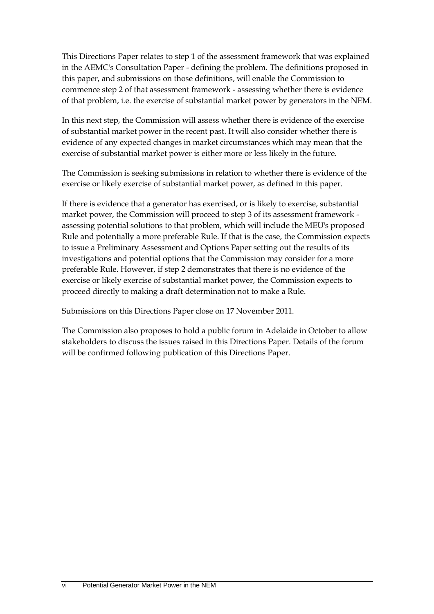This Directions Paper relates to step 1 of the assessment framework that was explained in the AEMC's Consultation Paper - defining the problem. The definitions proposed in this paper, and submissions on those definitions, will enable the Commission to commence step 2 of that assessment framework - assessing whether there is evidence of that problem, i.e. the exercise of substantial market power by generators in the NEM.

In this next step, the Commission will assess whether there is evidence of the exercise of substantial market power in the recent past. It will also consider whether there is evidence of any expected changes in market circumstances which may mean that the exercise of substantial market power is either more or less likely in the future.

The Commission is seeking submissions in relation to whether there is evidence of the exercise or likely exercise of substantial market power, as defined in this paper.

If there is evidence that a generator has exercised, or is likely to exercise, substantial market power, the Commission will proceed to step 3 of its assessment framework assessing potential solutions to that problem, which will include the MEU's proposed Rule and potentially a more preferable Rule. If that is the case, the Commission expects to issue a Preliminary Assessment and Options Paper setting out the results of its investigations and potential options that the Commission may consider for a more preferable Rule. However, if step 2 demonstrates that there is no evidence of the exercise or likely exercise of substantial market power, the Commission expects to proceed directly to making a draft determination not to make a Rule.

Submissions on this Directions Paper close on 17 November 2011.

The Commission also proposes to hold a public forum in Adelaide in October to allow stakeholders to discuss the issues raised in this Directions Paper. Details of the forum will be confirmed following publication of this Directions Paper.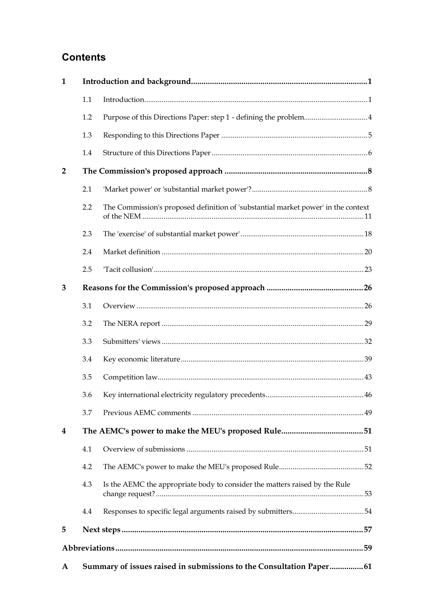# **Contents**

| $\mathbf{1}$   |                                                                      |                                                                                   |  |  |
|----------------|----------------------------------------------------------------------|-----------------------------------------------------------------------------------|--|--|
|                | 1.1                                                                  |                                                                                   |  |  |
|                | 1.2                                                                  | Purpose of this Directions Paper: step 1 - defining the problem4                  |  |  |
|                | 1.3                                                                  |                                                                                   |  |  |
|                | 1.4                                                                  |                                                                                   |  |  |
| $\overline{2}$ |                                                                      |                                                                                   |  |  |
|                | 2.1                                                                  |                                                                                   |  |  |
|                | 2.2                                                                  | The Commission's proposed definition of 'substantial market power' in the context |  |  |
|                | 2.3                                                                  |                                                                                   |  |  |
|                | 2.4                                                                  |                                                                                   |  |  |
|                | 2.5                                                                  |                                                                                   |  |  |
| 3              |                                                                      |                                                                                   |  |  |
|                | 3.1                                                                  |                                                                                   |  |  |
|                | 3.2                                                                  |                                                                                   |  |  |
|                | 3.3                                                                  |                                                                                   |  |  |
|                | 3.4                                                                  |                                                                                   |  |  |
|                | 3.5                                                                  |                                                                                   |  |  |
|                | 3.6                                                                  |                                                                                   |  |  |
|                | 3.7                                                                  |                                                                                   |  |  |
| 4              |                                                                      |                                                                                   |  |  |
|                | 4.1                                                                  |                                                                                   |  |  |
|                | 4.2                                                                  |                                                                                   |  |  |
|                | 4.3                                                                  | Is the AEMC the appropriate body to consider the matters raised by the Rule       |  |  |
|                | 4.4                                                                  |                                                                                   |  |  |
| 5              |                                                                      |                                                                                   |  |  |
|                |                                                                      |                                                                                   |  |  |
| A              | Summary of issues raised in submissions to the Consultation Paper 61 |                                                                                   |  |  |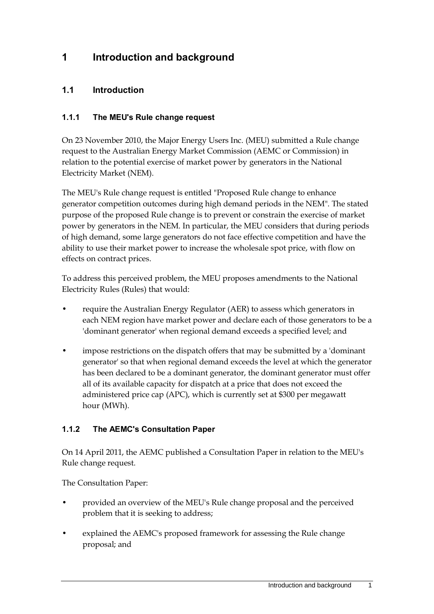# <span id="page-10-0"></span>**1 Introduction and background**

### <span id="page-10-1"></span>**1.1 Introduction**

#### **1.1.1 The MEU's Rule change request**

On 23 November 2010, the Major Energy Users Inc. (MEU) submitted a Rule change request to the Australian Energy Market Commission (AEMC or Commission) in relation to the potential exercise of market power by generators in the National Electricity Market (NEM).

The MEU's Rule change request is entitled "Proposed Rule change to enhance generator competition outcomes during high demand periods in the NEM". The stated purpose of the proposed Rule change is to prevent or constrain the exercise of market power by generators in the NEM. In particular, the MEU considers that during periods of high demand, some large generators do not face effective competition and have the ability to use their market power to increase the wholesale spot price, with flow on effects on contract prices.

To address this perceived problem, the MEU proposes amendments to the National Electricity Rules (Rules) that would:

- require the Australian Energy Regulator (AER) to assess which generators in each NEM region have market power and declare each of those generators to be a 'dominant generator' when regional demand exceeds a specified level; and
- impose restrictions on the dispatch offers that may be submitted by a 'dominant generator' so that when regional demand exceeds the level at which the generator has been declared to be a dominant generator, the dominant generator must offer all of its available capacity for dispatch at a price that does not exceed the administered price cap (APC), which is currently set at \$300 per megawatt hour (MWh).

#### **1.1.2 The AEMC's Consultation Paper**

On 14 April 2011, the AEMC published a Consultation Paper in relation to the MEU's Rule change request.

The Consultation Paper:

- provided an overview of the MEU's Rule change proposal and the perceived problem that it is seeking to address;
- explained the AEMC's proposed framework for assessing the Rule change proposal; and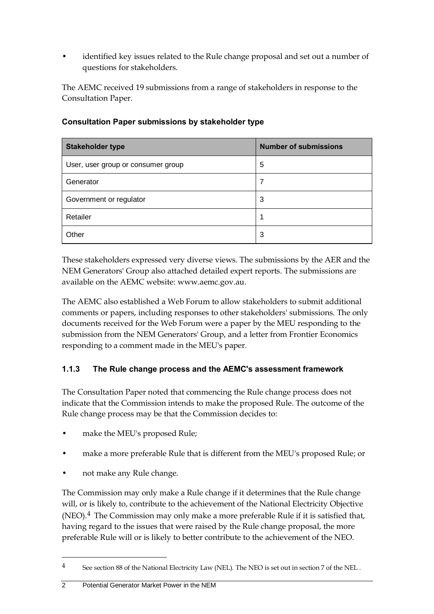• identified key issues related to the Rule change proposal and set out a number of questions for stakeholders.

The AEMC received 19 submissions from a range of stakeholders in response to the Consultation Paper.

| <b>Stakeholder type</b>            | <b>Number of submissions</b> |
|------------------------------------|------------------------------|
| User, user group or consumer group | 5                            |
| Generator                          | 7                            |
| Government or regulator            | 3                            |
| Retailer                           |                              |
| Other                              | 3                            |

#### **Consultation Paper submissions by stakeholder type**

These stakeholders expressed very diverse views. The submissions by the AER and the NEM Generators' Group also attached detailed expert reports. The submissions are available on the AEMC website: www.aemc.gov.au.

The AEMC also established a Web Forum to allow stakeholders to submit additional comments or papers, including responses to other stakeholders' submissions. The only documents received for the Web Forum were a paper by the MEU responding to the submission from the NEM Generators' Group, and a letter from Frontier Economics responding to a comment made in the MEU's paper.

### **1.1.3 The Rule change process and the AEMC's assessment framework**

The Consultation Paper noted that commencing the Rule change process does not indicate that the Commission intends to make the proposed Rule. The outcome of the Rule change process may be that the Commission decides to:

- make the MEU's proposed Rule;
- make a more preferable Rule that is different from the MEU's proposed Rule; or
- not make any Rule change.

 $\overline{a}$ 

The Commission may only make a Rule change if it determines that the Rule change will, or is likely to, contribute to the achievement of the National Electricity Objective (NEO).4 The Commission may only make a more preferable Rule if it is satisfied that, having regard to the issues that were raised by the Rule change proposal, the more preferable Rule will or is likely to better contribute to the achievement of the NEO.

<sup>4</sup> See section 88 of the National Electricity Law (NEL). The NEO is set out in section 7 of the NEL .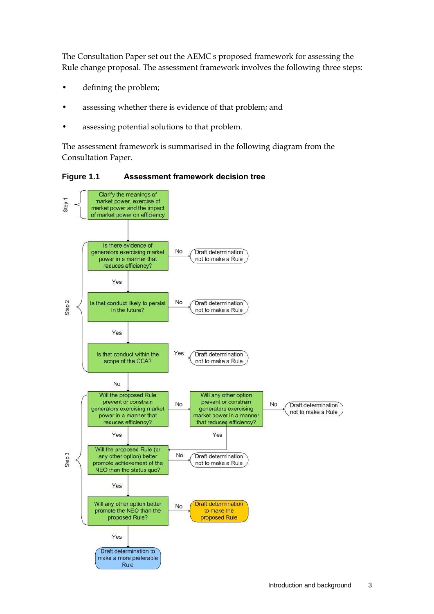The Consultation Paper set out the AEMC's proposed framework for assessing the Rule change proposal. The assessment framework involves the following three steps:

- defining the problem;
- assessing whether there is evidence of that problem; and
- assessing potential solutions to that problem.

The assessment framework is summarised in the following diagram from the Consultation Paper.

**Figure 1.1 Assessment framework decision tree**

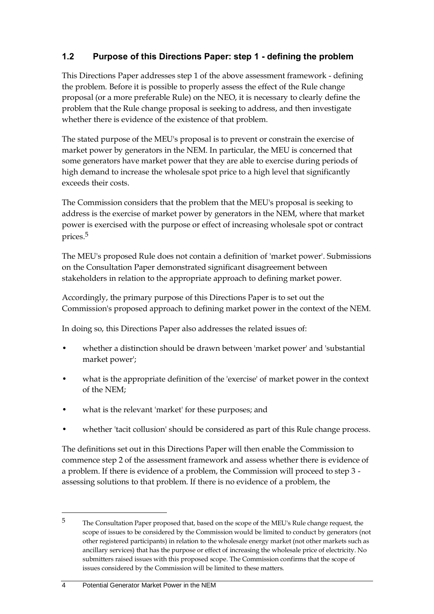## <span id="page-13-0"></span>**1.2 Purpose of this Directions Paper: step 1 - defining the problem**

This Directions Paper addresses step 1 of the above assessment framework - defining the problem. Before it is possible to properly assess the effect of the Rule change proposal (or a more preferable Rule) on the NEO, it is necessary to clearly define the problem that the Rule change proposal is seeking to address, and then investigate whether there is evidence of the existence of that problem.

The stated purpose of the MEU's proposal is to prevent or constrain the exercise of market power by generators in the NEM. In particular, the MEU is concerned that some generators have market power that they are able to exercise during periods of high demand to increase the wholesale spot price to a high level that significantly exceeds their costs.

The Commission considers that the problem that the MEU's proposal is seeking to address is the exercise of market power by generators in the NEM, where that market power is exercised with the purpose or effect of increasing wholesale spot or contract prices.5

The MEU's proposed Rule does not contain a definition of 'market power'. Submissions on the Consultation Paper demonstrated significant disagreement between stakeholders in relation to the appropriate approach to defining market power.

Accordingly, the primary purpose of this Directions Paper is to set out the Commission's proposed approach to defining market power in the context of the NEM.

In doing so, this Directions Paper also addresses the related issues of:

- whether a distinction should be drawn between 'market power' and 'substantial market power';
- what is the appropriate definition of the 'exercise' of market power in the context of the NEM;
- what is the relevant 'market' for these purposes; and
- whether 'tacit collusion' should be considered as part of this Rule change process.

The definitions set out in this Directions Paper will then enable the Commission to commence step 2 of the assessment framework and assess whether there is evidence of a problem. If there is evidence of a problem, the Commission will proceed to step 3 assessing solutions to that problem. If there is no evidence of a problem, the

<sup>5</sup> The Consultation Paper proposed that, based on the scope of the MEU's Rule change request, the scope of issues to be considered by the Commission would be limited to conduct by generators (not other registered participants) in relation to the wholesale energy market (not other markets such as ancillary services) that has the purpose or effect of increasing the wholesale price of electricity. No submitters raised issues with this proposed scope. The Commission confirms that the scope of issues considered by the Commission will be limited to these matters.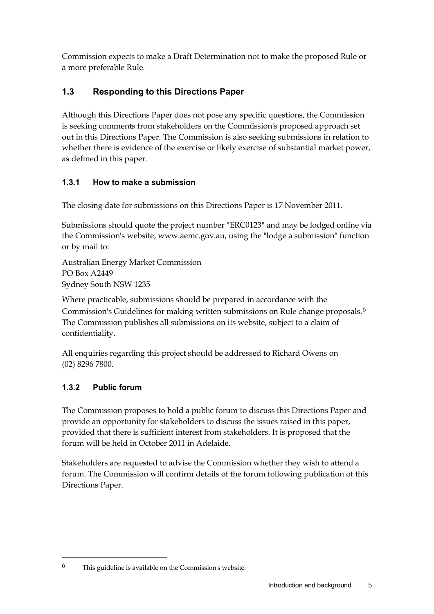Commission expects to make a Draft Determination not to make the proposed Rule or a more preferable Rule.

## <span id="page-14-0"></span>**1.3 Responding to this Directions Paper**

Although this Directions Paper does not pose any specific questions, the Commission is seeking comments from stakeholders on the Commission's proposed approach set out in this Directions Paper. The Commission is also seeking submissions in relation to whether there is evidence of the exercise or likely exercise of substantial market power, as defined in this paper.

### **1.3.1 How to make a submission**

The closing date for submissions on this Directions Paper is 17 November 2011.

Submissions should quote the project number "ERC0123" and may be lodged online via the Commission's website, www.aemc.gov.au, using the "lodge a submission" function or by mail to:

Australian Energy Market Commission PO Box A2449 Sydney South NSW 1235

Where practicable, submissions should be prepared in accordance with the Commission's Guidelines for making written submissions on Rule change proposals.6 The Commission publishes all submissions on its website, subject to a claim of confidentiality.

All enquiries regarding this project should be addressed to Richard Owens on (02) 8296 7800.

## **1.3.2 Public forum**

 $\overline{a}$ 

The Commission proposes to hold a public forum to discuss this Directions Paper and provide an opportunity for stakeholders to discuss the issues raised in this paper, provided that there is sufficient interest from stakeholders. It is proposed that the forum will be held in October 2011 in Adelaide.

Stakeholders are requested to advise the Commission whether they wish to attend a forum. The Commission will confirm details of the forum following publication of this Directions Paper.

<sup>6</sup> This guideline is available on the Commission's website.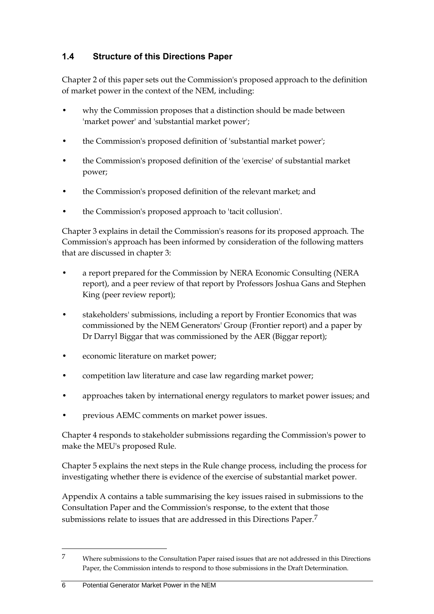## <span id="page-15-0"></span>**1.4 Structure of this Directions Paper**

Chapter 2 of this paper sets out the Commission's proposed approach to the definition of market power in the context of the NEM, including:

- why the Commission proposes that a distinction should be made between 'market power' and 'substantial market power';
- the Commission's proposed definition of 'substantial market power';
- the Commission's proposed definition of the 'exercise' of substantial market power;
- the Commission's proposed definition of the relevant market; and
- the Commission's proposed approach to 'tacit collusion'.

Chapter 3 explains in detail the Commission's reasons for its proposed approach. The Commission's approach has been informed by consideration of the following matters that are discussed in chapter 3:

- a report prepared for the Commission by NERA Economic Consulting (NERA report), and a peer review of that report by Professors Joshua Gans and Stephen King (peer review report);
- stakeholders' submissions, including a report by Frontier Economics that was commissioned by the NEM Generators' Group (Frontier report) and a paper by Dr Darryl Biggar that was commissioned by the AER (Biggar report);
- economic literature on market power;
- competition law literature and case law regarding market power;
- approaches taken by international energy regulators to market power issues; and
- previous AEMC comments on market power issues.

Chapter 4 responds to stakeholder submissions regarding the Commission's power to make the MEU's proposed Rule.

Chapter 5 explains the next steps in the Rule change process, including the process for investigating whether there is evidence of the exercise of substantial market power.

Appendix A contains a table summarising the key issues raised in submissions to the Consultation Paper and the Commission's response, to the extent that those submissions relate to issues that are addressed in this Directions Paper.7

<sup>7</sup> Where submissions to the Consultation Paper raised issues that are not addressed in this Directions Paper, the Commission intends to respond to those submissions in the Draft Determination.

<sup>6</sup> Potential Generator Market Power in the NEM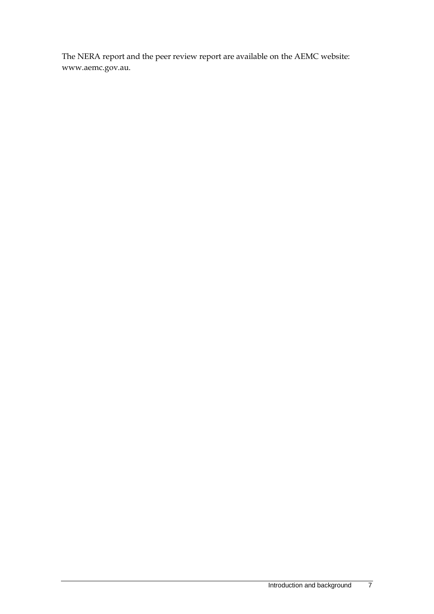The NERA report and the peer review report are available on the AEMC website: www.aemc.gov.au.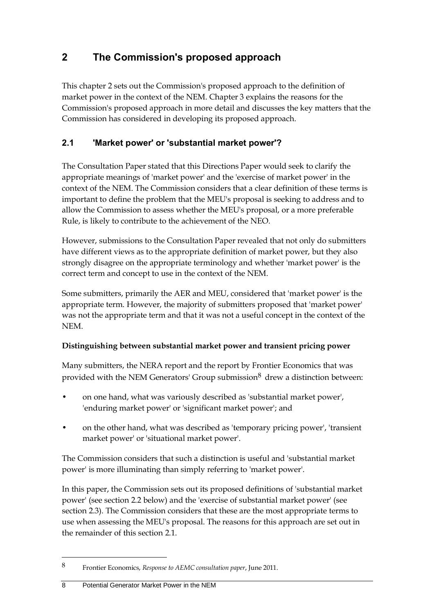# <span id="page-17-0"></span>**2 The Commission's proposed approach**

This chapter 2 sets out the Commission's proposed approach to the definition of market power in the context of the NEM. Chapter 3 explains the reasons for the Commission's proposed approach in more detail and discusses the key matters that the Commission has considered in developing its proposed approach.

## <span id="page-17-1"></span>**2.1 'Market power' or 'substantial market power'?**

The Consultation Paper stated that this Directions Paper would seek to clarify the appropriate meanings of 'market power' and the 'exercise of market power' in the context of the NEM. The Commission considers that a clear definition of these terms is important to define the problem that the MEU's proposal is seeking to address and to allow the Commission to assess whether the MEU's proposal, or a more preferable Rule, is likely to contribute to the achievement of the NEO.

However, submissions to the Consultation Paper revealed that not only do submitters have different views as to the appropriate definition of market power, but they also strongly disagree on the appropriate terminology and whether 'market power' is the correct term and concept to use in the context of the NEM.

Some submitters, primarily the AER and MEU, considered that 'market power' is the appropriate term. However, the majority of submitters proposed that 'market power' was not the appropriate term and that it was not a useful concept in the context of the NEM.

## **Distinguishing between substantial market power and transient pricing power**

Many submitters, the NERA report and the report by Frontier Economics that was provided with the NEM Generators' Group submission<sup>8</sup> drew a distinction between:

- on one hand, what was variously described as 'substantial market power', 'enduring market power' or 'significant market power'; and
- on the other hand, what was described as 'temporary pricing power', 'transient market power' or 'situational market power'.

The Commission considers that such a distinction is useful and 'substantial market power' is more illuminating than simply referring to 'market power'.

In this paper, the Commission sets out its proposed definitions of 'substantial market power' (see section [2.2](#page-20-0) below) and the 'exercise of substantial market power' (see section [2.3\)](#page-27-0). The Commission considers that these are the most appropriate terms to use when assessing the MEU's proposal. The reasons for this approach are set out in the remainder of this section [2.1.](#page-17-1)

<sup>8</sup> Frontier Economics, *Response to AEMC consultation paper*, June 2011.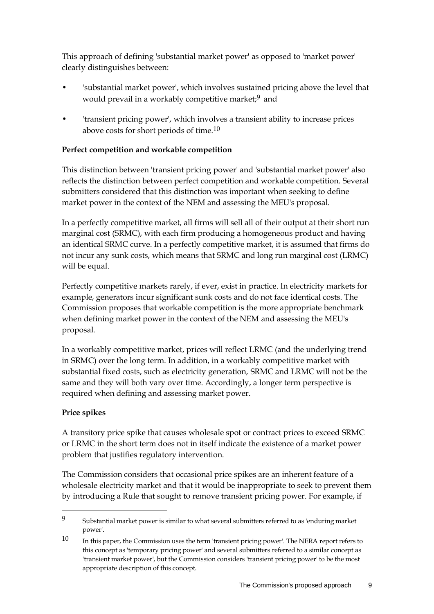This approach of defining 'substantial market power' as opposed to 'market power' clearly distinguishes between:

- 'substantial market power', which involves sustained pricing above the level that would prevail in a workably competitive market;<sup>9</sup> and
- 'transient pricing power', which involves a transient ability to increase prices above costs for short periods of time.10

### **Perfect competition and workable competition**

This distinction between 'transient pricing power' and 'substantial market power' also reflects the distinction between perfect competition and workable competition. Several submitters considered that this distinction was important when seeking to define market power in the context of the NEM and assessing the MEU's proposal.

In a perfectly competitive market, all firms will sell all of their output at their short run marginal cost (SRMC), with each firm producing a homogeneous product and having an identical SRMC curve. In a perfectly competitive market, it is assumed that firms do not incur any sunk costs, which means that SRMC and long run marginal cost (LRMC) will be equal.

Perfectly competitive markets rarely, if ever, exist in practice. In electricity markets for example, generators incur significant sunk costs and do not face identical costs. The Commission proposes that workable competition is the more appropriate benchmark when defining market power in the context of the NEM and assessing the MEU's proposal.

In a workably competitive market, prices will reflect LRMC (and the underlying trend in SRMC) over the long term. In addition, in a workably competitive market with substantial fixed costs, such as electricity generation, SRMC and LRMC will not be the same and they will both vary over time. Accordingly, a longer term perspective is required when defining and assessing market power.

### **Price spikes**

 $\overline{a}$ 

A transitory price spike that causes wholesale spot or contract prices to exceed SRMC or LRMC in the short term does not in itself indicate the existence of a market power problem that justifies regulatory intervention.

The Commission considers that occasional price spikes are an inherent feature of a wholesale electricity market and that it would be inappropriate to seek to prevent them by introducing a Rule that sought to remove transient pricing power. For example, if

<sup>9</sup> Substantial market power is similar to what several submitters referred to as 'enduring market power'.

<sup>10</sup> In this paper, the Commission uses the term 'transient pricing power'. The NERA report refers to this concept as 'temporary pricing power' and several submitters referred to a similar concept as 'transient market power', but the Commission considers 'transient pricing power' to be the most appropriate description of this concept.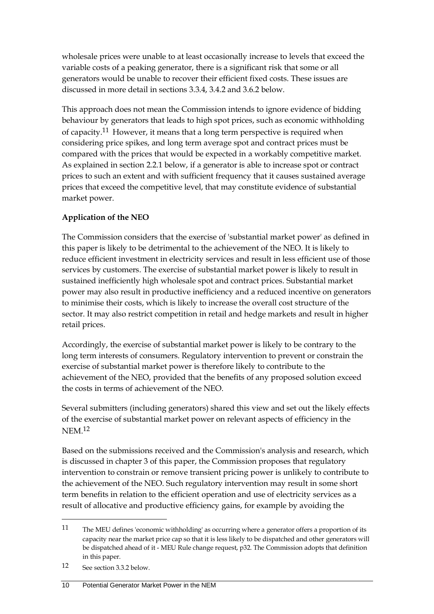wholesale prices were unable to at least occasionally increase to levels that exceed the variable costs of a peaking generator, there is a significant risk that some or all generators would be unable to recover their efficient fixed costs. These issues are discussed in more detail in sections 3.3.4, 3.4.2 and 3.6.2 below.

This approach does not mean the Commission intends to ignore evidence of bidding behaviour by generators that leads to high spot prices, such as economic withholding of capacity.11 However, it means that a long term perspective is required when considering price spikes, and long term average spot and contract prices must be compared with the prices that would be expected in a workably competitive market. As explained in section 2.2.1 below, if a generator is able to increase spot or contract prices to such an extent and with sufficient frequency that it causes sustained average prices that exceed the competitive level, that may constitute evidence of substantial market power.

### **Application of the NEO**

The Commission considers that the exercise of 'substantial market power' as defined in this paper is likely to be detrimental to the achievement of the NEO. It is likely to reduce efficient investment in electricity services and result in less efficient use of those services by customers. The exercise of substantial market power is likely to result in sustained inefficiently high wholesale spot and contract prices. Substantial market power may also result in productive inefficiency and a reduced incentive on generators to minimise their costs, which is likely to increase the overall cost structure of the sector. It may also restrict competition in retail and hedge markets and result in higher retail prices.

Accordingly, the exercise of substantial market power is likely to be contrary to the long term interests of consumers. Regulatory intervention to prevent or constrain the exercise of substantial market power is therefore likely to contribute to the achievement of the NEO, provided that the benefits of any proposed solution exceed the costs in terms of achievement of the NEO.

Several submitters (including generators) shared this view and set out the likely effects of the exercise of substantial market power on relevant aspects of efficiency in the **NEM** 12

Based on the submissions received and the Commission's analysis and research, which is discussed in chapter 3 of this paper, the Commission proposes that regulatory intervention to constrain or remove transient pricing power is unlikely to contribute to the achievement of the NEO. Such regulatory intervention may result in some short term benefits in relation to the efficient operation and use of electricity services as a result of allocative and productive efficiency gains, for example by avoiding the

<sup>11</sup> The MEU defines 'economic withholding' as occurring where a generator offers a proportion of its capacity near the market price cap so that it is less likely to be dispatched and other generators will be dispatched ahead of it - MEU Rule change request, p32. The Commission adopts that definition in this paper.

<sup>12</sup> See section 3.3.2 below.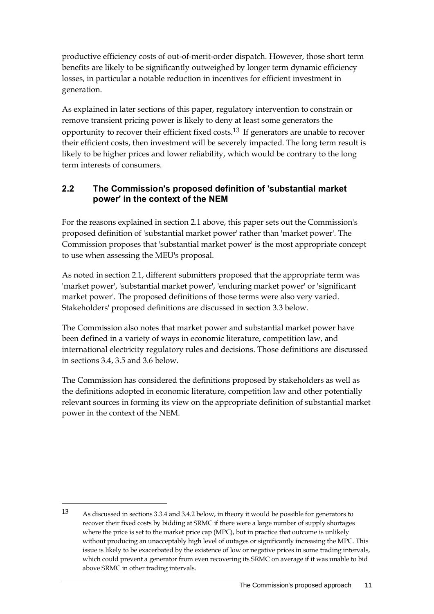productive efficiency costs of out-of-merit-order dispatch. However, those short term benefits are likely to be significantly outweighed by longer term dynamic efficiency losses, in particular a notable reduction in incentives for efficient investment in generation.

As explained in later sections of this paper, regulatory intervention to constrain or remove transient pricing power is likely to deny at least some generators the opportunity to recover their efficient fixed costs.13 If generators are unable to recover their efficient costs, then investment will be severely impacted. The long term result is likely to be higher prices and lower reliability, which would be contrary to the long term interests of consumers.

## <span id="page-20-0"></span>**2.2 The Commission's proposed definition of 'substantial market power' in the context of the NEM**

For the reasons explained in section [2.1](#page-17-1) above, this paper sets out the Commission's proposed definition of 'substantial market power' rather than 'market power'. The Commission proposes that 'substantial market power' is the most appropriate concept to use when assessing the MEU's proposal.

As noted in section [2.1,](#page-17-1) different submitters proposed that the appropriate term was 'market power', 'substantial market power', 'enduring market power' or 'significant market power'. The proposed definitions of those terms were also very varied. Stakeholders' proposed definitions are discussed in section [3.3](#page-41-0) below.

The Commission also notes that market power and substantial market power have been defined in a variety of ways in economic literature, competition law, and international electricity regulatory rules and decisions. Those definitions are discussed in sections [3.4,](#page-48-0) [3.5](#page-52-0) and [3.6](#page-55-0) below.

The Commission has considered the definitions proposed by stakeholders as well as the definitions adopted in economic literature, competition law and other potentially relevant sources in forming its view on the appropriate definition of substantial market power in the context of the NEM.

<sup>13</sup> As discussed in sections 3.3.4 and 3.4.2 below, in theory it would be possible for generators to recover their fixed costs by bidding at SRMC if there were a large number of supply shortages where the price is set to the market price cap (MPC), but in practice that outcome is unlikely without producing an unacceptably high level of outages or significantly increasing the MPC. This issue is likely to be exacerbated by the existence of low or negative prices in some trading intervals, which could prevent a generator from even recovering its SRMC on average if it was unable to bid above SRMC in other trading intervals.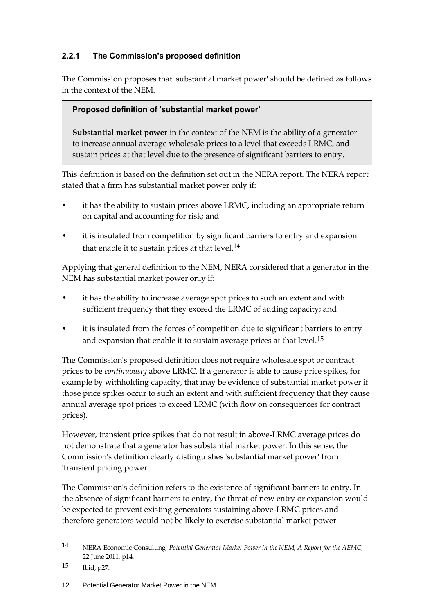## **2.2.1 The Commission's proposed definition**

The Commission proposes that 'substantial market power' should be defined as follows in the context of the NEM.

### **Proposed definition of 'substantial market power'**

**Substantial market power** in the context of the NEM is the ability of a generator to increase annual average wholesale prices to a level that exceeds LRMC, and sustain prices at that level due to the presence of significant barriers to entry.

This definition is based on the definition set out in the NERA report. The NERA report stated that a firm has substantial market power only if:

- it has the ability to sustain prices above LRMC, including an appropriate return on capital and accounting for risk; and
- it is insulated from competition by significant barriers to entry and expansion that enable it to sustain prices at that level.<sup>14</sup>

Applying that general definition to the NEM, NERA considered that a generator in the NEM has substantial market power only if:

- it has the ability to increase average spot prices to such an extent and with sufficient frequency that they exceed the LRMC of adding capacity; and
- it is insulated from the forces of competition due to significant barriers to entry and expansion that enable it to sustain average prices at that level.15

The Commission's proposed definition does not require wholesale spot or contract prices to be *continuously* above LRMC. If a generator is able to cause price spikes, for example by withholding capacity, that may be evidence of substantial market power if those price spikes occur to such an extent and with sufficient frequency that they cause annual average spot prices to exceed LRMC (with flow on consequences for contract prices).

However, transient price spikes that do not result in above-LRMC average prices do not demonstrate that a generator has substantial market power. In this sense, the Commission's definition clearly distinguishes 'substantial market power' from 'transient pricing power'.

The Commission's definition refers to the existence of significant barriers to entry. In the absence of significant barriers to entry, the threat of new entry or expansion would be expected to prevent existing generators sustaining above-LRMC prices and therefore generators would not be likely to exercise substantial market power.

<sup>14</sup> NERA Economic Consulting, *Potential Generator Market Power in the NEM, A Report for the AEMC*, 22 June 2011, p14.

<sup>15</sup> Ibid, p27.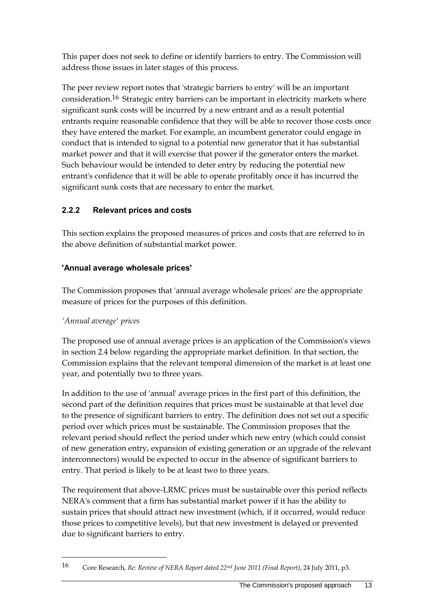This paper does not seek to define or identify barriers to entry. The Commission will address those issues in later stages of this process.

The peer review report notes that 'strategic barriers to entry' will be an important consideration.<sup>16</sup> Strategic entry barriers can be important in electricity markets where significant sunk costs will be incurred by a new entrant and as a result potential entrants require reasonable confidence that they will be able to recover those costs once they have entered the market. For example, an incumbent generator could engage in conduct that is intended to signal to a potential new generator that it has substantial market power and that it will exercise that power if the generator enters the market. Such behaviour would be intended to deter entry by reducing the potential new entrant's confidence that it will be able to operate profitably once it has incurred the significant sunk costs that are necessary to enter the market.

## **2.2.2 Relevant prices and costs**

This section explains the proposed measures of prices and costs that are referred to in the above definition of substantial market power.

## **'Annual average wholesale prices'**

The Commission proposes that 'annual average wholesale prices' are the appropriate measure of prices for the purposes of this definition.

## *'Annual average' prices*

 $\overline{a}$ 

The proposed use of annual average prices is an application of the Commission's views in section [2.4](#page-29-0) below regarding the appropriate market definition. In that section, the Commission explains that the relevant temporal dimension of the market is at least one year, and potentially two to three years.

In addition to the use of 'annual' average prices in the first part of this definition, the second part of the definition requires that prices must be sustainable at that level due to the presence of significant barriers to entry. The definition does not set out a specific period over which prices must be sustainable. The Commission proposes that the relevant period should reflect the period under which new entry (which could consist of new generation entry, expansion of existing generation or an upgrade of the relevant interconnectors) would be expected to occur in the absence of significant barriers to entry. That period is likely to be at least two to three years.

The requirement that above-LRMC prices must be sustainable over this period reflects NERA's comment that a firm has substantial market power if it has the ability to sustain prices that should attract new investment (which, if it occurred, would reduce those prices to competitive levels), but that new investment is delayed or prevented due to significant barriers to entry.

<sup>16</sup> Core Research, *Re: Review of NERA Report dated 22nd June 2011 (Final Report)*, 24 July 2011, p3.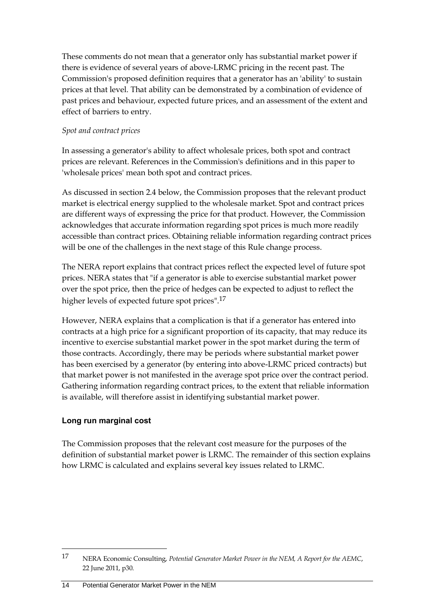These comments do not mean that a generator only has substantial market power if there is evidence of several years of above-LRMC pricing in the recent past. The Commission's proposed definition requires that a generator has an 'ability' to sustain prices at that level. That ability can be demonstrated by a combination of evidence of past prices and behaviour, expected future prices, and an assessment of the extent and effect of barriers to entry.

#### *Spot and contract prices*

In assessing a generator's ability to affect wholesale prices, both spot and contract prices are relevant. References in the Commission's definitions and in this paper to 'wholesale prices' mean both spot and contract prices.

As discussed in section [2.4](#page-29-0) below, the Commission proposes that the relevant product market is electrical energy supplied to the wholesale market. Spot and contract prices are different ways of expressing the price for that product. However, the Commission acknowledges that accurate information regarding spot prices is much more readily accessible than contract prices. Obtaining reliable information regarding contract prices will be one of the challenges in the next stage of this Rule change process.

The NERA report explains that contract prices reflect the expected level of future spot prices. NERA states that "if a generator is able to exercise substantial market power over the spot price, then the price of hedges can be expected to adjust to reflect the higher levels of expected future spot prices".17

However, NERA explains that a complication is that if a generator has entered into contracts at a high price for a significant proportion of its capacity, that may reduce its incentive to exercise substantial market power in the spot market during the term of those contracts. Accordingly, there may be periods where substantial market power has been exercised by a generator (by entering into above-LRMC priced contracts) but that market power is not manifested in the average spot price over the contract period. Gathering information regarding contract prices, to the extent that reliable information is available, will therefore assist in identifying substantial market power.

### **Long run marginal cost**

 $\overline{a}$ 

The Commission proposes that the relevant cost measure for the purposes of the definition of substantial market power is LRMC. The remainder of this section explains how LRMC is calculated and explains several key issues related to LRMC.

<sup>17</sup> NERA Economic Consulting, *Potential Generator Market Power in the NEM, A Report for the AEMC*, 22 June 2011, p30.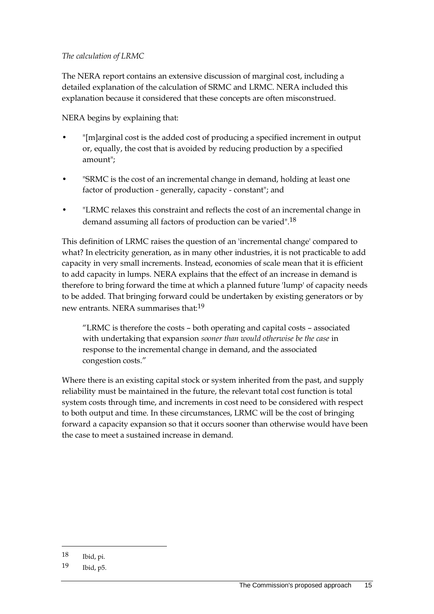#### *The calculation of LRMC*

The NERA report contains an extensive discussion of marginal cost, including a detailed explanation of the calculation of SRMC and LRMC. NERA included this explanation because it considered that these concepts are often misconstrued.

NERA begins by explaining that:

- "[m]arginal cost is the added cost of producing a specified increment in output or, equally, the cost that is avoided by reducing production by a specified amount";
- "SRMC is the cost of an incremental change in demand, holding at least one factor of production - generally, capacity - constant"; and
- "LRMC relaxes this constraint and reflects the cost of an incremental change in demand assuming all factors of production can be varied".18

This definition of LRMC raises the question of an 'incremental change' compared to what? In electricity generation, as in many other industries, it is not practicable to add capacity in very small increments. Instead, economies of scale mean that it is efficient to add capacity in lumps. NERA explains that the effect of an increase in demand is therefore to bring forward the time at which a planned future 'lump' of capacity needs to be added. That bringing forward could be undertaken by existing generators or by new entrants. NERA summarises that:19

"LRMC is therefore the costs – both operating and capital costs – associated with undertaking that expansion *sooner than would otherwise be the case* in response to the incremental change in demand, and the associated congestion costs."

Where there is an existing capital stock or system inherited from the past, and supply reliability must be maintained in the future, the relevant total cost function is total system costs through time, and increments in cost need to be considered with respect to both output and time. In these circumstances, LRMC will be the cost of bringing forward a capacity expansion so that it occurs sooner than otherwise would have been the case to meet a sustained increase in demand.

<sup>18</sup> Ibid, pi.

<sup>19</sup> Ibid, p5.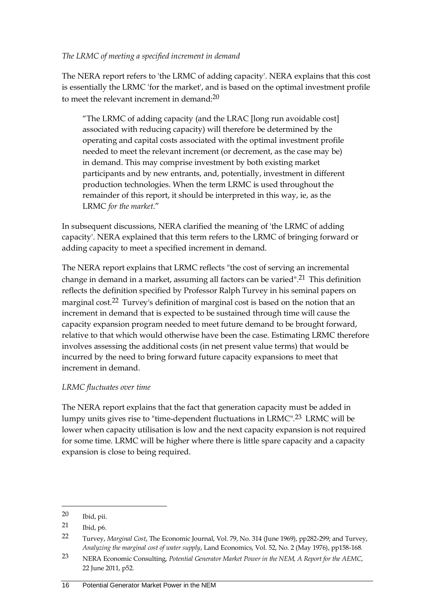#### *The LRMC of meeting a specified increment in demand*

The NERA report refers to 'the LRMC of adding capacity'. NERA explains that this cost is essentially the LRMC 'for the market', and is based on the optimal investment profile to meet the relevant increment in demand:20

"The LRMC of adding capacity (and the LRAC [long run avoidable cost] associated with reducing capacity) will therefore be determined by the operating and capital costs associated with the optimal investment profile needed to meet the relevant increment (or decrement, as the case may be) in demand. This may comprise investment by both existing market participants and by new entrants, and, potentially, investment in different production technologies. When the term LRMC is used throughout the remainder of this report, it should be interpreted in this way, ie, as the LRMC *for the market*."

In subsequent discussions, NERA clarified the meaning of 'the LRMC of adding capacity'. NERA explained that this term refers to the LRMC of bringing forward or adding capacity to meet a specified increment in demand.

The NERA report explains that LRMC reflects "the cost of serving an incremental change in demand in a market, assuming all factors can be varied".21 This definition reflects the definition specified by Professor Ralph Turvey in his seminal papers on marginal cost.22 Turvey's definition of marginal cost is based on the notion that an increment in demand that is expected to be sustained through time will cause the capacity expansion program needed to meet future demand to be brought forward, relative to that which would otherwise have been the case. Estimating LRMC therefore involves assessing the additional costs (in net present value terms) that would be incurred by the need to bring forward future capacity expansions to meet that increment in demand.

### *LRMC fluctuates over time*

The NERA report explains that the fact that generation capacity must be added in lumpy units gives rise to "time-dependent fluctuations in LRMC".23 LRMC will be lower when capacity utilisation is low and the next capacity expansion is not required for some time. LRMC will be higher where there is little spare capacity and a capacity expansion is close to being required.

<sup>20</sup> Ibid, pii.

<sup>21</sup> Ibid, p6.

<sup>22</sup> Turvey, *Marginal Cost*, The Economic Journal, Vol. 79, No. 314 (June 1969), pp282-299; and Turvey, *Analyzing the marginal cost of water supply*, Land Economics, Vol. 52, No. 2 (May 1976), pp158-168.

<sup>23</sup> NERA Economic Consulting, *Potential Generator Market Power in the NEM, A Report for the AEMC*, 22 June 2011, p52.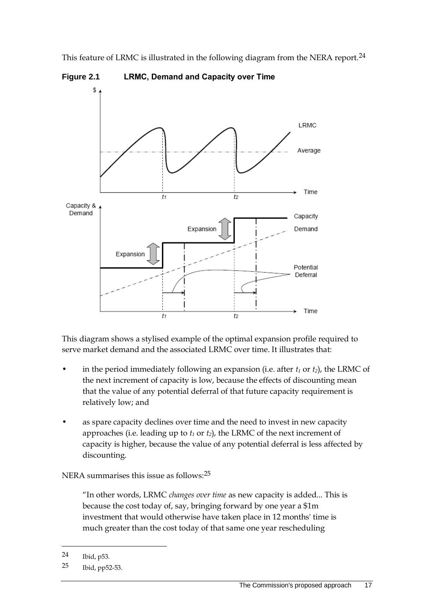This feature of LRMC is illustrated in the following diagram from the NERA report.<sup>24</sup>



**Figure 2.1 LRMC, Demand and Capacity over Time**

This diagram shows a stylised example of the optimal expansion profile required to serve market demand and the associated LRMC over time. It illustrates that:

- in the period immediately following an expansion (i.e. after  $t_1$  or  $t_2$ ), the LRMC of the next increment of capacity is low, because the effects of discounting mean that the value of any potential deferral of that future capacity requirement is relatively low; and
- as spare capacity declines over time and the need to invest in new capacity approaches (i.e. leading up to  $t_1$  or  $t_2$ ), the LRMC of the next increment of capacity is higher, because the value of any potential deferral is less affected by discounting.

NERA summarises this issue as follows:25

"In other words, LRMC *changes over time* as new capacity is added... This is because the cost today of, say, bringing forward by one year a \$1m investment that would otherwise have taken place in 12 months' time is much greater than the cost today of that same one year rescheduling

<sup>24</sup> Ibid, p53.

<sup>25</sup> Ibid, pp52-53.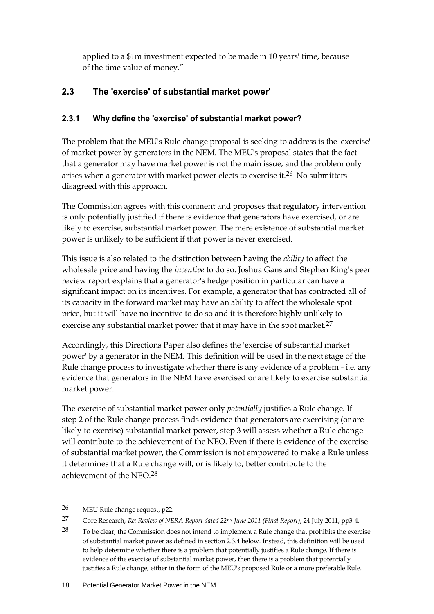applied to a \$1m investment expected to be made in 10 years' time, because of the time value of money."

## <span id="page-27-0"></span>**2.3 The 'exercise' of substantial market power'**

## **2.3.1 Why define the 'exercise' of substantial market power?**

The problem that the MEU's Rule change proposal is seeking to address is the 'exercise' of market power by generators in the NEM. The MEU's proposal states that the fact that a generator may have market power is not the main issue, and the problem only arises when a generator with market power elects to exercise it.26 No submitters disagreed with this approach.

The Commission agrees with this comment and proposes that regulatory intervention is only potentially justified if there is evidence that generators have exercised, or are likely to exercise, substantial market power. The mere existence of substantial market power is unlikely to be sufficient if that power is never exercised.

This issue is also related to the distinction between having the *ability* to affect the wholesale price and having the *incentive* to do so. Joshua Gans and Stephen King's peer review report explains that a generator's hedge position in particular can have a significant impact on its incentives. For example, a generator that has contracted all of its capacity in the forward market may have an ability to affect the wholesale spot price, but it will have no incentive to do so and it is therefore highly unlikely to exercise any substantial market power that it may have in the spot market.<sup>27</sup>

Accordingly, this Directions Paper also defines the 'exercise of substantial market power' by a generator in the NEM. This definition will be used in the next stage of the Rule change process to investigate whether there is any evidence of a problem - i.e. any evidence that generators in the NEM have exercised or are likely to exercise substantial market power.

The exercise of substantial market power only *potentially* justifies a Rule change. If step 2 of the Rule change process finds evidence that generators are exercising (or are likely to exercise) substantial market power, step 3 will assess whether a Rule change will contribute to the achievement of the NEO. Even if there is evidence of the exercise of substantial market power, the Commission is not empowered to make a Rule unless it determines that a Rule change will, or is likely to, better contribute to the achievement of the NEO.28

<sup>26</sup> MEU Rule change request, p22.

<sup>27</sup> Core Research, *Re: Review of NERA Report dated 22nd June 2011 (Final Report)*, 24 July 2011, pp3-4.

 $28$  To be clear, the Commission does not intend to implement a Rule change that prohibits the exercise of substantial market power as defined in section 2.3.4 below. Instead, this definition will be used to help determine whether there is a problem that potentially justifies a Rule change. If there is evidence of the exercise of substantial market power, then there is a problem that potentially justifies a Rule change, either in the form of the MEU's proposed Rule or a more preferable Rule.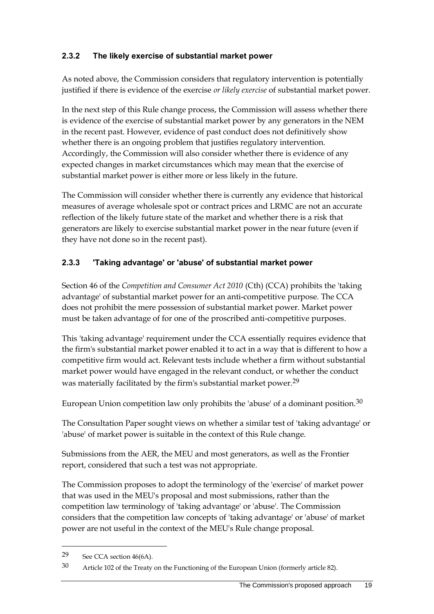### **2.3.2 The likely exercise of substantial market power**

As noted above, the Commission considers that regulatory intervention is potentially justified if there is evidence of the exercise *or likely exercise* of substantial market power.

In the next step of this Rule change process, the Commission will assess whether there is evidence of the exercise of substantial market power by any generators in the NEM in the recent past. However, evidence of past conduct does not definitively show whether there is an ongoing problem that justifies regulatory intervention. Accordingly, the Commission will also consider whether there is evidence of any expected changes in market circumstances which may mean that the exercise of substantial market power is either more or less likely in the future.

The Commission will consider whether there is currently any evidence that historical measures of average wholesale spot or contract prices and LRMC are not an accurate reflection of the likely future state of the market and whether there is a risk that generators are likely to exercise substantial market power in the near future (even if they have not done so in the recent past).

### **2.3.3 'Taking advantage' or 'abuse' of substantial market power**

Section 46 of the *Competition and Consumer Act 2010* (Cth) (CCA) prohibits the 'taking advantage' of substantial market power for an anti-competitive purpose. The CCA does not prohibit the mere possession of substantial market power. Market power must be taken advantage of for one of the proscribed anti-competitive purposes.

This 'taking advantage' requirement under the CCA essentially requires evidence that the firm's substantial market power enabled it to act in a way that is different to how a competitive firm would act. Relevant tests include whether a firm without substantial market power would have engaged in the relevant conduct, or whether the conduct was materially facilitated by the firm's substantial market power.<sup>29</sup>

European Union competition law only prohibits the 'abuse' of a dominant position.<sup>30</sup>

The Consultation Paper sought views on whether a similar test of 'taking advantage' or 'abuse' of market power is suitable in the context of this Rule change.

Submissions from the AER, the MEU and most generators, as well as the Frontier report, considered that such a test was not appropriate.

The Commission proposes to adopt the terminology of the 'exercise' of market power that was used in the MEU's proposal and most submissions, rather than the competition law terminology of 'taking advantage' or 'abuse'. The Commission considers that the competition law concepts of 'taking advantage' or 'abuse' of market power are not useful in the context of the MEU's Rule change proposal.

<sup>29</sup> See CCA section 46(6A).

<sup>30</sup> Article 102 of the Treaty on the Functioning of the European Union (formerly article 82).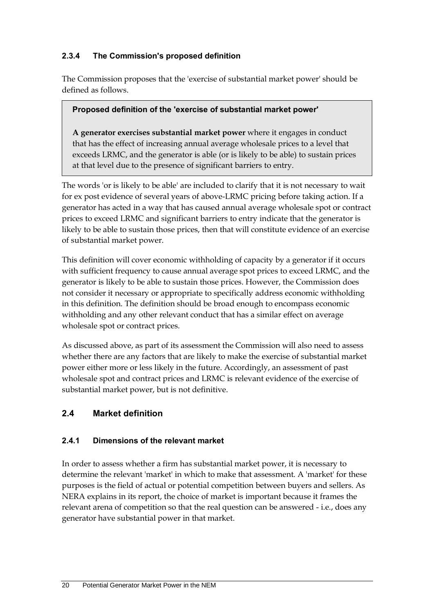## **2.3.4 The Commission's proposed definition**

The Commission proposes that the 'exercise of substantial market power' should be defined as follows.

#### **Proposed definition of the 'exercise of substantial market power'**

**A generator exercises substantial market power** where it engages in conduct that has the effect of increasing annual average wholesale prices to a level that exceeds LRMC, and the generator is able (or is likely to be able) to sustain prices at that level due to the presence of significant barriers to entry.

The words 'or is likely to be able' are included to clarify that it is not necessary to wait for ex post evidence of several years of above-LRMC pricing before taking action. If a generator has acted in a way that has caused annual average wholesale spot or contract prices to exceed LRMC and significant barriers to entry indicate that the generator is likely to be able to sustain those prices, then that will constitute evidence of an exercise of substantial market power.

This definition will cover economic withholding of capacity by a generator if it occurs with sufficient frequency to cause annual average spot prices to exceed LRMC, and the generator is likely to be able to sustain those prices. However, the Commission does not consider it necessary or appropriate to specifically address economic withholding in this definition. The definition should be broad enough to encompass economic withholding and any other relevant conduct that has a similar effect on average wholesale spot or contract prices.

As discussed above, as part of its assessment the Commission will also need to assess whether there are any factors that are likely to make the exercise of substantial market power either more or less likely in the future. Accordingly, an assessment of past wholesale spot and contract prices and LRMC is relevant evidence of the exercise of substantial market power, but is not definitive.

### <span id="page-29-0"></span>**2.4 Market definition**

### **2.4.1 Dimensions of the relevant market**

In order to assess whether a firm has substantial market power, it is necessary to determine the relevant 'market' in which to make that assessment. A 'market' for these purposes is the field of actual or potential competition between buyers and sellers. As NERA explains in its report, the choice of market is important because it frames the relevant arena of competition so that the real question can be answered - i.e., does any generator have substantial power in that market.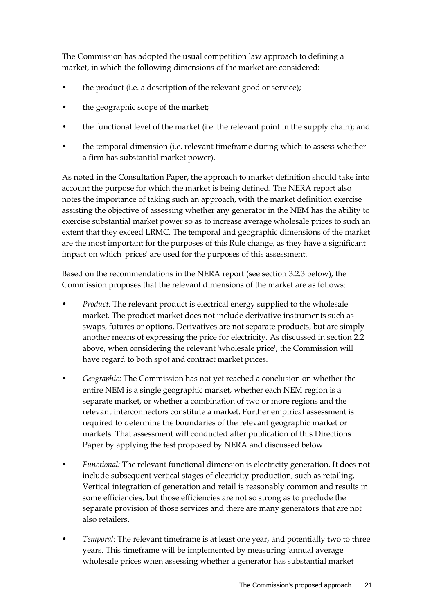The Commission has adopted the usual competition law approach to defining a market, in which the following dimensions of the market are considered:

- the product (i.e. a description of the relevant good or service);
- the geographic scope of the market;
- the functional level of the market (i.e. the relevant point in the supply chain); and
- the temporal dimension (i.e. relevant timeframe during which to assess whether a firm has substantial market power).

As noted in the Consultation Paper, the approach to market definition should take into account the purpose for which the market is being defined. The NERA report also notes the importance of taking such an approach, with the market definition exercise assisting the objective of assessing whether any generator in the NEM has the ability to exercise substantial market power so as to increase average wholesale prices to such an extent that they exceed LRMC. The temporal and geographic dimensions of the market are the most important for the purposes of this Rule change, as they have a significant impact on which 'prices' are used for the purposes of this assessment.

Based on the recommendations in the NERA report (see section 3.2.3 below), the Commission proposes that the relevant dimensions of the market are as follows:

- *Product:* The relevant product is electrical energy supplied to the wholesale market. The product market does not include derivative instruments such as swaps, futures or options. Derivatives are not separate products, but are simply another means of expressing the price for electricity. As discussed in section [2.2](#page-20-0) above, when considering the relevant 'wholesale price', the Commission will have regard to both spot and contract market prices.
- *Geographic:* The Commission has not yet reached a conclusion on whether the entire NEM is a single geographic market, whether each NEM region is a separate market, or whether a combination of two or more regions and the relevant interconnectors constitute a market. Further empirical assessment is required to determine the boundaries of the relevant geographic market or markets. That assessment will conducted after publication of this Directions Paper by applying the test proposed by NERA and discussed below.
- *Functional:* The relevant functional dimension is electricity generation. It does not include subsequent vertical stages of electricity production, such as retailing. Vertical integration of generation and retail is reasonably common and results in some efficiencies, but those efficiencies are not so strong as to preclude the separate provision of those services and there are many generators that are not also retailers.
- *Temporal:* The relevant timeframe is at least one year, and potentially two to three years. This timeframe will be implemented by measuring 'annual average' wholesale prices when assessing whether a generator has substantial market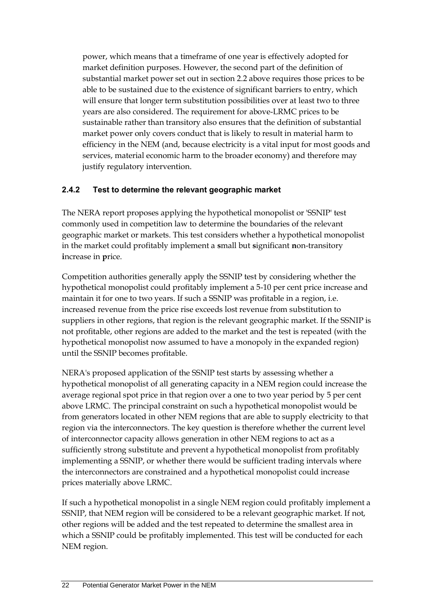power, which means that a timeframe of one year is effectively adopted for market definition purposes. However, the second part of the definition of substantial market power set out in section [2.2](#page-20-0) above requires those prices to be able to be sustained due to the existence of significant barriers to entry, which will ensure that longer term substitution possibilities over at least two to three years are also considered. The requirement for above-LRMC prices to be sustainable rather than transitory also ensures that the definition of substantial market power only covers conduct that is likely to result in material harm to efficiency in the NEM (and, because electricity is a vital input for most goods and services, material economic harm to the broader economy) and therefore may justify regulatory intervention.

## **2.4.2 Test to determine the relevant geographic market**

The NERA report proposes applying the hypothetical monopolist or 'SSNIP' test commonly used in competition law to determine the boundaries of the relevant geographic market or markets. This test considers whether a hypothetical monopolist in the market could profitably implement a **s**mall but **s**ignificant **n**on-transitory **i**ncrease in **p**rice.

Competition authorities generally apply the SSNIP test by considering whether the hypothetical monopolist could profitably implement a 5-10 per cent price increase and maintain it for one to two years. If such a SSNIP was profitable in a region, i.e. increased revenue from the price rise exceeds lost revenue from substitution to suppliers in other regions, that region is the relevant geographic market. If the SSNIP is not profitable, other regions are added to the market and the test is repeated (with the hypothetical monopolist now assumed to have a monopoly in the expanded region) until the SSNIP becomes profitable.

NERA's proposed application of the SSNIP test starts by assessing whether a hypothetical monopolist of all generating capacity in a NEM region could increase the average regional spot price in that region over a one to two year period by 5 per cent above LRMC. The principal constraint on such a hypothetical monopolist would be from generators located in other NEM regions that are able to supply electricity to that region via the interconnectors. The key question is therefore whether the current level of interconnector capacity allows generation in other NEM regions to act as a sufficiently strong substitute and prevent a hypothetical monopolist from profitably implementing a SSNIP, or whether there would be sufficient trading intervals where the interconnectors are constrained and a hypothetical monopolist could increase prices materially above LRMC.

If such a hypothetical monopolist in a single NEM region could profitably implement a SSNIP, that NEM region will be considered to be a relevant geographic market. If not, other regions will be added and the test repeated to determine the smallest area in which a SSNIP could be profitably implemented. This test will be conducted for each NEM region.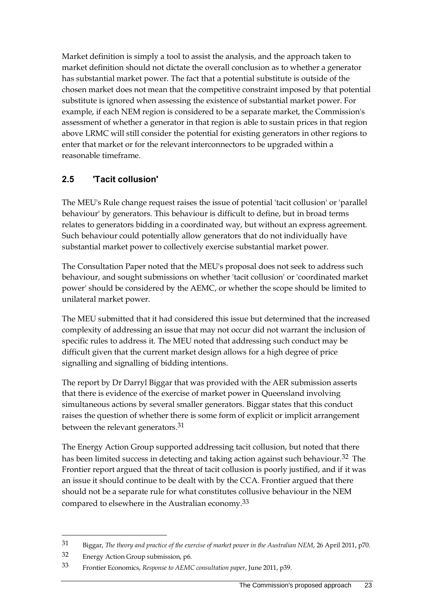Market definition is simply a tool to assist the analysis, and the approach taken to market definition should not dictate the overall conclusion as to whether a generator has substantial market power. The fact that a potential substitute is outside of the chosen market does not mean that the competitive constraint imposed by that potential substitute is ignored when assessing the existence of substantial market power. For example, if each NEM region is considered to be a separate market, the Commission's assessment of whether a generator in that region is able to sustain prices in that region above LRMC will still consider the potential for existing generators in other regions to enter that market or for the relevant interconnectors to be upgraded within a reasonable timeframe.

## <span id="page-32-0"></span>**2.5 'Tacit collusion'**

The MEU's Rule change request raises the issue of potential 'tacit collusion' or 'parallel behaviour' by generators. This behaviour is difficult to define, but in broad terms relates to generators bidding in a coordinated way, but without an express agreement. Such behaviour could potentially allow generators that do not individually have substantial market power to collectively exercise substantial market power.

The Consultation Paper noted that the MEU's proposal does not seek to address such behaviour, and sought submissions on whether 'tacit collusion' or 'coordinated market power' should be considered by the AEMC, or whether the scope should be limited to unilateral market power.

The MEU submitted that it had considered this issue but determined that the increased complexity of addressing an issue that may not occur did not warrant the inclusion of specific rules to address it. The MEU noted that addressing such conduct may be difficult given that the current market design allows for a high degree of price signalling and signalling of bidding intentions.

The report by Dr Darryl Biggar that was provided with the AER submission asserts that there is evidence of the exercise of market power in Queensland involving simultaneous actions by several smaller generators. Biggar states that this conduct raises the question of whether there is some form of explicit or implicit arrangement between the relevant generators.<sup>31</sup>

The Energy Action Group supported addressing tacit collusion, but noted that there has been limited success in detecting and taking action against such behaviour.<sup>32</sup> The Frontier report argued that the threat of tacit collusion is poorly justified, and if it was an issue it should continue to be dealt with by the CCA. Frontier argued that there should not be a separate rule for what constitutes collusive behaviour in the NEM compared to elsewhere in the Australian economy.33

<sup>31</sup> Biggar, *The theory and practice of the exercise of market power in the Australian NEM*, 26 April 2011, p70.

<sup>32</sup> Energy Action Group submission, p6.

<sup>33</sup> Frontier Economics, *Response to AEMC consultation paper*, June 2011, p39.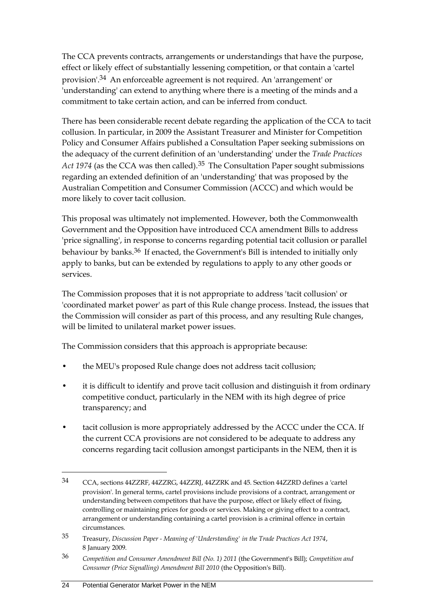The CCA prevents contracts, arrangements or understandings that have the purpose, effect or likely effect of substantially lessening competition, or that contain a 'cartel provision'.34 An enforceable agreement is not required. An 'arrangement' or 'understanding' can extend to anything where there is a meeting of the minds and a commitment to take certain action, and can be inferred from conduct.

There has been considerable recent debate regarding the application of the CCA to tacit collusion. In particular, in 2009 the Assistant Treasurer and Minister for Competition Policy and Consumer Affairs published a Consultation Paper seeking submissions on the adequacy of the current definition of an 'understanding' under the *Trade Practices*  Act 1974 (as the CCA was then called).<sup>35</sup> The Consultation Paper sought submissions regarding an extended definition of an 'understanding' that was proposed by the Australian Competition and Consumer Commission (ACCC) and which would be more likely to cover tacit collusion.

This proposal was ultimately not implemented. However, both the Commonwealth Government and the Opposition have introduced CCA amendment Bills to address 'price signalling', in response to concerns regarding potential tacit collusion or parallel behaviour by banks.36 If enacted, the Government's Bill is intended to initially only apply to banks, but can be extended by regulations to apply to any other goods or services.

The Commission proposes that it is not appropriate to address 'tacit collusion' or 'coordinated market power' as part of this Rule change process. Instead, the issues that the Commission will consider as part of this process, and any resulting Rule changes, will be limited to unilateral market power issues.

The Commission considers that this approach is appropriate because:

- the MEU's proposed Rule change does not address tacit collusion;
- it is difficult to identify and prove tacit collusion and distinguish it from ordinary competitive conduct, particularly in the NEM with its high degree of price transparency; and
- tacit collusion is more appropriately addressed by the ACCC under the CCA. If the current CCA provisions are not considered to be adequate to address any concerns regarding tacit collusion amongst participants in the NEM, then it is

<sup>34</sup> CCA, sections 44ZZRF, 44ZZRG, 44ZZRJ, 44ZZRK and 45. Section 44ZZRD defines a 'cartel provision'. In general terms, cartel provisions include provisions of a contract, arrangement or understanding between competitors that have the purpose, effect or likely effect of fixing, controlling or maintaining prices for goods or services. Making or giving effect to a contract, arrangement or understanding containing a cartel provision is a criminal offence in certain circumstances.

<sup>35</sup> Treasury, *Discussion Paper - Meaning of 'Understanding' in the Trade Practices Act 1974*, 8 January 2009.

<sup>36</sup> *Competition and Consumer Amendment Bill (No. 1) 2011* (the Government's Bill); *Competition and Consumer (Price Signalling) Amendment Bill 2010* (the Opposition's Bill).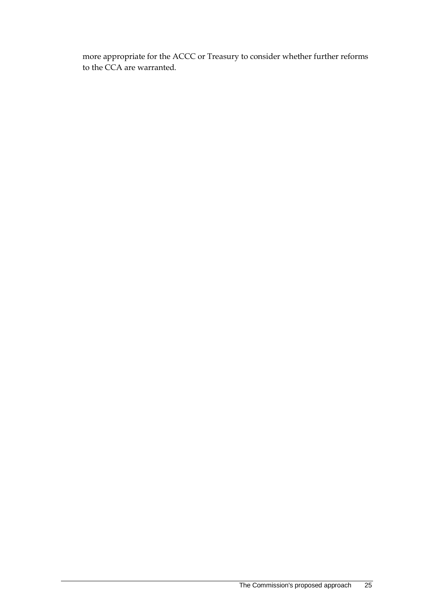more appropriate for the ACCC or Treasury to consider whether further reforms to the CCA are warranted.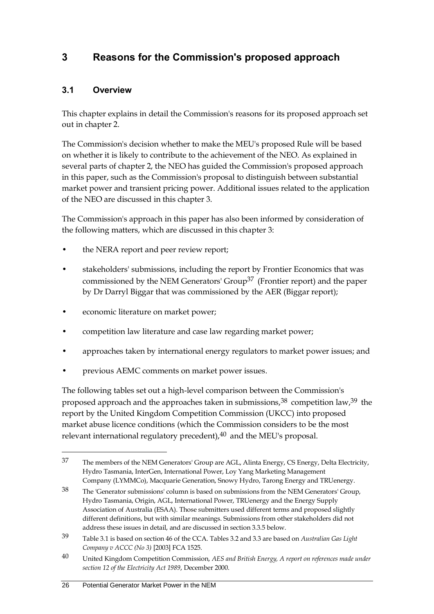# <span id="page-35-0"></span>**3 Reasons for the Commission's proposed approach**

## <span id="page-35-1"></span>**3.1 Overview**

This chapter explains in detail the Commission's reasons for its proposed approach set out in chapter 2.

The Commission's decision whether to make the MEU's proposed Rule will be based on whether it is likely to contribute to the achievement of the NEO. As explained in several parts of chapter 2, the NEO has guided the Commission's proposed approach in this paper, such as the Commission's proposal to distinguish between substantial market power and transient pricing power. Additional issues related to the application of the NEO are discussed in this chapter 3.

The Commission's approach in this paper has also been informed by consideration of the following matters, which are discussed in this chapter 3:

- the NERA report and peer review report;
- stakeholders' submissions, including the report by Frontier Economics that was commissioned by the NEM Generators' Group<sup>37</sup> (Frontier report) and the paper by Dr Darryl Biggar that was commissioned by the AER (Biggar report);
- economic literature on market power;
- competition law literature and case law regarding market power;
- approaches taken by international energy regulators to market power issues; and
- previous AEMC comments on market power issues.

The following tables set out a high-level comparison between the Commission's proposed approach and the approaches taken in submissions,  $38$  competition law,  $39$  the report by the United Kingdom Competition Commission (UKCC) into proposed market abuse licence conditions (which the Commission considers to be the most relevant international regulatory precedent), $40$  and the MEU's proposal.

<sup>37</sup> The members of the NEM Generators' Group are AGL, Alinta Energy, CS Energy, Delta Electricity, Hydro Tasmania, InterGen, International Power, Loy Yang Marketing Management Company (LYMMCo), Macquarie Generation, Snowy Hydro, Tarong Energy and TRUenergy.

<sup>38</sup> The 'Generator submissions' column is based on submissions from the NEM Generators' Group, Hydro Tasmania, Origin, AGL, International Power, TRUenergy and the Energy Supply Association of Australia (ESAA). Those submitters used different terms and proposed slightly different definitions, but with similar meanings. Submissions from other stakeholders did not address these issues in detail, and are discussed in section 3.3.5 below.

<sup>39</sup> Table 3.1 is based on section 46 of the CCA. Tables 3.2 and 3.3 are based on *Australian Gas Light Company v ACCC (No 3)* [2003] FCA 1525.

<sup>40</sup> United Kingdom Competition Commission, *AES and British Energy, A report on references made under section 12 of the Electricity Act 1989*, December 2000.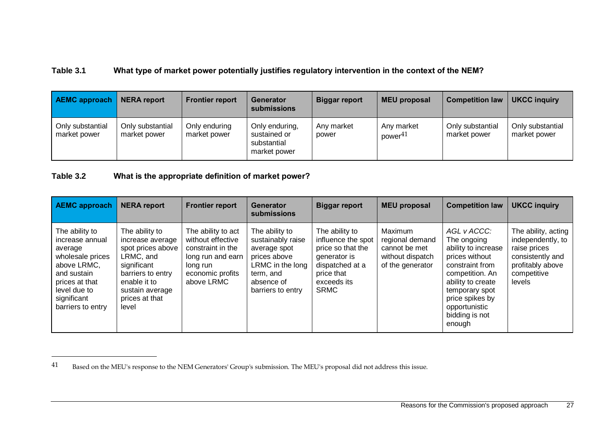#### **Table 3.1 What type of market power potentially justifies regulatory intervention in the context of the NEM?**

| <b>AEMC approach</b>             | <b>NERA report</b>               | <b>Frontier report</b>        | Generator<br>submissions                                      | <b>Biggar report</b> | <b>MEU proposal</b>               | <b>Competition law</b>           | <b>UKCC inquiry</b>              |
|----------------------------------|----------------------------------|-------------------------------|---------------------------------------------------------------|----------------------|-----------------------------------|----------------------------------|----------------------------------|
| Only substantial<br>market power | Only substantial<br>market power | Only enduring<br>market power | Only enduring,<br>sustained or<br>substantial<br>market power | Any market<br>power  | Any market<br>power <sup>41</sup> | Only substantial<br>market power | Only substantial<br>market power |

#### **Table 3.2 What is the appropriate definition of market power?**

<u>.</u>

| <b>AEMC approach</b>                                                                                                                                                 | <b>NERA report</b>                                                                                                                                                     | <b>Frontier report</b>                                                                                                          | Generator<br><b>submissions</b>                                                                                                         | <b>Biggar report</b>                                                                                                                     | <b>MEU proposal</b>                                                                 | <b>Competition law</b>                                                                                                                                                                                           | <b>UKCC inquiry</b>                                                                                                       |
|----------------------------------------------------------------------------------------------------------------------------------------------------------------------|------------------------------------------------------------------------------------------------------------------------------------------------------------------------|---------------------------------------------------------------------------------------------------------------------------------|-----------------------------------------------------------------------------------------------------------------------------------------|------------------------------------------------------------------------------------------------------------------------------------------|-------------------------------------------------------------------------------------|------------------------------------------------------------------------------------------------------------------------------------------------------------------------------------------------------------------|---------------------------------------------------------------------------------------------------------------------------|
| The ability to<br>increase annual<br>average<br>wholesale prices<br>above LRMC,<br>and sustain<br>prices at that<br>level due to<br>significant<br>barriers to entry | The ability to<br>increase average<br>spot prices above<br>LRMC, and<br>significant<br>barriers to entry<br>enable it to<br>sustain average<br>prices at that<br>level | The ability to act<br>without effective<br>constraint in the<br>long run and earn<br>long run<br>economic profits<br>above LRMC | The ability to<br>sustainably raise<br>average spot<br>prices above<br>LRMC in the long<br>term, and<br>absence of<br>barriers to entry | The ability to<br>influence the spot<br>price so that the<br>generator is<br>dispatched at a<br>price that<br>exceeds its<br><b>SRMC</b> | Maximum<br>regional demand<br>cannot be met<br>without dispatch<br>of the generator | AGL v ACCC:<br>The ongoing<br>ability to increase<br>prices without<br>constraint from<br>competition. An<br>ability to create<br>temporary spot<br>price spikes by<br>opportunistic<br>bidding is not<br>enough | The ability, acting<br>independently, to<br>raise prices<br>consistently and<br>profitably above<br>competitive<br>levels |

<sup>41</sup> Based on the MEU's response to the NEM Generators' Group's submission. The MEU's proposal did not address this issue.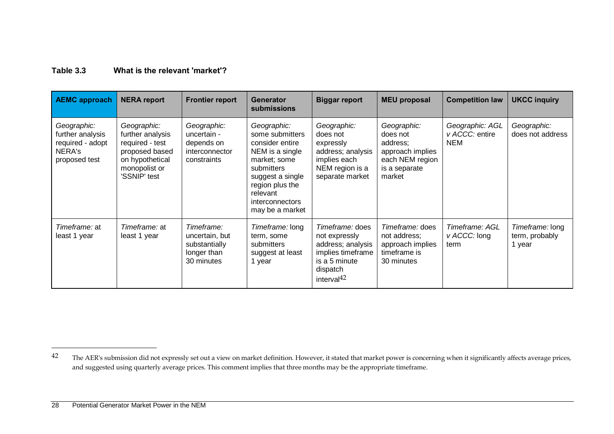#### **Table 3.3 What is the relevant 'market'?**

| <b>AEMC approach</b>                                                           | <b>NERA report</b>                                                                                                       | <b>Frontier report</b>                                                     | <b>Generator</b><br><b>submissions</b>                                                                                                                                                      | <b>Biggar report</b>                                                                                                     | <b>MEU proposal</b>                                                                                   | <b>Competition law</b>                          | <b>UKCC inquiry</b>                         |
|--------------------------------------------------------------------------------|--------------------------------------------------------------------------------------------------------------------------|----------------------------------------------------------------------------|---------------------------------------------------------------------------------------------------------------------------------------------------------------------------------------------|--------------------------------------------------------------------------------------------------------------------------|-------------------------------------------------------------------------------------------------------|-------------------------------------------------|---------------------------------------------|
| Geographic:<br>further analysis<br>required - adopt<br>NERA's<br>proposed test | Geographic:<br>further analysis<br>required - test<br>proposed based<br>on hypothetical<br>monopolist or<br>'SSNIP' test | Geographic:<br>uncertain -<br>depends on<br>interconnector<br>constraints  | Geographic:<br>some submitters<br>consider entire<br>NEM is a single<br>market; some<br>submitters<br>suggest a single<br>region plus the<br>relevant<br>interconnectors<br>may be a market | Geographic:<br>does not<br>expressly<br>address; analysis<br>implies each<br>NEM region is a<br>separate market          | Geographic:<br>does not<br>address;<br>approach implies<br>each NEM region<br>is a separate<br>market | Geographic: AGL<br>v ACCC: entire<br><b>NEM</b> | Geographic:<br>does not address             |
| Timeframe: at<br>least 1 year                                                  | Timeframe: at<br>least 1 year                                                                                            | Timeframe:<br>uncertain, but<br>substantially<br>longer than<br>30 minutes | Timeframe: long<br>term, some<br>submitters<br>suggest at least<br>1 year                                                                                                                   | Timeframe: does<br>not expressly<br>address; analysis<br>implies timeframe<br>is a 5 minute<br>dispatch<br>interval $42$ | Timeframe: does<br>not address;<br>approach implies<br>timeframe is<br>30 minutes                     | Timeframe: AGL<br>$V$ ACCC: long<br>term        | Timeframe: long<br>term, probably<br>1 year |

<u>.</u>

<sup>&</sup>lt;sup>42</sup> The AER's submission did not expressly set out a view on market definition. However, it stated that market power is concerning when it significantly affects average prices, and suggested using quarterly average prices. This comment implies that three months may be the appropriate timeframe.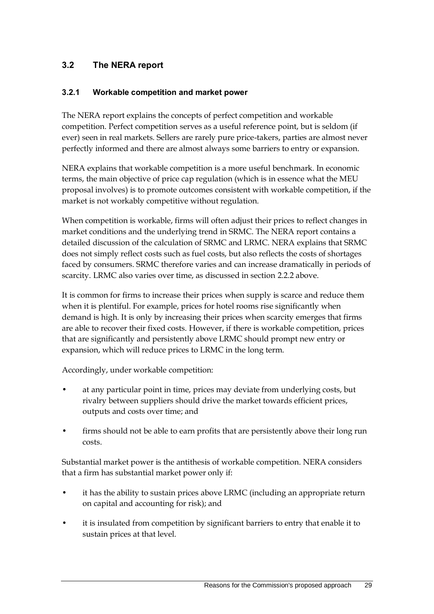## **3.2 The NERA report**

#### **3.2.1 Workable competition and market power**

The NERA report explains the concepts of perfect competition and workable competition. Perfect competition serves as a useful reference point, but is seldom (if ever) seen in real markets. Sellers are rarely pure price-takers, parties are almost never perfectly informed and there are almost always some barriers to entry or expansion.

NERA explains that workable competition is a more useful benchmark. In economic terms, the main objective of price cap regulation (which is in essence what the MEU proposal involves) is to promote outcomes consistent with workable competition, if the market is not workably competitive without regulation.

When competition is workable, firms will often adjust their prices to reflect changes in market conditions and the underlying trend in SRMC. The NERA report contains a detailed discussion of the calculation of SRMC and LRMC. NERA explains that SRMC does not simply reflect costs such as fuel costs, but also reflects the costs of shortages faced by consumers. SRMC therefore varies and can increase dramatically in periods of scarcity. LRMC also varies over time, as discussed in section 2.2.2 above.

It is common for firms to increase their prices when supply is scarce and reduce them when it is plentiful. For example, prices for hotel rooms rise significantly when demand is high. It is only by increasing their prices when scarcity emerges that firms are able to recover their fixed costs. However, if there is workable competition, prices that are significantly and persistently above LRMC should prompt new entry or expansion, which will reduce prices to LRMC in the long term.

Accordingly, under workable competition:

- at any particular point in time, prices may deviate from underlying costs, but rivalry between suppliers should drive the market towards efficient prices, outputs and costs over time; and
- firms should not be able to earn profits that are persistently above their long run costs.

Substantial market power is the antithesis of workable competition. NERA considers that a firm has substantial market power only if:

- it has the ability to sustain prices above LRMC (including an appropriate return on capital and accounting for risk); and
- it is insulated from competition by significant barriers to entry that enable it to sustain prices at that level.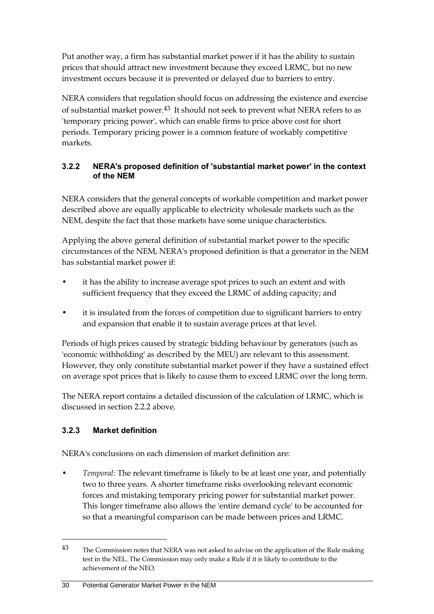Put another way, a firm has substantial market power if it has the ability to sustain prices that should attract new investment because they exceed LRMC, but no new investment occurs because it is prevented or delayed due to barriers to entry.

NERA considers that regulation should focus on addressing the existence and exercise of substantial market power.43 It should not seek to prevent what NERA refers to as 'temporary pricing power', which can enable firms to price above cost for short periods. Temporary pricing power is a common feature of workably competitive markets.

#### **3.2.2 NERA's proposed definition of 'substantial market power' in the context of the NEM**

NERA considers that the general concepts of workable competition and market power described above are equally applicable to electricity wholesale markets such as the NEM, despite the fact that those markets have some unique characteristics.

Applying the above general definition of substantial market power to the specific circumstances of the NEM, NERA's proposed definition is that a generator in the NEM has substantial market power if:

- it has the ability to increase average spot prices to such an extent and with sufficient frequency that they exceed the LRMC of adding capacity; and
- it is insulated from the forces of competition due to significant barriers to entry and expansion that enable it to sustain average prices at that level.

Periods of high prices caused by strategic bidding behaviour by generators (such as 'economic withholding' as described by the MEU) are relevant to this assessment. However, they only constitute substantial market power if they have a sustained effect on average spot prices that is likely to cause them to exceed LRMC over the long term.

The NERA report contains a detailed discussion of the calculation of LRMC, which is discussed in section 2.2.2 above.

## **3.2.3 Market definition**

 $\overline{a}$ 

NERA's conclusions on each dimension of market definition are:

• *Temporal:* The relevant timeframe is likely to be at least one year, and potentially two to three years. A shorter timeframe risks overlooking relevant economic forces and mistaking temporary pricing power for substantial market power. This longer timeframe also allows the 'entire demand cycle' to be accounted for so that a meaningful comparison can be made between prices and LRMC.

<sup>43</sup> The Commission notes that NERA was not asked to advise on the application of the Rule making test in the NEL. The Commission may only make a Rule if it is likely to contribute to the achievement of the NEO.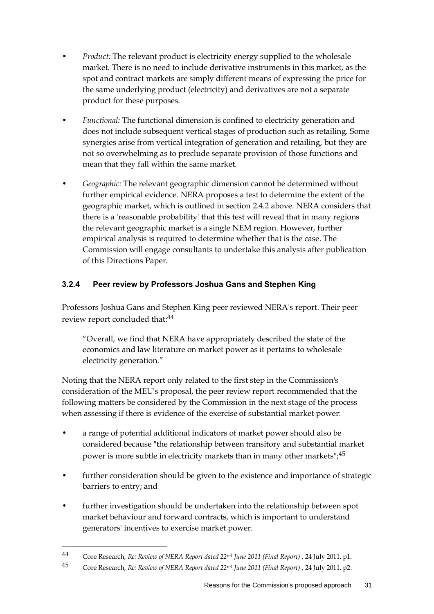- *Product:* The relevant product is electricity energy supplied to the wholesale market. There is no need to include derivative instruments in this market, as the spot and contract markets are simply different means of expressing the price for the same underlying product (electricity) and derivatives are not a separate product for these purposes.
- *Functional:* The functional dimension is confined to electricity generation and does not include subsequent vertical stages of production such as retailing. Some synergies arise from vertical integration of generation and retailing, but they are not so overwhelming as to preclude separate provision of those functions and mean that they fall within the same market.
- *Geographic:* The relevant geographic dimension cannot be determined without further empirical evidence. NERA proposes a test to determine the extent of the geographic market, which is outlined in section 2.4.2 above. NERA considers that there is a 'reasonable probability' that this test will reveal that in many regions the relevant geographic market is a single NEM region. However, further empirical analysis is required to determine whether that is the case. The Commission will engage consultants to undertake this analysis after publication of this Directions Paper.

### **3.2.4 Peer review by Professors Joshua Gans and Stephen King**

Professors Joshua Gans and Stephen King peer reviewed NERA's report. Their peer review report concluded that:44

"Overall, we find that NERA have appropriately described the state of the economics and law literature on market power as it pertains to wholesale electricity generation."

Noting that the NERA report only related to the first step in the Commission's consideration of the MEU's proposal, the peer review report recommended that the following matters be considered by the Commission in the next stage of the process when assessing if there is evidence of the exercise of substantial market power:

- a range of potential additional indicators of market power should also be considered because "the relationship between transitory and substantial market power is more subtle in electricity markets than in many other markets";  $45$
- further consideration should be given to the existence and importance of strategic barriers to entry; and
- further investigation should be undertaken into the relationship between spot market behaviour and forward contracts, which is important to understand generators' incentives to exercise market power.

<sup>44</sup> Core Research, *Re: Review of NERA Report dated 22nd June 2011 (Final Report)* , 24 July 2011, p1.

<sup>45</sup> Core Research, *Re: Review of NERA Report dated 22nd June 2011 (Final Report)* , 24 July 2011, p2.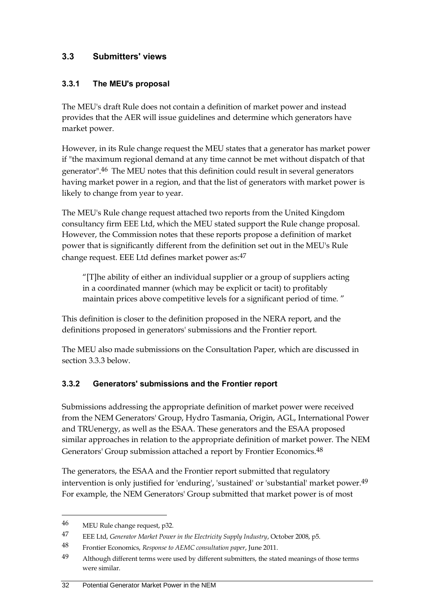## **3.3 Submitters' views**

### **3.3.1 The MEU's proposal**

The MEU's draft Rule does not contain a definition of market power and instead provides that the AER will issue guidelines and determine which generators have market power.

However, in its Rule change request the MEU states that a generator has market power if "the maximum regional demand at any time cannot be met without dispatch of that generator".46 The MEU notes that this definition could result in several generators having market power in a region, and that the list of generators with market power is likely to change from year to year.

The MEU's Rule change request attached two reports from the United Kingdom consultancy firm EEE Ltd, which the MEU stated support the Rule change proposal. However, the Commission notes that these reports propose a definition of market power that is significantly different from the definition set out in the MEU's Rule change request. EEE Ltd defines market power as: 47

"[T]he ability of either an individual supplier or a group of suppliers acting in a coordinated manner (which may be explicit or tacit) to profitably maintain prices above competitive levels for a significant period of time. "

This definition is closer to the definition proposed in the NERA report, and the definitions proposed in generators' submissions and the Frontier report.

The MEU also made submissions on the Consultation Paper, which are discussed in section 3.3.3 below.

## **3.3.2 Generators' submissions and the Frontier report**

Submissions addressing the appropriate definition of market power were received from the NEM Generators' Group, Hydro Tasmania, Origin, AGL, International Power and TRUenergy, as well as the ESAA. These generators and the ESAA proposed similar approaches in relation to the appropriate definition of market power. The NEM Generators' Group submission attached a report by Frontier Economics.48

The generators, the ESAA and the Frontier report submitted that regulatory intervention is only justified for 'enduring', 'sustained' or 'substantial' market power.49 For example, the NEM Generators' Group submitted that market power is of most

<sup>46</sup> MEU Rule change request, p32.

<sup>47</sup> EEE Ltd, *Generator Market Power in the Electricity Supply Industry*, October 2008, p5.

<sup>48</sup> Frontier Economics, *Response to AEMC consultation paper*, June 2011.

<sup>49</sup> Although different terms were used by different submitters, the stated meanings of those terms were similar.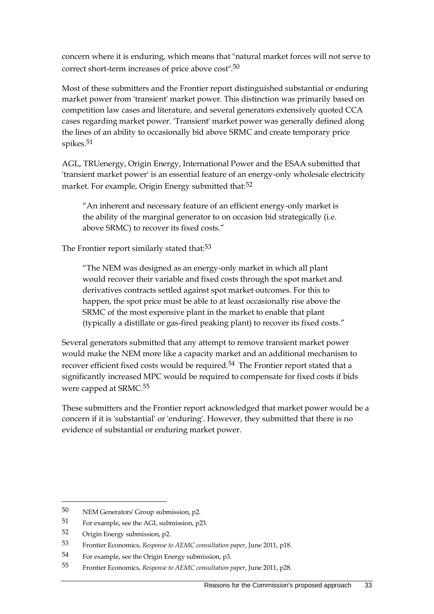concern where it is enduring, which means that "natural market forces will not serve to correct short-term increases of price above cost".50

Most of these submitters and the Frontier report distinguished substantial or enduring market power from 'transient' market power. This distinction was primarily based on competition law cases and literature, and several generators extensively quoted CCA cases regarding market power. 'Transient' market power was generally defined along the lines of an ability to occasionally bid above SRMC and create temporary price spikes.<sup>51</sup>

AGL, TRUenergy, Origin Energy, International Power and the ESAA submitted that 'transient market power' is an essential feature of an energy-only wholesale electricity market. For example, Origin Energy submitted that:<sup>52</sup>

"An inherent and necessary feature of an efficient energy-only market is the ability of the marginal generator to on occasion bid strategically (i.e. above SRMC) to recover its fixed costs."

The Frontier report similarly stated that:<sup>53</sup>

"The NEM was designed as an energy-only market in which all plant would recover their variable and fixed costs through the spot market and derivatives contracts settled against spot market outcomes. For this to happen, the spot price must be able to at least occasionally rise above the SRMC of the most expensive plant in the market to enable that plant (typically a distillate or gas-fired peaking plant) to recover its fixed costs."

Several generators submitted that any attempt to remove transient market power would make the NEM more like a capacity market and an additional mechanism to recover efficient fixed costs would be required.<sup>54</sup> The Frontier report stated that a significantly increased MPC would be required to compensate for fixed costs if bids were capped at SRMC.55

These submitters and the Frontier report acknowledged that market power would be a concern if it is 'substantial' or 'enduring'. However, they submitted that there is no evidence of substantial or enduring market power.

<sup>50</sup> NEM Generators' Group submission, p2.

<sup>51</sup> For example, see the AGL submission, p23.

<sup>52</sup> Origin Energy submission, p2.

<sup>53</sup> Frontier Economics, *Response to AEMC consultation paper*, June 2011, p18.

<sup>54</sup> For example, see the Origin Energy submission, p3.

<sup>55</sup> Frontier Economics, *Response to AEMC consultation paper*, June 2011, p28.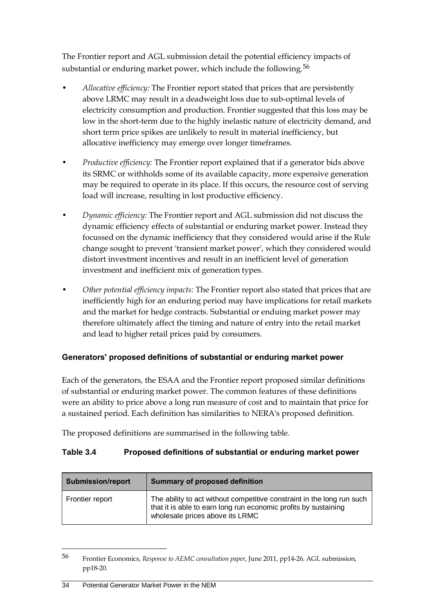The Frontier report and AGL submission detail the potential efficiency impacts of substantial or enduring market power, which include the following.<sup>56</sup>

- *Allocative efficiency:* The Frontier report stated that prices that are persistently above LRMC may result in a deadweight loss due to sub-optimal levels of electricity consumption and production. Frontier suggested that this loss may be low in the short-term due to the highly inelastic nature of electricity demand, and short term price spikes are unlikely to result in material inefficiency, but allocative inefficiency may emerge over longer timeframes.
- *Productive efficiency:* The Frontier report explained that if a generator bids above its SRMC or withholds some of its available capacity, more expensive generation may be required to operate in its place. If this occurs, the resource cost of serving load will increase, resulting in lost productive efficiency.
- *Dynamic efficiency:* The Frontier report and AGL submission did not discuss the dynamic efficiency effects of substantial or enduring market power. Instead they focussed on the dynamic inefficiency that they considered would arise if the Rule change sought to prevent 'transient market power', which they considered would distort investment incentives and result in an inefficient level of generation investment and inefficient mix of generation types.
- *Other potential efficiency impacts:* The Frontier report also stated that prices that are inefficiently high for an enduring period may have implications for retail markets and the market for hedge contracts. Substantial or enduing market power may therefore ultimately affect the timing and nature of entry into the retail market and lead to higher retail prices paid by consumers.

## **Generators' proposed definitions of substantial or enduring market power**

Each of the generators, the ESAA and the Frontier report proposed similar definitions of substantial or enduring market power. The common features of these definitions were an ability to price above a long run measure of cost and to maintain that price for a sustained period. Each definition has similarities to NERA's proposed definition.

The proposed definitions are summarised in the following table.

#### **Table 3.4 Proposed definitions of substantial or enduring market power**

| <b>Submission/report</b><br><b>Summary of proposed definition</b> |                                                                                                                                                                              |
|-------------------------------------------------------------------|------------------------------------------------------------------------------------------------------------------------------------------------------------------------------|
| Frontier report                                                   | The ability to act without competitive constraint in the long run such<br>that it is able to earn long run economic profits by sustaining<br>wholesale prices above its LRMC |

<sup>56</sup> Frontier Economics, *Response to AEMC consultation paper*, June 2011, pp14-26. AGL submission, pp18-20.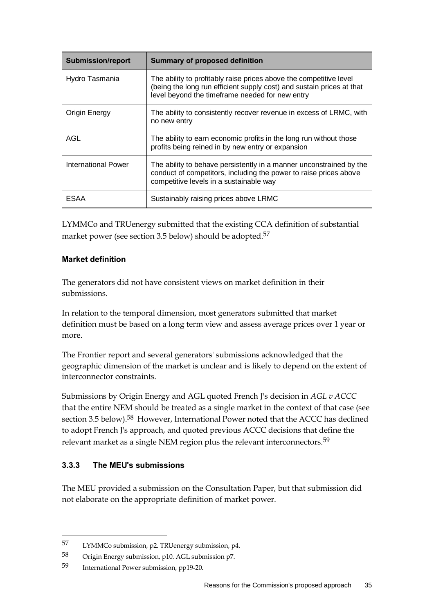| <b>Submission/report</b> | <b>Summary of proposed definition</b>                                                                                                                                                          |
|--------------------------|------------------------------------------------------------------------------------------------------------------------------------------------------------------------------------------------|
| Hydro Tasmania           | The ability to profitably raise prices above the competitive level<br>(being the long run efficient supply cost) and sustain prices at that<br>level beyond the timeframe needed for new entry |
| Origin Energy            | The ability to consistently recover revenue in excess of LRMC, with<br>no new entry                                                                                                            |
| AGL                      | The ability to earn economic profits in the long run without those<br>profits being reined in by new entry or expansion                                                                        |
| International Power      | The ability to behave persistently in a manner unconstrained by the<br>conduct of competitors, including the power to raise prices above<br>competitive levels in a sustainable way            |
| ESAA                     | Sustainably raising prices above LRMC                                                                                                                                                          |

LYMMCo and TRUenergy submitted that the existing CCA definition of substantial market power (see section [3.5](#page-52-0) below) should be adopted.<sup>57</sup>

#### **Market definition**

The generators did not have consistent views on market definition in their submissions.

In relation to the temporal dimension, most generators submitted that market definition must be based on a long term view and assess average prices over 1 year or more.

The Frontier report and several generators' submissions acknowledged that the geographic dimension of the market is unclear and is likely to depend on the extent of interconnector constraints.

Submissions by Origin Energy and AGL quoted French J's decision in *AGL v ACCC* that the entire NEM should be treated as a single market in the context of that case (see section [3.5](#page-52-0) below).<sup>58</sup> However, International Power noted that the ACCC has declined to adopt French J's approach, and quoted previous ACCC decisions that define the relevant market as a single NEM region plus the relevant interconnectors.59

#### **3.3.3 The MEU's submissions**

 $\overline{a}$ 

The MEU provided a submission on the Consultation Paper, but that submission did not elaborate on the appropriate definition of market power.

<sup>57</sup> LYMMCo submission, p2. TRUenergy submission, p4.

<sup>58</sup> Origin Energy submission, p10. AGL submission p7.

<sup>59</sup> International Power submission, pp19-20.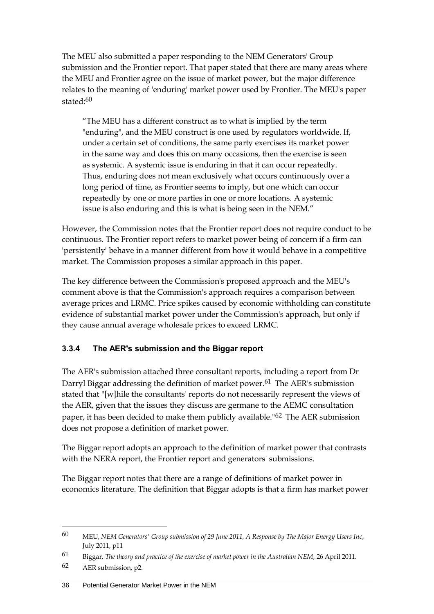The MEU also submitted a paper responding to the NEM Generators' Group submission and the Frontier report. That paper stated that there are many areas where the MEU and Frontier agree on the issue of market power, but the major difference relates to the meaning of 'enduring' market power used by Frontier. The MEU's paper stated:60

"The MEU has a different construct as to what is implied by the term "enduring", and the MEU construct is one used by regulators worldwide. If, under a certain set of conditions, the same party exercises its market power in the same way and does this on many occasions, then the exercise is seen as systemic. A systemic issue is enduring in that it can occur repeatedly. Thus, enduring does not mean exclusively what occurs continuously over a long period of time, as Frontier seems to imply, but one which can occur repeatedly by one or more parties in one or more locations. A systemic issue is also enduring and this is what is being seen in the NEM."

However, the Commission notes that the Frontier report does not require conduct to be continuous. The Frontier report refers to market power being of concern if a firm can 'persistently' behave in a manner different from how it would behave in a competitive market. The Commission proposes a similar approach in this paper.

The key difference between the Commission's proposed approach and the MEU's comment above is that the Commission's approach requires a comparison between average prices and LRMC. Price spikes caused by economic withholding can constitute evidence of substantial market power under the Commission's approach, but only if they cause annual average wholesale prices to exceed LRMC.

## **3.3.4 The AER's submission and the Biggar report**

The AER's submission attached three consultant reports, including a report from Dr Darryl Biggar addressing the definition of market power.<sup>61</sup> The AER's submission stated that "[w]hile the consultants' reports do not necessarily represent the views of the AER, given that the issues they discuss are germane to the AEMC consultation paper, it has been decided to make them publicly available."62 The AER submission does not propose a definition of market power.

The Biggar report adopts an approach to the definition of market power that contrasts with the NERA report, the Frontier report and generators' submissions.

The Biggar report notes that there are a range of definitions of market power in economics literature. The definition that Biggar adopts is that a firm has market power

<sup>60</sup> MEU, *NEM Generators' Group submission of 29 June 2011, A Response by The Major Energy Users Inc*, July 2011, p11

<sup>61</sup> Biggar, *The theory and practice of the exercise of market power in the Australian NEM*, 26 April 2011.

<sup>62</sup> AER submission, p2.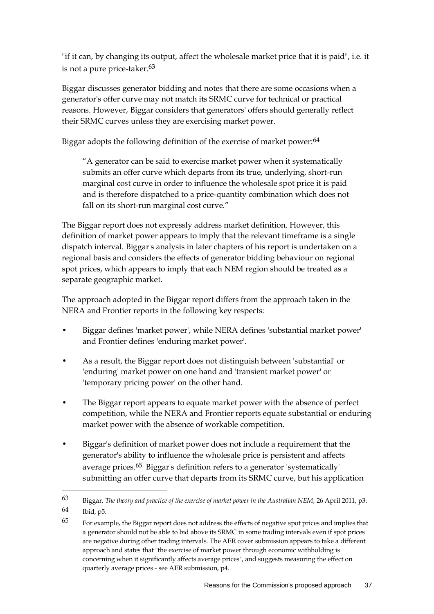"if it can, by changing its output, affect the wholesale market price that it is paid", i.e. it is not a pure price-taker.<sup>63</sup>

Biggar discusses generator bidding and notes that there are some occasions when a generator's offer curve may not match its SRMC curve for technical or practical reasons. However, Biggar considers that generators' offers should generally reflect their SRMC curves unless they are exercising market power.

Biggar adopts the following definition of the exercise of market power:<sup>64</sup>

"A generator can be said to exercise market power when it systematically submits an offer curve which departs from its true, underlying, short-run marginal cost curve in order to influence the wholesale spot price it is paid and is therefore dispatched to a price-quantity combination which does not fall on its short-run marginal cost curve."

The Biggar report does not expressly address market definition. However, this definition of market power appears to imply that the relevant timeframe is a single dispatch interval. Biggar's analysis in later chapters of his report is undertaken on a regional basis and considers the effects of generator bidding behaviour on regional spot prices, which appears to imply that each NEM region should be treated as a separate geographic market.

The approach adopted in the Biggar report differs from the approach taken in the NERA and Frontier reports in the following key respects:

- Biggar defines 'market power', while NERA defines 'substantial market power' and Frontier defines 'enduring market power'.
- As a result, the Biggar report does not distinguish between 'substantial' or 'enduring' market power on one hand and 'transient market power' or 'temporary pricing power' on the other hand.
- The Biggar report appears to equate market power with the absence of perfect competition, while the NERA and Frontier reports equate substantial or enduring market power with the absence of workable competition.
- Biggar's definition of market power does not include a requirement that the generator's ability to influence the wholesale price is persistent and affects average prices.65 Biggar's definition refers to a generator 'systematically' submitting an offer curve that departs from its SRMC curve, but his application

<sup>63</sup> Biggar, *The theory and practice of the exercise of market power in the Australian NEM*, 26 April 2011, p3. 64 Ibid, p5.

<sup>65</sup> For example, the Biggar report does not address the effects of negative spot prices and implies that a generator should not be able to bid above its SRMC in some trading intervals even if spot prices are negative during other trading intervals. The AER cover submission appears to take a different approach and states that "the exercise of market power through economic withholding is concerning when it significantly affects average prices", and suggests measuring the effect on quarterly average prices - see AER submission, p4.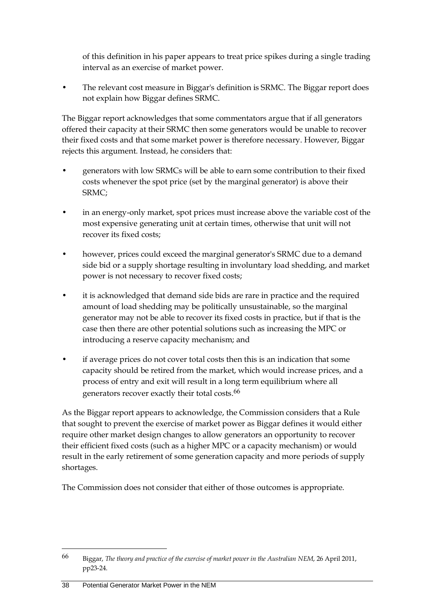of this definition in his paper appears to treat price spikes during a single trading interval as an exercise of market power.

The relevant cost measure in Biggar's definition is SRMC. The Biggar report does not explain how Biggar defines SRMC.

The Biggar report acknowledges that some commentators argue that if all generators offered their capacity at their SRMC then some generators would be unable to recover their fixed costs and that some market power is therefore necessary. However, Biggar rejects this argument. Instead, he considers that:

- generators with low SRMCs will be able to earn some contribution to their fixed costs whenever the spot price (set by the marginal generator) is above their SRMC;
- in an energy-only market, spot prices must increase above the variable cost of the most expensive generating unit at certain times, otherwise that unit will not recover its fixed costs;
- however, prices could exceed the marginal generator's SRMC due to a demand side bid or a supply shortage resulting in involuntary load shedding, and market power is not necessary to recover fixed costs;
- it is acknowledged that demand side bids are rare in practice and the required amount of load shedding may be politically unsustainable, so the marginal generator may not be able to recover its fixed costs in practice, but if that is the case then there are other potential solutions such as increasing the MPC or introducing a reserve capacity mechanism; and
- if average prices do not cover total costs then this is an indication that some capacity should be retired from the market, which would increase prices, and a process of entry and exit will result in a long term equilibrium where all generators recover exactly their total costs.66

As the Biggar report appears to acknowledge, the Commission considers that a Rule that sought to prevent the exercise of market power as Biggar defines it would either require other market design changes to allow generators an opportunity to recover their efficient fixed costs (such as a higher MPC or a capacity mechanism) or would result in the early retirement of some generation capacity and more periods of supply shortages.

The Commission does not consider that either of those outcomes is appropriate.

<sup>66</sup> Biggar, *The theory and practice of the exercise of market power in the Australian NEM*, 26 April 2011, pp23-24.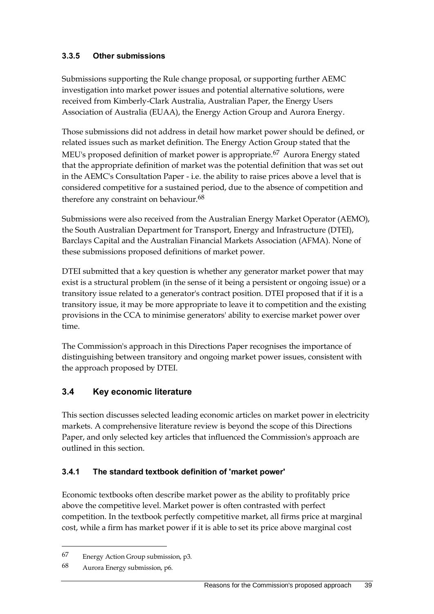### **3.3.5 Other submissions**

Submissions supporting the Rule change proposal, or supporting further AEMC investigation into market power issues and potential alternative solutions, were received from Kimberly-Clark Australia, Australian Paper, the Energy Users Association of Australia (EUAA), the Energy Action Group and Aurora Energy.

Those submissions did not address in detail how market power should be defined, or related issues such as market definition. The Energy Action Group stated that the MEU's proposed definition of market power is appropriate.<sup>67</sup> Aurora Energy stated that the appropriate definition of market was the potential definition that was set out in the AEMC's Consultation Paper - i.e. the ability to raise prices above a level that is considered competitive for a sustained period, due to the absence of competition and therefore any constraint on behaviour.<sup>68</sup>

Submissions were also received from the Australian Energy Market Operator (AEMO), the South Australian Department for Transport, Energy and Infrastructure (DTEI), Barclays Capital and the Australian Financial Markets Association (AFMA). None of these submissions proposed definitions of market power.

DTEI submitted that a key question is whether any generator market power that may exist is a structural problem (in the sense of it being a persistent or ongoing issue) or a transitory issue related to a generator's contract position. DTEI proposed that if it is a transitory issue, it may be more appropriate to leave it to competition and the existing provisions in the CCA to minimise generators' ability to exercise market power over time.

The Commission's approach in this Directions Paper recognises the importance of distinguishing between transitory and ongoing market power issues, consistent with the approach proposed by DTEI.

## **3.4 Key economic literature**

This section discusses selected leading economic articles on market power in electricity markets. A comprehensive literature review is beyond the scope of this Directions Paper, and only selected key articles that influenced the Commission's approach are outlined in this section.

#### **3.4.1 The standard textbook definition of 'market power'**

Economic textbooks often describe market power as the ability to profitably price above the competitive level. Market power is often contrasted with perfect competition. In the textbook perfectly competitive market, all firms price at marginal cost, while a firm has market power if it is able to set its price above marginal cost

<sup>67</sup> Energy Action Group submission, p3.

<sup>68</sup> Aurora Energy submission, p6.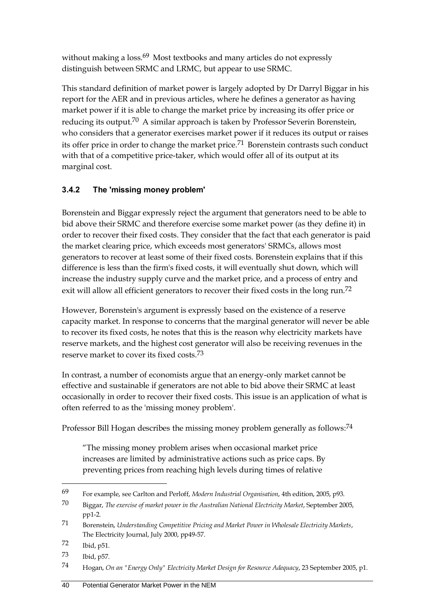without making a loss.<sup>69</sup> Most textbooks and many articles do not expressly distinguish between SRMC and LRMC, but appear to use SRMC.

This standard definition of market power is largely adopted by Dr Darryl Biggar in his report for the AER and in previous articles, where he defines a generator as having market power if it is able to change the market price by increasing its offer price or reducing its output.<sup>70</sup> A similar approach is taken by Professor Severin Borenstein, who considers that a generator exercises market power if it reduces its output or raises its offer price in order to change the market price.71 Borenstein contrasts such conduct with that of a competitive price-taker, which would offer all of its output at its marginal cost.

## **3.4.2 The 'missing money problem'**

Borenstein and Biggar expressly reject the argument that generators need to be able to bid above their SRMC and therefore exercise some market power (as they define it) in order to recover their fixed costs. They consider that the fact that each generator is paid the market clearing price, which exceeds most generators' SRMCs, allows most generators to recover at least some of their fixed costs. Borenstein explains that if this difference is less than the firm's fixed costs, it will eventually shut down, which will increase the industry supply curve and the market price, and a process of entry and exit will allow all efficient generators to recover their fixed costs in the long run.<sup>72</sup>

However, Borenstein's argument is expressly based on the existence of a reserve capacity market. In response to concerns that the marginal generator will never be able to recover its fixed costs, he notes that this is the reason why electricity markets have reserve markets, and the highest cost generator will also be receiving revenues in the reserve market to cover its fixed costs.73

In contrast, a number of economists argue that an energy-only market cannot be effective and sustainable if generators are not able to bid above their SRMC at least occasionally in order to recover their fixed costs. This issue is an application of what is often referred to as the 'missing money problem'.

Professor Bill Hogan describes the missing money problem generally as follows:<sup>74</sup>

"The missing money problem arises when occasional market price increases are limited by administrative actions such as price caps. By preventing prices from reaching high levels during times of relative

<sup>69</sup> For example, see Carlton and Perloff, *Modern Industrial Organisation*, 4th edition, 2005, p93.

<sup>70</sup> Biggar, *The exercise of market power in the Australian National Electricity Market*, September 2005, pp1-2.

<sup>71</sup> Borenstein, *Understanding Competitive Pricing and Market Power in Wholesale Electricity Markets*, The Electricity Journal, July 2000, pp49-57.

<sup>72</sup> Ibid, p51.

<sup>73</sup> Ibid, p57.

<sup>74</sup> Hogan, *On an "Energy Only" Electricity Market Design for Resource Adequacy*, 23 September 2005, p1.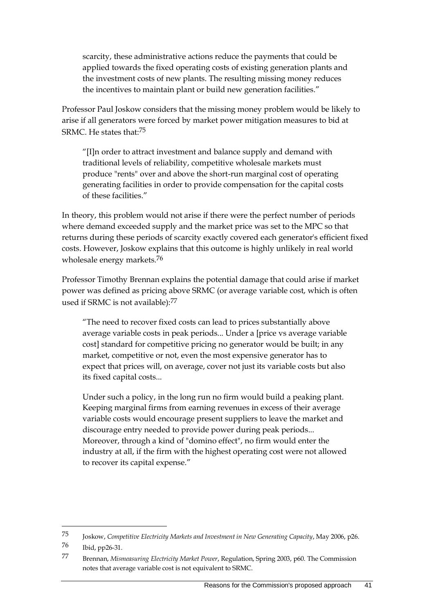scarcity, these administrative actions reduce the payments that could be applied towards the fixed operating costs of existing generation plants and the investment costs of new plants. The resulting missing money reduces the incentives to maintain plant or build new generation facilities."

Professor Paul Joskow considers that the missing money problem would be likely to arise if all generators were forced by market power mitigation measures to bid at SRMC. He states that:75

"[I]n order to attract investment and balance supply and demand with traditional levels of reliability, competitive wholesale markets must produce "rents" over and above the short-run marginal cost of operating generating facilities in order to provide compensation for the capital costs of these facilities."

In theory, this problem would not arise if there were the perfect number of periods where demand exceeded supply and the market price was set to the MPC so that returns during these periods of scarcity exactly covered each generator's efficient fixed costs. However, Joskow explains that this outcome is highly unlikely in real world wholesale energy markets.76

Professor Timothy Brennan explains the potential damage that could arise if market power was defined as pricing above SRMC (or average variable cost, which is often used if SRMC is not available):<sup>77</sup>

"The need to recover fixed costs can lead to prices substantially above average variable costs in peak periods... Under a [price vs average variable cost] standard for competitive pricing no generator would be built; in any market, competitive or not, even the most expensive generator has to expect that prices will, on average, cover not just its variable costs but also its fixed capital costs...

Under such a policy, in the long run no firm would build a peaking plant. Keeping marginal firms from earning revenues in excess of their average variable costs would encourage present suppliers to leave the market and discourage entry needed to provide power during peak periods... Moreover, through a kind of "domino effect", no firm would enter the industry at all, if the firm with the highest operating cost were not allowed to recover its capital expense."

<sup>75</sup> Joskow, *Competitive Electricity Markets and Investment in New Generating Capacity*, May 2006, p26.

<sup>76</sup> Ibid, pp26-31.

<sup>77</sup> Brennan, *Mismeasuring Electricity Market Power*, Regulation, Spring 2003, p60. The Commission notes that average variable cost is not equivalent to SRMC.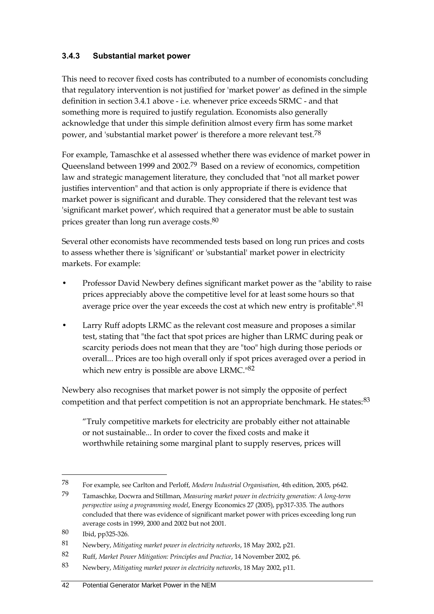#### **3.4.3 Substantial market power**

This need to recover fixed costs has contributed to a number of economists concluding that regulatory intervention is not justified for 'market power' as defined in the simple definition in section 3.4.1 above - i.e. whenever price exceeds SRMC - and that something more is required to justify regulation. Economists also generally acknowledge that under this simple definition almost every firm has some market power, and 'substantial market power' is therefore a more relevant test.78

For example, Tamaschke et al assessed whether there was evidence of market power in Queensland between 1999 and 2002.79 Based on a review of economics, competition law and strategic management literature, they concluded that "not all market power justifies intervention" and that action is only appropriate if there is evidence that market power is significant and durable. They considered that the relevant test was 'significant market power', which required that a generator must be able to sustain prices greater than long run average costs. $^{80}$ 

Several other economists have recommended tests based on long run prices and costs to assess whether there is 'significant' or 'substantial' market power in electricity markets. For example:

- Professor David Newbery defines significant market power as the "ability to raise prices appreciably above the competitive level for at least some hours so that average price over the year exceeds the cost at which new entry is profitable".<sup>81</sup>
- Larry Ruff adopts LRMC as the relevant cost measure and proposes a similar test, stating that "the fact that spot prices are higher than LRMC during peak or scarcity periods does not mean that they are "too" high during those periods or overall... Prices are too high overall only if spot prices averaged over a period in which new entry is possible are above LRMC.<sup>182</sup>

Newbery also recognises that market power is not simply the opposite of perfect competition and that perfect competition is not an appropriate benchmark. He states: 83

"Truly competitive markets for electricity are probably either not attainable or not sustainable... In order to cover the fixed costs and make it worthwhile retaining some marginal plant to supply reserves, prices will

<sup>78</sup> For example, see Carlton and Perloff, *Modern Industrial Organisation*, 4th edition, 2005, p642.

<sup>79</sup> Tamaschke, Docwra and Stillman, *Measuring market power in electricity generation: A long-term perspective using a programming model*, Energy Economics 27 (2005), pp317-335. The authors concluded that there was evidence of significant market power with prices exceeding long run average costs in 1999, 2000 and 2002 but not 2001.

<sup>80</sup> Ibid, pp325-326.

<sup>81</sup> Newbery, *Mitigating market power in electricity networks*, 18 May 2002, p21.

<sup>82</sup> Ruff, *Market Power Mitigation: Principles and Practice*, 14 November 2002, p6.

<sup>83</sup> Newbery, *Mitigating market power in electricity networks*, 18 May 2002, p11.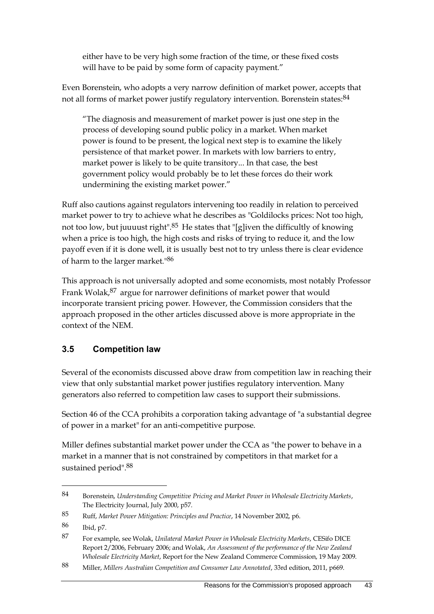either have to be very high some fraction of the time, or these fixed costs will have to be paid by some form of capacity payment."

Even Borenstein, who adopts a very narrow definition of market power, accepts that not all forms of market power justify regulatory intervention. Borenstein states: <sup>84</sup>

"The diagnosis and measurement of market power is just one step in the process of developing sound public policy in a market. When market power is found to be present, the logical next step is to examine the likely persistence of that market power. In markets with low barriers to entry, market power is likely to be quite transitory... In that case, the best government policy would probably be to let these forces do their work undermining the existing market power."

Ruff also cautions against regulators intervening too readily in relation to perceived market power to try to achieve what he describes as "Goldilocks prices: Not too high, not too low, but juuuust right".85 He states that "[g]iven the difficultly of knowing when a price is too high, the high costs and risks of trying to reduce it, and the low payoff even if it is done well, it is usually best not to try unless there is clear evidence of harm to the larger market."86

This approach is not universally adopted and some economists, most notably Professor Frank Wolak, <sup>87</sup> argue for narrower definitions of market power that would incorporate transient pricing power. However, the Commission considers that the approach proposed in the other articles discussed above is more appropriate in the context of the NEM.

## <span id="page-52-0"></span>**3.5 Competition law**

Several of the economists discussed above draw from competition law in reaching their view that only substantial market power justifies regulatory intervention. Many generators also referred to competition law cases to support their submissions.

Section 46 of the CCA prohibits a corporation taking advantage of "a substantial degree of power in a market" for an anti-competitive purpose.

Miller defines substantial market power under the CCA as "the power to behave in a market in a manner that is not constrained by competitors in that market for a sustained period".88

<sup>84</sup> Borenstein, *Understanding Competitive Pricing and Market Power in Wholesale Electricity Markets*, The Electricity Journal, July 2000, p57.

<sup>85</sup> Ruff, *Market Power Mitigation: Principles and Practice*, 14 November 2002, p6.

<sup>86</sup> Ibid, p7.

<sup>87</sup> For example, see Wolak, *Unilateral Market Power in Wholesale Electricity Markets*, CESifo DICE Report 2/2006, February 2006; and Wolak, *An Assessment of the performance of the New Zealand Wholesale Electricity Market*, Report for the New Zealand Commerce Commission, 19 May 2009.

<sup>88</sup> Miller, *Millers Australian Competition and Consumer Law Annotated*, 33rd edition, 2011, p669.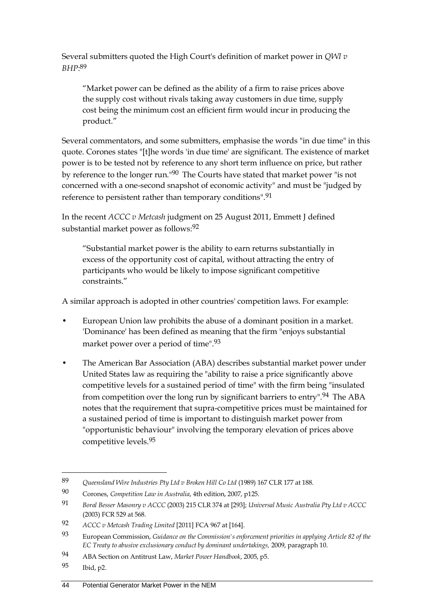Several submitters quoted the High Court's definition of market power in *QWI v BHP*: 89

"Market power can be defined as the ability of a firm to raise prices above the supply cost without rivals taking away customers in due time, supply cost being the minimum cost an efficient firm would incur in producing the product."

Several commentators, and some submitters, emphasise the words "in due time" in this quote. Corones states "[t]he words 'in due time' are significant. The existence of market power is to be tested not by reference to any short term influence on price, but rather by reference to the longer run."90 The Courts have stated that market power "is not concerned with a one-second snapshot of economic activity" and must be "judged by reference to persistent rather than temporary conditions".91

In the recent *ACCC v Metcash* judgment on 25 August 2011, Emmett J defined substantial market power as follows:92

"Substantial market power is the ability to earn returns substantially in excess of the opportunity cost of capital, without attracting the entry of participants who would be likely to impose significant competitive constraints."

A similar approach is adopted in other countries' competition laws. For example:

- European Union law prohibits the abuse of a dominant position in a market. 'Dominance' has been defined as meaning that the firm "enjoys substantial market power over a period of time".93
- The American Bar Association (ABA) describes substantial market power under United States law as requiring the "ability to raise a price significantly above competitive levels for a sustained period of time" with the firm being "insulated from competition over the long run by significant barriers to entry".<sup>94</sup> The ABA notes that the requirement that supra-competitive prices must be maintained for a sustained period of time is important to distinguish market power from "opportunistic behaviour" involving the temporary elevation of prices above competitive levels.95

<sup>89</sup> *Queensland Wire Industries Pty Ltd v Broken Hill Co Ltd* (1989) 167 CLR 177 at 188.

<sup>90</sup> Corones, *Competition Law in Australia*, 4th edition, 2007, p125.

<sup>91</sup> *Boral Besser Masonry v ACCC* (2003) 215 CLR 374 at [293]; *Universal Music Australia Pty Ltd v ACCC* (2003) FCR 529 at 568.

<sup>92</sup> *ACCC v Metcash Trading Limited* [2011] FCA 967 at [164].

<sup>93</sup> European Commission, *Guidance on the Commission's enforcement priorities in applying Article 82 of the EC Treaty to abusive exclusionary conduct by dominant undertakings,* 2009, paragraph 10.

<sup>94</sup> ABA Section on Antitrust Law, *Market Power Handbook*, 2005, p5.

<sup>95</sup> Ibid, p2.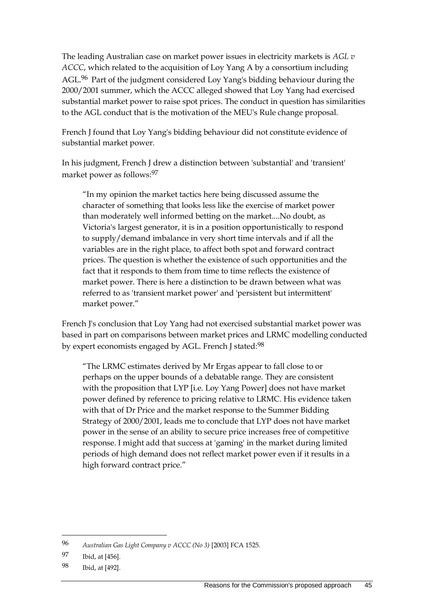The leading Australian case on market power issues in electricity markets is *AGL v ACCC*, which related to the acquisition of Loy Yang A by a consortium including AGL.96 Part of the judgment considered Loy Yang's bidding behaviour during the 2000/2001 summer, which the ACCC alleged showed that Loy Yang had exercised substantial market power to raise spot prices. The conduct in question has similarities to the AGL conduct that is the motivation of the MEU's Rule change proposal.

French J found that Loy Yang's bidding behaviour did not constitute evidence of substantial market power.

In his judgment, French J drew a distinction between 'substantial' and 'transient' market power as follows:97

"In my opinion the market tactics here being discussed assume the character of something that looks less like the exercise of market power than moderately well informed betting on the market....No doubt, as Victoria's largest generator, it is in a position opportunistically to respond to supply/demand imbalance in very short time intervals and if all the variables are in the right place, to affect both spot and forward contract prices. The question is whether the existence of such opportunities and the fact that it responds to them from time to time reflects the existence of market power. There is here a distinction to be drawn between what was referred to as 'transient market power' and 'persistent but intermittent' market power."

French J's conclusion that Loy Yang had not exercised substantial market power was based in part on comparisons between market prices and LRMC modelling conducted by expert economists engaged by AGL. French J stated:<sup>98</sup>

"The LRMC estimates derived by Mr Ergas appear to fall close to or perhaps on the upper bounds of a debatable range. They are consistent with the proposition that LYP [i.e. Loy Yang Power] does not have market power defined by reference to pricing relative to LRMC. His evidence taken with that of Dr Price and the market response to the Summer Bidding Strategy of 2000/2001, leads me to conclude that LYP does not have market power in the sense of an ability to secure price increases free of competitive response. I might add that success at 'gaming' in the market during limited periods of high demand does not reflect market power even if it results in a high forward contract price."

<sup>96</sup> *Australian Gas Light Company v ACCC (No 3)* [2003] FCA 1525.

<sup>97</sup> Ibid, at [456].

<sup>98</sup> Ibid, at [492].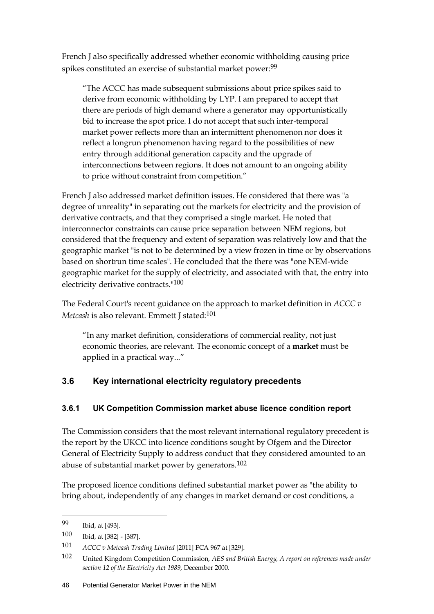French J also specifically addressed whether economic withholding causing price spikes constituted an exercise of substantial market power:<sup>99</sup>

"The ACCC has made subsequent submissions about price spikes said to derive from economic withholding by LYP. I am prepared to accept that there are periods of high demand where a generator may opportunistically bid to increase the spot price. I do not accept that such inter-temporal market power reflects more than an intermittent phenomenon nor does it reflect a longrun phenomenon having regard to the possibilities of new entry through additional generation capacity and the upgrade of interconnections between regions. It does not amount to an ongoing ability to price without constraint from competition."

French J also addressed market definition issues. He considered that there was "a degree of unreality" in separating out the markets for electricity and the provision of derivative contracts, and that they comprised a single market. He noted that interconnector constraints can cause price separation between NEM regions, but considered that the frequency and extent of separation was relatively low and that the geographic market "is not to be determined by a view frozen in time or by observations based on shortrun time scales". He concluded that the there was "one NEM-wide geographic market for the supply of electricity, and associated with that, the entry into electricity derivative contracts."100

The Federal Court's recent guidance on the approach to market definition in *ACCC v Metcash* is also relevant. Emmett J stated:<sup>101</sup>

"In any market definition, considerations of commercial reality, not just economic theories, are relevant. The economic concept of a **market** must be applied in a practical way..."

## **3.6 Key international electricity regulatory precedents**

#### **3.6.1 UK Competition Commission market abuse licence condition report**

The Commission considers that the most relevant international regulatory precedent is the report by the UKCC into licence conditions sought by Ofgem and the Director General of Electricity Supply to address conduct that they considered amounted to an abuse of substantial market power by generators.102

The proposed licence conditions defined substantial market power as "the ability to bring about, independently of any changes in market demand or cost conditions, a

<sup>99</sup> Ibid, at [493].

<sup>100</sup> Ibid, at [382] - [387].

<sup>101</sup> *ACCC v Metcash Trading Limited* [2011] FCA 967 at [329].

<sup>102</sup> United Kingdom Competition Commission, *AES and British Energy, A report on references made under section 12 of the Electricity Act 1989*, December 2000.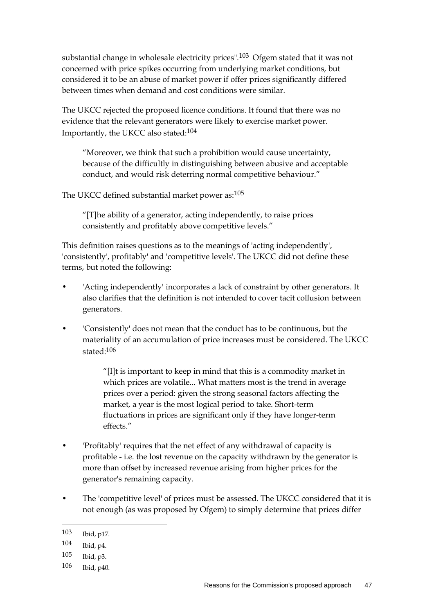substantial change in wholesale electricity prices".103 Ofgem stated that it was not concerned with price spikes occurring from underlying market conditions, but considered it to be an abuse of market power if offer prices significantly differed between times when demand and cost conditions were similar.

The UKCC rejected the proposed licence conditions. It found that there was no evidence that the relevant generators were likely to exercise market power. Importantly, the UKCC also stated:104

"Moreover, we think that such a prohibition would cause uncertainty, because of the difficultly in distinguishing between abusive and acceptable conduct, and would risk deterring normal competitive behaviour."

The UKCC defined substantial market power as:<sup>105</sup>

"[T]he ability of a generator, acting independently, to raise prices consistently and profitably above competitive levels."

This definition raises questions as to the meanings of 'acting independently', 'consistently', profitably' and 'competitive levels'. The UKCC did not define these terms, but noted the following:

- 'Acting independently' incorporates a lack of constraint by other generators. It also clarifies that the definition is not intended to cover tacit collusion between generators.
- 'Consistently' does not mean that the conduct has to be continuous, but the materiality of an accumulation of price increases must be considered. The UKCC stated:106

"[I]t is important to keep in mind that this is a commodity market in which prices are volatile... What matters most is the trend in average prices over a period: given the strong seasonal factors affecting the market, a year is the most logical period to take. Short-term fluctuations in prices are significant only if they have longer-term effects."

- 'Profitably' requires that the net effect of any withdrawal of capacity is profitable - i.e. the lost revenue on the capacity withdrawn by the generator is more than offset by increased revenue arising from higher prices for the generator's remaining capacity.
- The 'competitive level' of prices must be assessed. The UKCC considered that it is not enough (as was proposed by Ofgem) to simply determine that prices differ

<sup>103</sup> Ibid, p17.

<sup>104</sup> Ibid, p4.

<sup>105</sup> Ibid, p3.

<sup>106</sup> Ibid, p40.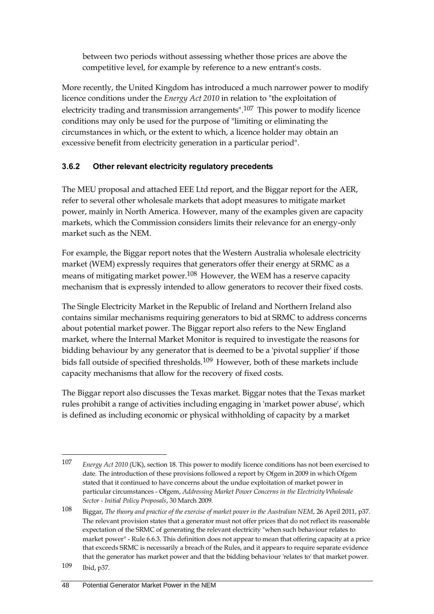between two periods without assessing whether those prices are above the competitive level, for example by reference to a new entrant's costs.

More recently, the United Kingdom has introduced a much narrower power to modify licence conditions under the *Energy Act 2010* in relation to "the exploitation of electricity trading and transmission arrangements".107 This power to modify licence conditions may only be used for the purpose of "limiting or eliminating the circumstances in which, or the extent to which, a licence holder may obtain an excessive benefit from electricity generation in a particular period".

## **3.6.2 Other relevant electricity regulatory precedents**

The MEU proposal and attached EEE Ltd report, and the Biggar report for the AER, refer to several other wholesale markets that adopt measures to mitigate market power, mainly in North America. However, many of the examples given are capacity markets, which the Commission considers limits their relevance for an energy-only market such as the NEM.

For example, the Biggar report notes that the Western Australia wholesale electricity market (WEM) expressly requires that generators offer their energy at SRMC as a means of mitigating market power.<sup>108</sup> However, the WEM has a reserve capacity mechanism that is expressly intended to allow generators to recover their fixed costs.

The Single Electricity Market in the Republic of Ireland and Northern Ireland also contains similar mechanisms requiring generators to bid at SRMC to address concerns about potential market power. The Biggar report also refers to the New England market, where the Internal Market Monitor is required to investigate the reasons for bidding behaviour by any generator that is deemed to be a 'pivotal supplier' if those bids fall outside of specified thresholds.109 However, both of these markets include capacity mechanisms that allow for the recovery of fixed costs.

The Biggar report also discusses the Texas market. Biggar notes that the Texas market rules prohibit a range of activities including engaging in 'market power abuse', which is defined as including economic or physical withholding of capacity by a market

<sup>107</sup> *Energy Act 2010* (UK), section 18. This power to modify licence conditions has not been exercised to date. The introduction of these provisions followed a report by Ofgem in 2009 in which Ofgem stated that it continued to have concerns about the undue exploitation of market power in particular circumstances - Ofgem, *Addressing Market Power Concerns in the Electricity Wholesale Sector - Initial Policy Proposals*, 30 March 2009.

<sup>108</sup> Biggar, *The theory and practice of the exercise of market power in the Australian NEM*, 26 April 2011, p37. The relevant provision states that a generator must not offer prices that do not reflect its reasonable expectation of the SRMC of generating the relevant electricity "when such behaviour relates to market power" - Rule 6.6.3. This definition does not appear to mean that offering capacity at a price that exceeds SRMC is necessarily a breach of the Rules, and it appears to require separate evidence that the generator has market power and that the bidding behaviour 'relates to' that market power.

<sup>109</sup> Ibid, p37.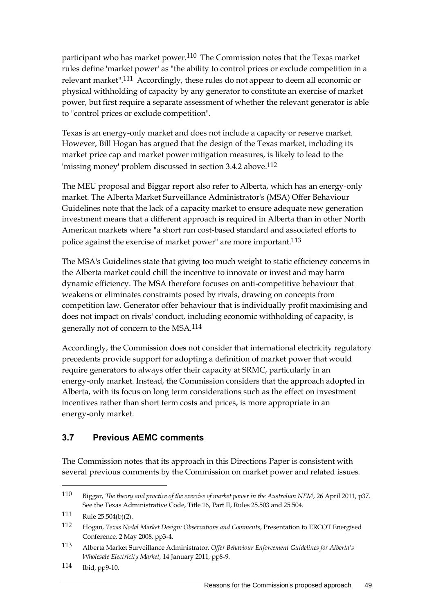participant who has market power.110 The Commission notes that the Texas market rules define 'market power' as "the ability to control prices or exclude competition in a relevant market".111 Accordingly, these rules do not appear to deem all economic or physical withholding of capacity by any generator to constitute an exercise of market power, but first require a separate assessment of whether the relevant generator is able to "control prices or exclude competition".

Texas is an energy-only market and does not include a capacity or reserve market. However, Bill Hogan has argued that the design of the Texas market, including its market price cap and market power mitigation measures, is likely to lead to the 'missing money' problem discussed in section 3.4.2 above.112

The MEU proposal and Biggar report also refer to Alberta, which has an energy-only market. The Alberta Market Surveillance Administrator's (MSA) Offer Behaviour Guidelines note that the lack of a capacity market to ensure adequate new generation investment means that a different approach is required in Alberta than in other North American markets where "a short run cost-based standard and associated efforts to police against the exercise of market power" are more important.113

The MSA's Guidelines state that giving too much weight to static efficiency concerns in the Alberta market could chill the incentive to innovate or invest and may harm dynamic efficiency. The MSA therefore focuses on anti-competitive behaviour that weakens or eliminates constraints posed by rivals, drawing on concepts from competition law. Generator offer behaviour that is individually profit maximising and does not impact on rivals' conduct, including economic withholding of capacity, is generally not of concern to the MSA.114

Accordingly, the Commission does not consider that international electricity regulatory precedents provide support for adopting a definition of market power that would require generators to always offer their capacity at SRMC, particularly in an energy-only market. Instead, the Commission considers that the approach adopted in Alberta, with its focus on long term considerations such as the effect on investment incentives rather than short term costs and prices, is more appropriate in an energy-only market.

#### **3.7 Previous AEMC comments**

The Commission notes that its approach in this Directions Paper is consistent with several previous comments by the Commission on market power and related issues.

 $\overline{a}$ 

114 Ibid, pp9-10.

<sup>110</sup> Biggar, *The theory and practice of the exercise of market power in the Australian NEM*, 26 April 2011, p37. See the Texas Administrative Code, Title 16, Part II, Rules 25.503 and 25.504.

<sup>111</sup> Rule 25.504(b)(2).

<sup>112</sup> Hogan, *Texas Nodal Market Design: Observations and Comments*, Presentation to ERCOT Energised Conference, 2 May 2008, pp3-4.

<sup>113</sup> Alberta Market Surveillance Administrator, *Offer Behaviour Enforcement Guidelines for Alberta's Wholesale Electricity Market*, 14 January 2011, pp8-9.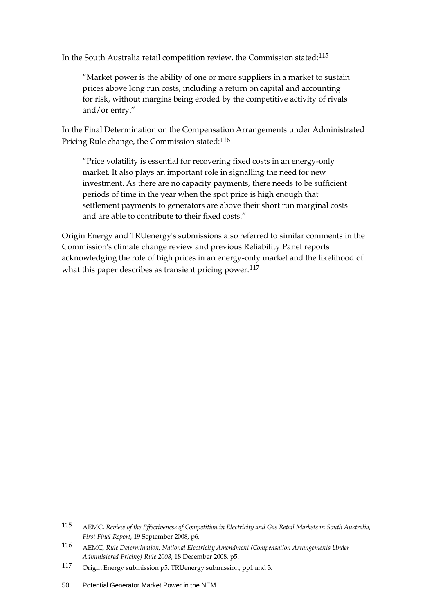In the South Australia retail competition review, the Commission stated:115

"Market power is the ability of one or more suppliers in a market to sustain prices above long run costs, including a return on capital and accounting for risk, without margins being eroded by the competitive activity of rivals and/or entry."

In the Final Determination on the Compensation Arrangements under Administrated Pricing Rule change, the Commission stated:116

"Price volatility is essential for recovering fixed costs in an energy-only market. It also plays an important role in signalling the need for new investment. As there are no capacity payments, there needs to be sufficient periods of time in the year when the spot price is high enough that settlement payments to generators are above their short run marginal costs and are able to contribute to their fixed costs."

Origin Energy and TRUenergy's submissions also referred to similar comments in the Commission's climate change review and previous Reliability Panel reports acknowledging the role of high prices in an energy-only market and the likelihood of what this paper describes as transient pricing power.  $117$ 

<sup>115</sup> AEMC, *Review of the Effectiveness of Competition in Electricity and Gas Retail Markets in South Australia, First Final Report*, 19 September 2008, p6.

<sup>116</sup> AEMC, *Rule Determination, National Electricity Amendment (Compensation Arrangements Under Administered Pricing) Rule 2008*, 18 December 2008, p5.

<sup>117</sup> Origin Energy submission p5. TRUenergy submission, pp1 and 3.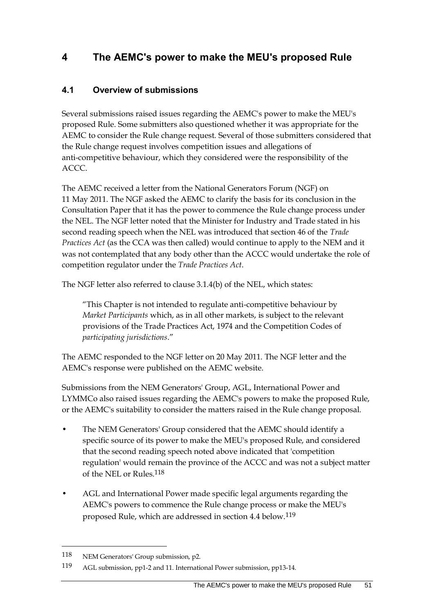# **4 The AEMC's power to make the MEU's proposed Rule**

## **4.1 Overview of submissions**

Several submissions raised issues regarding the AEMC's power to make the MEU's proposed Rule. Some submitters also questioned whether it was appropriate for the AEMC to consider the Rule change request. Several of those submitters considered that the Rule change request involves competition issues and allegations of anti-competitive behaviour, which they considered were the responsibility of the ACCC.

The AEMC received a letter from the National Generators Forum (NGF) on 11 May 2011. The NGF asked the AEMC to clarify the basis for its conclusion in the Consultation Paper that it has the power to commence the Rule change process under the NEL. The NGF letter noted that the Minister for Industry and Trade stated in his second reading speech when the NEL was introduced that section 46 of the *Trade Practices Act* (as the CCA was then called) would continue to apply to the NEM and it was not contemplated that any body other than the ACCC would undertake the role of competition regulator under the *Trade Practices Act*.

The NGF letter also referred to clause 3.1.4(b) of the NEL, which states:

"This Chapter is not intended to regulate anti-competitive behaviour by *Market Participants* which, as in all other markets, is subject to the relevant provisions of the Trade Practices Act, 1974 and the Competition Codes of *participating jurisdictions*."

The AEMC responded to the NGF letter on 20 May 2011. The NGF letter and the AEMC's response were published on the AEMC website.

Submissions from the NEM Generators' Group, AGL, International Power and LYMMCo also raised issues regarding the AEMC's powers to make the proposed Rule, or the AEMC's suitability to consider the matters raised in the Rule change proposal.

- The NEM Generators' Group considered that the AEMC should identify a specific source of its power to make the MEU's proposed Rule, and considered that the second reading speech noted above indicated that 'competition regulation' would remain the province of the ACCC and was not a subject matter of the NEL or Rules.118
- AGL and International Power made specific legal arguments regarding the AEMC's powers to commence the Rule change process or make the MEU's proposed Rule, which are addressed in section [4.4](#page-63-0) below.119

<sup>118</sup> NEM Generators' Group submission, p2.

<sup>119</sup> AGL submission, pp1-2 and 11. International Power submission, pp13-14.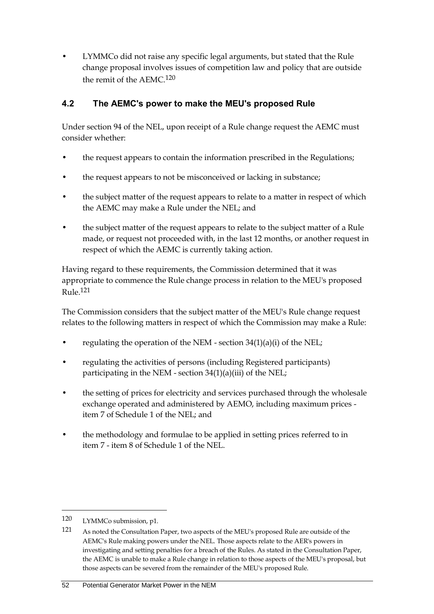• LYMMCo did not raise any specific legal arguments, but stated that the Rule change proposal involves issues of competition law and policy that are outside the remit of the AEMC.120

## **4.2 The AEMC's power to make the MEU's proposed Rule**

Under section 94 of the NEL, upon receipt of a Rule change request the AEMC must consider whether:

- the request appears to contain the information prescribed in the Regulations;
- the request appears to not be misconceived or lacking in substance;
- the subject matter of the request appears to relate to a matter in respect of which the AEMC may make a Rule under the NEL; and
- the subject matter of the request appears to relate to the subject matter of a Rule made, or request not proceeded with, in the last 12 months, or another request in respect of which the AEMC is currently taking action.

Having regard to these requirements, the Commission determined that it was appropriate to commence the Rule change process in relation to the MEU's proposed  $R_{11}$ le 121

The Commission considers that the subject matter of the MEU's Rule change request relates to the following matters in respect of which the Commission may make a Rule:

- regulating the operation of the NEM section  $34(1)(a)(i)$  of the NEL;
- regulating the activities of persons (including Registered participants) participating in the NEM - section  $34(1)(a)(iii)$  of the NEL;
- the setting of prices for electricity and services purchased through the wholesale exchange operated and administered by AEMO, including maximum prices item 7 of Schedule 1 of the NEL; and
- the methodology and formulae to be applied in setting prices referred to in item 7 - item 8 of Schedule 1 of the NEL.

<sup>120</sup> LYMMCo submission, p1.

<sup>121</sup> As noted the Consultation Paper, two aspects of the MEU's proposed Rule are outside of the AEMC's Rule making powers under the NEL. Those aspects relate to the AER's powers in investigating and setting penalties for a breach of the Rules. As stated in the Consultation Paper, the AEMC is unable to make a Rule change in relation to those aspects of the MEU's proposal, but those aspects can be severed from the remainder of the MEU's proposed Rule.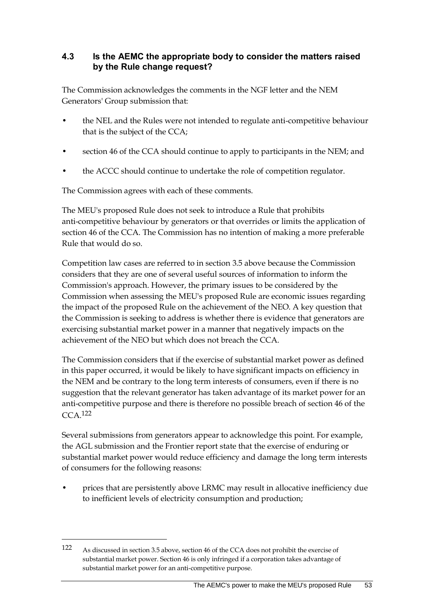#### **4.3 Is the AEMC the appropriate body to consider the matters raised by the Rule change request?**

The Commission acknowledges the comments in the NGF letter and the NEM Generators' Group submission that:

- the NEL and the Rules were not intended to regulate anti-competitive behaviour that is the subject of the CCA;
- section 46 of the CCA should continue to apply to participants in the NEM; and
- the ACCC should continue to undertake the role of competition regulator.

The Commission agrees with each of these comments.

The MEU's proposed Rule does not seek to introduce a Rule that prohibits anti-competitive behaviour by generators or that overrides or limits the application of section 46 of the CCA. The Commission has no intention of making a more preferable Rule that would do so.

Competition law cases are referred to in section [3.5](#page-52-0) above because the Commission considers that they are one of several useful sources of information to inform the Commission's approach. However, the primary issues to be considered by the Commission when assessing the MEU's proposed Rule are economic issues regarding the impact of the proposed Rule on the achievement of the NEO. A key question that the Commission is seeking to address is whether there is evidence that generators are exercising substantial market power in a manner that negatively impacts on the achievement of the NEO but which does not breach the CCA.

The Commission considers that if the exercise of substantial market power as defined in this paper occurred, it would be likely to have significant impacts on efficiency in the NEM and be contrary to the long term interests of consumers, even if there is no suggestion that the relevant generator has taken advantage of its market power for an anti-competitive purpose and there is therefore no possible breach of section 46 of the CCA.122

Several submissions from generators appear to acknowledge this point. For example, the AGL submission and the Frontier report state that the exercise of enduring or substantial market power would reduce efficiency and damage the long term interests of consumers for the following reasons:

• prices that are persistently above LRMC may result in allocative inefficiency due to inefficient levels of electricity consumption and production;

<sup>122</sup> As discussed in section 3.5 above, section 46 of the CCA does not prohibit the exercise of substantial market power. Section 46 is only infringed if a corporation takes advantage of substantial market power for an anti-competitive purpose.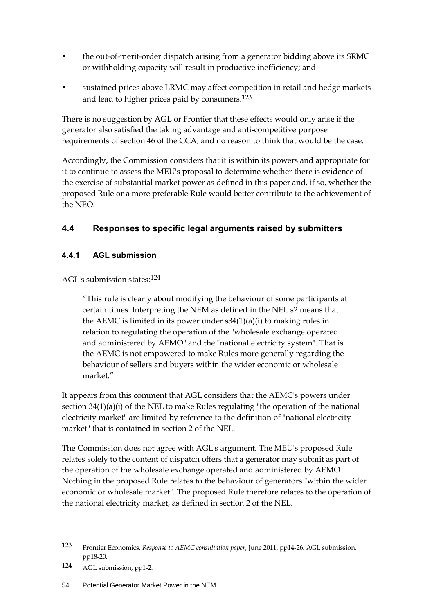- the out-of-merit-order dispatch arising from a generator bidding above its SRMC or withholding capacity will result in productive inefficiency; and
- sustained prices above LRMC may affect competition in retail and hedge markets and lead to higher prices paid by consumers.123

There is no suggestion by AGL or Frontier that these effects would only arise if the generator also satisfied the taking advantage and anti-competitive purpose requirements of section 46 of the CCA, and no reason to think that would be the case.

Accordingly, the Commission considers that it is within its powers and appropriate for it to continue to assess the MEU's proposal to determine whether there is evidence of the exercise of substantial market power as defined in this paper and, if so, whether the proposed Rule or a more preferable Rule would better contribute to the achievement of the NEO.

## <span id="page-63-0"></span>**4.4 Responses to specific legal arguments raised by submitters**

#### **4.4.1 AGL submission**

AGL's submission states:124

"This rule is clearly about modifying the behaviour of some participants at certain times. Interpreting the NEM as defined in the NEL s2 means that the AEMC is limited in its power under s34(1)(a)(i) to making rules in relation to regulating the operation of the "wholesale exchange operated and administered by AEMO" and the "national electricity system". That is the AEMC is not empowered to make Rules more generally regarding the behaviour of sellers and buyers within the wider economic or wholesale market"

It appears from this comment that AGL considers that the AEMC's powers under section 34(1)(a)(i) of the NEL to make Rules regulating "the operation of the national electricity market" are limited by reference to the definition of "national electricity market" that is contained in section 2 of the NEL.

The Commission does not agree with AGL's argument. The MEU's proposed Rule relates solely to the content of dispatch offers that a generator may submit as part of the operation of the wholesale exchange operated and administered by AEMO. Nothing in the proposed Rule relates to the behaviour of generators "within the wider economic or wholesale market". The proposed Rule therefore relates to the operation of the national electricity market, as defined in section 2 of the NEL.

<sup>123</sup> Frontier Economics, *Response to AEMC consultation paper*, June 2011, pp14-26. AGL submission, pp18-20.

<sup>124</sup> AGL submission, pp1-2.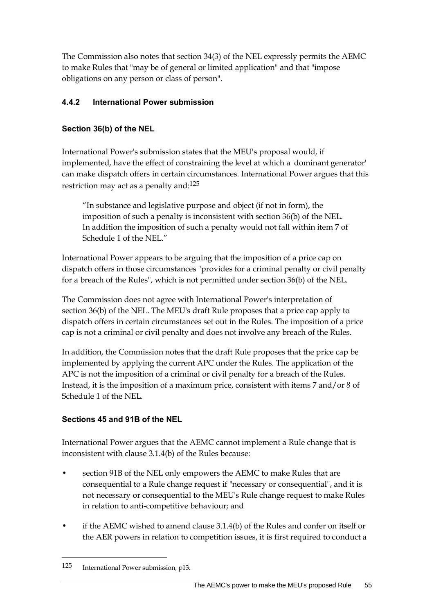The Commission also notes that section 34(3) of the NEL expressly permits the AEMC to make Rules that "may be of general or limited application" and that "impose obligations on any person or class of person".

## **4.4.2 International Power submission**

### **Section 36(b) of the NEL**

International Power's submission states that the MEU's proposal would, if implemented, have the effect of constraining the level at which a 'dominant generator' can make dispatch offers in certain circumstances. International Power argues that this restriction may act as a penalty and:125

"In substance and legislative purpose and object (if not in form), the imposition of such a penalty is inconsistent with section 36(b) of the NEL. In addition the imposition of such a penalty would not fall within item 7 of Schedule 1 of the NEL."

International Power appears to be arguing that the imposition of a price cap on dispatch offers in those circumstances "provides for a criminal penalty or civil penalty for a breach of the Rules", which is not permitted under section 36(b) of the NEL.

The Commission does not agree with International Power's interpretation of section 36(b) of the NEL. The MEU's draft Rule proposes that a price cap apply to dispatch offers in certain circumstances set out in the Rules. The imposition of a price cap is not a criminal or civil penalty and does not involve any breach of the Rules.

In addition, the Commission notes that the draft Rule proposes that the price cap be implemented by applying the current APC under the Rules. The application of the APC is not the imposition of a criminal or civil penalty for a breach of the Rules. Instead, it is the imposition of a maximum price, consistent with items 7 and/or 8 of Schedule 1 of the NEL.

#### **Sections 45 and 91B of the NEL**

International Power argues that the AEMC cannot implement a Rule change that is inconsistent with clause 3.1.4(b) of the Rules because:

- section 91B of the NEL only empowers the AEMC to make Rules that are consequential to a Rule change request if "necessary or consequential", and it is not necessary or consequential to the MEU's Rule change request to make Rules in relation to anti-competitive behaviour; and
- if the AEMC wished to amend clause  $3.1.4(b)$  of the Rules and confer on itself or the AER powers in relation to competition issues, it is first required to conduct a

<sup>125</sup> International Power submission, p13.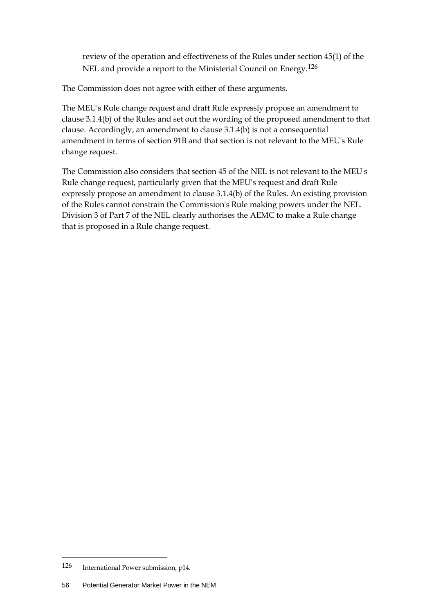review of the operation and effectiveness of the Rules under section 45(1) of the NEL and provide a report to the Ministerial Council on Energy.126

The Commission does not agree with either of these arguments.

The MEU's Rule change request and draft Rule expressly propose an amendment to clause 3.1.4(b) of the Rules and set out the wording of the proposed amendment to that clause. Accordingly, an amendment to clause 3.1.4(b) is not a consequential amendment in terms of section 91B and that section is not relevant to the MEU's Rule change request.

The Commission also considers that section 45 of the NEL is not relevant to the MEU's Rule change request, particularly given that the MEU's request and draft Rule expressly propose an amendment to clause 3.1.4(b) of the Rules. An existing provision of the Rules cannot constrain the Commission's Rule making powers under the NEL. Division 3 of Part 7 of the NEL clearly authorises the AEMC to make a Rule change that is proposed in a Rule change request.

<sup>126</sup> International Power submission, p14.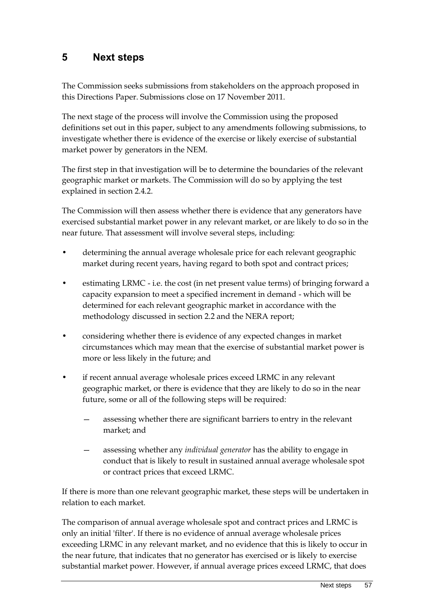## **5 Next steps**

The Commission seeks submissions from stakeholders on the approach proposed in this Directions Paper. Submissions close on 17 November 2011.

The next stage of the process will involve the Commission using the proposed definitions set out in this paper, subject to any amendments following submissions, to investigate whether there is evidence of the exercise or likely exercise of substantial market power by generators in the NEM.

The first step in that investigation will be to determine the boundaries of the relevant geographic market or markets. The Commission will do so by applying the test explained in section 2.4.2.

The Commission will then assess whether there is evidence that any generators have exercised substantial market power in any relevant market, or are likely to do so in the near future. That assessment will involve several steps, including:

- determining the annual average wholesale price for each relevant geographic market during recent years, having regard to both spot and contract prices;
- estimating LRMC i.e. the cost (in net present value terms) of bringing forward a capacity expansion to meet a specified increment in demand - which will be determined for each relevant geographic market in accordance with the methodology discussed in section [2.2](#page-20-0) and the NERA report;
- considering whether there is evidence of any expected changes in market circumstances which may mean that the exercise of substantial market power is more or less likely in the future; and
- if recent annual average wholesale prices exceed LRMC in any relevant geographic market, or there is evidence that they are likely to do so in the near future, some or all of the following steps will be required:
	- assessing whether there are significant barriers to entry in the relevant market; and
	- assessing whether any *individual generator* has the ability to engage in conduct that is likely to result in sustained annual average wholesale spot or contract prices that exceed LRMC.

If there is more than one relevant geographic market, these steps will be undertaken in relation to each market.

The comparison of annual average wholesale spot and contract prices and LRMC is only an initial 'filter'. If there is no evidence of annual average wholesale prices exceeding LRMC in any relevant market, and no evidence that this is likely to occur in the near future, that indicates that no generator has exercised or is likely to exercise substantial market power. However, if annual average prices exceed LRMC, that does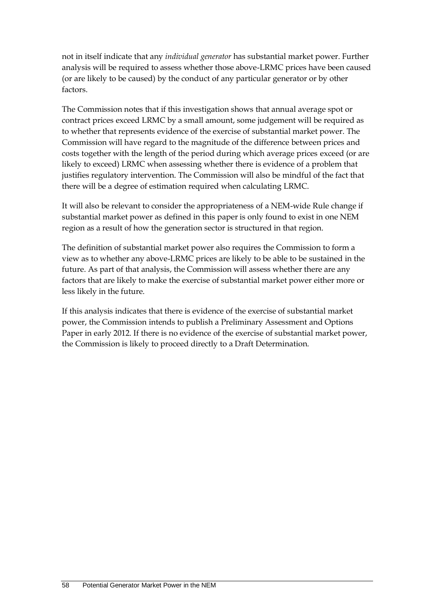not in itself indicate that any *individual generator* has substantial market power. Further analysis will be required to assess whether those above-LRMC prices have been caused (or are likely to be caused) by the conduct of any particular generator or by other factors.

The Commission notes that if this investigation shows that annual average spot or contract prices exceed LRMC by a small amount, some judgement will be required as to whether that represents evidence of the exercise of substantial market power. The Commission will have regard to the magnitude of the difference between prices and costs together with the length of the period during which average prices exceed (or are likely to exceed) LRMC when assessing whether there is evidence of a problem that justifies regulatory intervention. The Commission will also be mindful of the fact that there will be a degree of estimation required when calculating LRMC.

It will also be relevant to consider the appropriateness of a NEM-wide Rule change if substantial market power as defined in this paper is only found to exist in one NEM region as a result of how the generation sector is structured in that region.

The definition of substantial market power also requires the Commission to form a view as to whether any above-LRMC prices are likely to be able to be sustained in the future. As part of that analysis, the Commission will assess whether there are any factors that are likely to make the exercise of substantial market power either more or less likely in the future.

If this analysis indicates that there is evidence of the exercise of substantial market power, the Commission intends to publish a Preliminary Assessment and Options Paper in early 2012. If there is no evidence of the exercise of substantial market power, the Commission is likely to proceed directly to a Draft Determination.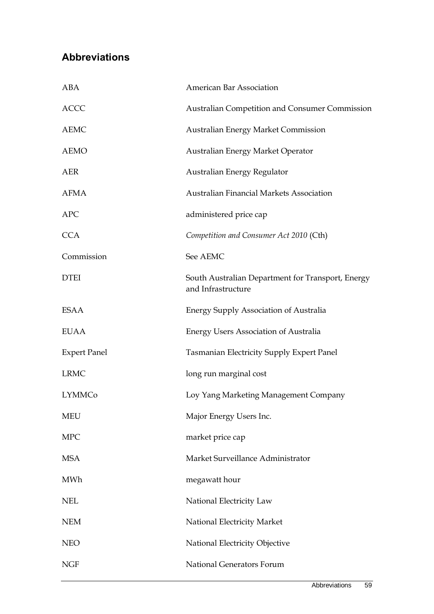# **Abbreviations**

| ABA                 | <b>American Bar Association</b>                                         |
|---------------------|-------------------------------------------------------------------------|
| <b>ACCC</b>         | <b>Australian Competition and Consumer Commission</b>                   |
| <b>AEMC</b>         | Australian Energy Market Commission                                     |
| <b>AEMO</b>         | Australian Energy Market Operator                                       |
| <b>AER</b>          | Australian Energy Regulator                                             |
| <b>AFMA</b>         | <b>Australian Financial Markets Association</b>                         |
| <b>APC</b>          | administered price cap                                                  |
| <b>CCA</b>          | Competition and Consumer Act 2010 (Cth)                                 |
| Commission          | See AEMC                                                                |
| <b>DTEI</b>         | South Australian Department for Transport, Energy<br>and Infrastructure |
| <b>ESAA</b>         | <b>Energy Supply Association of Australia</b>                           |
| <b>EUAA</b>         | <b>Energy Users Association of Australia</b>                            |
| <b>Expert Panel</b> | Tasmanian Electricity Supply Expert Panel                               |
| <b>LRMC</b>         | long run marginal cost                                                  |
| <b>LYMMCo</b>       | Loy Yang Marketing Management Company                                   |
| <b>MEU</b>          | Major Energy Users Inc.                                                 |
| <b>MPC</b>          | market price cap                                                        |
| <b>MSA</b>          | Market Surveillance Administrator                                       |
| MWh                 | megawatt hour                                                           |
| <b>NEL</b>          | National Electricity Law                                                |
| <b>NEM</b>          | National Electricity Market                                             |
| <b>NEO</b>          | National Electricity Objective                                          |
| <b>NGF</b>          | National Generators Forum                                               |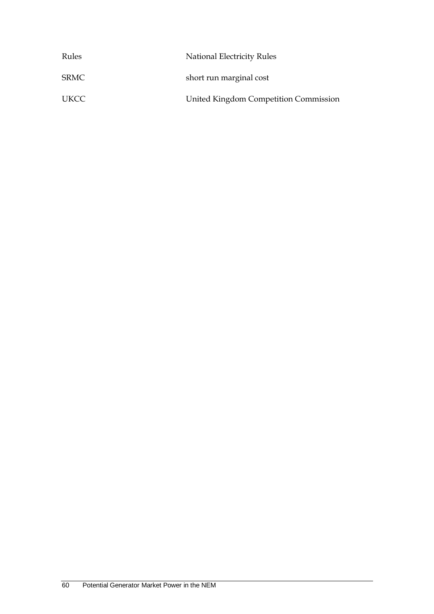| Rules | National Electricity Rules            |
|-------|---------------------------------------|
| SRMC  | short run marginal cost               |
| UKCC  | United Kingdom Competition Commission |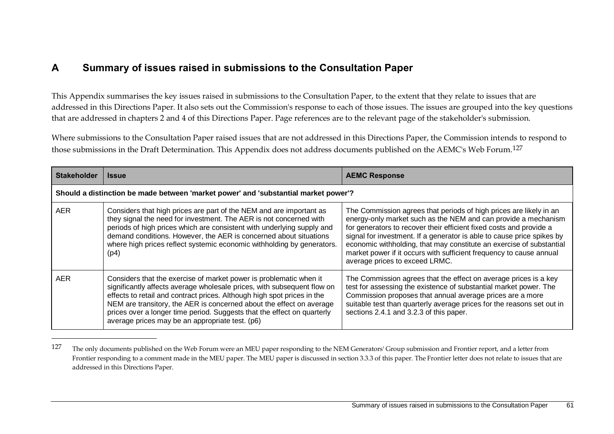## **A Summary of issues raised in submissions to the Consultation Paper**

<u>.</u>

This Appendix summarises the key issues raised in submissions to the Consultation Paper, to the extent that they relate to issues that are addressed in this Directions Paper. It also sets out the Commission's response to each of those issues. The issues are grouped into the key questions that are addressed in chapters 2 and 4 of this Directions Paper. Page references are to the relevant page of the stakeholder's submission.

Where submissions to the Consultation Paper raised issues that are not addressed in this Directions Paper, the Commission intends to respond to those submissions in the Draft Determination. This Appendix does not address documents published on the AEMC's Web Forum.127

| <b>Stakeholder</b>                                                                  | <b>Issue</b>                                                                                                                                                                                                                                                                                                                                                                                                                   | <b>AEMC Response</b>                                                                                                                                                                                                                                                                                                                                                                                                                                                   |  |  |
|-------------------------------------------------------------------------------------|--------------------------------------------------------------------------------------------------------------------------------------------------------------------------------------------------------------------------------------------------------------------------------------------------------------------------------------------------------------------------------------------------------------------------------|------------------------------------------------------------------------------------------------------------------------------------------------------------------------------------------------------------------------------------------------------------------------------------------------------------------------------------------------------------------------------------------------------------------------------------------------------------------------|--|--|
| Should a distinction be made between 'market power' and 'substantial market power'? |                                                                                                                                                                                                                                                                                                                                                                                                                                |                                                                                                                                                                                                                                                                                                                                                                                                                                                                        |  |  |
| AER.                                                                                | Considers that high prices are part of the NEM and are important as<br>they signal the need for investment. The AER is not concerned with<br>periods of high prices which are consistent with underlying supply and<br>demand conditions. However, the AER is concerned about situations<br>where high prices reflect systemic economic withholding by generators.<br>(p4)                                                     | The Commission agrees that periods of high prices are likely in an<br>energy-only market such as the NEM and can provide a mechanism<br>for generators to recover their efficient fixed costs and provide a<br>signal for investment. If a generator is able to cause price spikes by<br>economic withholding, that may constitute an exercise of substantial<br>market power if it occurs with sufficient frequency to cause annual<br>average prices to exceed LRMC. |  |  |
| <b>AER</b>                                                                          | Considers that the exercise of market power is problematic when it<br>significantly affects average wholesale prices, with subsequent flow on<br>effects to retail and contract prices. Although high spot prices in the<br>NEM are transitory, the AER is concerned about the effect on average<br>prices over a longer time period. Suggests that the effect on quarterly<br>average prices may be an appropriate test. (p6) | The Commission agrees that the effect on average prices is a key<br>test for assessing the existence of substantial market power. The<br>Commission proposes that annual average prices are a more<br>suitable test than quarterly average prices for the reasons set out in<br>sections 2.4.1 and 3.2.3 of this paper.                                                                                                                                                |  |  |

<sup>&</sup>lt;sup>127</sup> The only documents published on the Web Forum were an MEU paper responding to the NEM Generators' Group submission and Frontier report, and a letter from Frontier responding to a comment made in the MEU paper. The MEU paper is discussed in section 3.3.3 of this paper. The Frontier letter does not relate to issues that are addressed in this Directions Paper.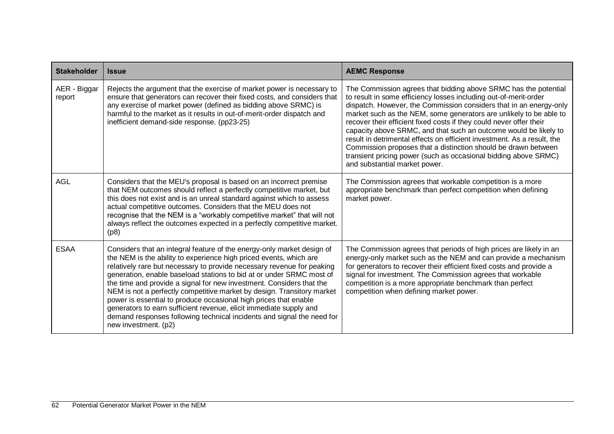| <b>Stakeholder</b>     | <b>Issue</b>                                                                                                                                                                                                                                                                                                                                                                                                                                                                                                                                                                                                                                                                                 | <b>AEMC Response</b>                                                                                                                                                                                                                                                                                                                                                                                                                                                                                                                                                                                                                                                        |
|------------------------|----------------------------------------------------------------------------------------------------------------------------------------------------------------------------------------------------------------------------------------------------------------------------------------------------------------------------------------------------------------------------------------------------------------------------------------------------------------------------------------------------------------------------------------------------------------------------------------------------------------------------------------------------------------------------------------------|-----------------------------------------------------------------------------------------------------------------------------------------------------------------------------------------------------------------------------------------------------------------------------------------------------------------------------------------------------------------------------------------------------------------------------------------------------------------------------------------------------------------------------------------------------------------------------------------------------------------------------------------------------------------------------|
| AER - Biggar<br>report | Rejects the argument that the exercise of market power is necessary to<br>ensure that generators can recover their fixed costs, and considers that<br>any exercise of market power (defined as bidding above SRMC) is<br>harmful to the market as it results in out-of-merit-order dispatch and<br>inefficient demand-side response. (pp23-25)                                                                                                                                                                                                                                                                                                                                               | The Commission agrees that bidding above SRMC has the potential<br>to result in some efficiency losses including out-of-merit-order<br>dispatch. However, the Commission considers that in an energy-only<br>market such as the NEM, some generators are unlikely to be able to<br>recover their efficient fixed costs if they could never offer their<br>capacity above SRMC, and that such an outcome would be likely to<br>result in detrimental effects on efficient investment. As a result, the<br>Commission proposes that a distinction should be drawn between<br>transient pricing power (such as occasional bidding above SRMC)<br>and substantial market power. |
| AGL                    | Considers that the MEU's proposal is based on an incorrect premise<br>that NEM outcomes should reflect a perfectly competitive market, but<br>this does not exist and is an unreal standard against which to assess<br>actual competitive outcomes. Considers that the MEU does not<br>recognise that the NEM is a "workably competitive market" that will not<br>always reflect the outcomes expected in a perfectly competitive market.<br>(p8)                                                                                                                                                                                                                                            | The Commission agrees that workable competition is a more<br>appropriate benchmark than perfect competition when defining<br>market power.                                                                                                                                                                                                                                                                                                                                                                                                                                                                                                                                  |
| <b>ESAA</b>            | Considers that an integral feature of the energy-only market design of<br>the NEM is the ability to experience high priced events, which are<br>relatively rare but necessary to provide necessary revenue for peaking<br>generation, enable baseload stations to bid at or under SRMC most of<br>the time and provide a signal for new investment. Considers that the<br>NEM is not a perfectly competitive market by design. Transitory market<br>power is essential to produce occasional high prices that enable<br>generators to earn sufficient revenue, elicit immediate supply and<br>demand responses following technical incidents and signal the need for<br>new investment. (p2) | The Commission agrees that periods of high prices are likely in an<br>energy-only market such as the NEM and can provide a mechanism<br>for generators to recover their efficient fixed costs and provide a<br>signal for investment. The Commission agrees that workable<br>competition is a more appropriate benchmark than perfect<br>competition when defining market power.                                                                                                                                                                                                                                                                                            |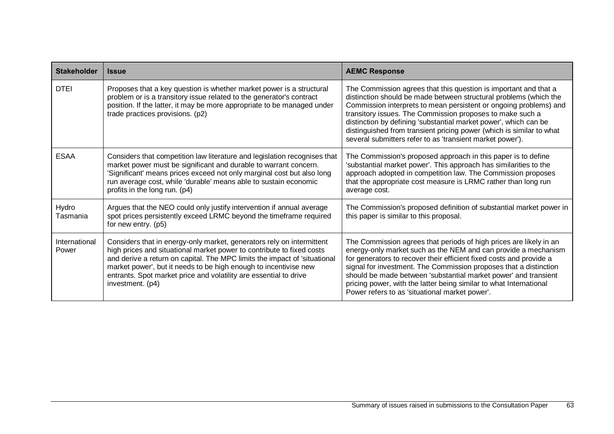| <b>Stakeholder</b>     | <b>Issue</b>                                                                                                                                                                                                                                                                                                                                                                             | <b>AEMC Response</b>                                                                                                                                                                                                                                                                                                                                                                                                                                                             |
|------------------------|------------------------------------------------------------------------------------------------------------------------------------------------------------------------------------------------------------------------------------------------------------------------------------------------------------------------------------------------------------------------------------------|----------------------------------------------------------------------------------------------------------------------------------------------------------------------------------------------------------------------------------------------------------------------------------------------------------------------------------------------------------------------------------------------------------------------------------------------------------------------------------|
| <b>DTEI</b>            | Proposes that a key question is whether market power is a structural<br>problem or is a transitory issue related to the generator's contract<br>position. If the latter, it may be more appropriate to be managed under<br>trade practices provisions. (p2)                                                                                                                              | The Commission agrees that this question is important and that a<br>distinction should be made between structural problems (which the<br>Commission interprets to mean persistent or ongoing problems) and<br>transitory issues. The Commission proposes to make such a<br>distinction by defining 'substantial market power', which can be<br>distinguished from transient pricing power (which is similar to what<br>several submitters refer to as 'transient market power'). |
| <b>ESAA</b>            | Considers that competition law literature and legislation recognises that<br>market power must be significant and durable to warrant concern.<br>'Significant' means prices exceed not only marginal cost but also long<br>run average cost, while 'durable' means able to sustain economic<br>profits in the long run. (p4)                                                             | The Commission's proposed approach in this paper is to define<br>'substantial market power'. This approach has similarities to the<br>approach adopted in competition law. The Commission proposes<br>that the appropriate cost measure is LRMC rather than long run<br>average cost.                                                                                                                                                                                            |
| Hydro<br>Tasmania      | Argues that the NEO could only justify intervention if annual average<br>spot prices persistently exceed LRMC beyond the timeframe required<br>for new entry. (p5)                                                                                                                                                                                                                       | The Commission's proposed definition of substantial market power in<br>this paper is similar to this proposal.                                                                                                                                                                                                                                                                                                                                                                   |
| International<br>Power | Considers that in energy-only market, generators rely on intermittent<br>high prices and situational market power to contribute to fixed costs<br>and derive a return on capital. The MPC limits the impact of 'situational<br>market power', but it needs to be high enough to incentivise new<br>entrants. Spot market price and volatility are essential to drive<br>investment. (p4) | The Commission agrees that periods of high prices are likely in an<br>energy-only market such as the NEM and can provide a mechanism<br>for generators to recover their efficient fixed costs and provide a<br>signal for investment. The Commission proposes that a distinction<br>should be made between 'substantial market power' and transient<br>pricing power, with the latter being similar to what International<br>Power refers to as 'situational market power'.      |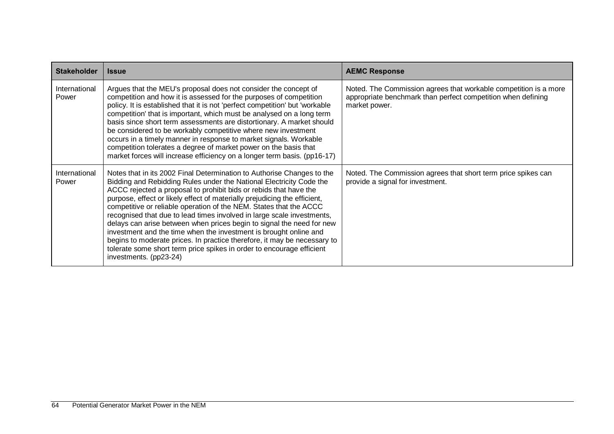| <b>Stakeholder</b>     | <b>Issue</b>                                                                                                                                                                                                                                                                                                                                                                                                                                                                                                                                                                                                                                                                                                                                                                 | <b>AEMC Response</b>                                                                                                                              |
|------------------------|------------------------------------------------------------------------------------------------------------------------------------------------------------------------------------------------------------------------------------------------------------------------------------------------------------------------------------------------------------------------------------------------------------------------------------------------------------------------------------------------------------------------------------------------------------------------------------------------------------------------------------------------------------------------------------------------------------------------------------------------------------------------------|---------------------------------------------------------------------------------------------------------------------------------------------------|
| International<br>Power | Argues that the MEU's proposal does not consider the concept of<br>competition and how it is assessed for the purposes of competition<br>policy. It is established that it is not 'perfect competition' but 'workable<br>competition' that is important, which must be analysed on a long term<br>basis since short term assessments are distortionary. A market should<br>be considered to be workably competitive where new investment<br>occurs in a timely manner in response to market signals. Workable<br>competition tolerates a degree of market power on the basis that<br>market forces will increase efficiency on a longer term basis. (pp16-17)                                                                                                                | Noted. The Commission agrees that workable competition is a more<br>appropriate benchmark than perfect competition when defining<br>market power. |
| International<br>Power | Notes that in its 2002 Final Determination to Authorise Changes to the<br>Bidding and Rebidding Rules under the National Electricity Code the<br>ACCC rejected a proposal to prohibit bids or rebids that have the<br>purpose, effect or likely effect of materially prejudicing the efficient,<br>competitive or reliable operation of the NEM. States that the ACCC<br>recognised that due to lead times involved in large scale investments,<br>delays can arise between when prices begin to signal the need for new<br>investment and the time when the investment is brought online and<br>begins to moderate prices. In practice therefore, it may be necessary to<br>tolerate some short term price spikes in order to encourage efficient<br>investments. (pp23-24) | Noted. The Commission agrees that short term price spikes can<br>provide a signal for investment.                                                 |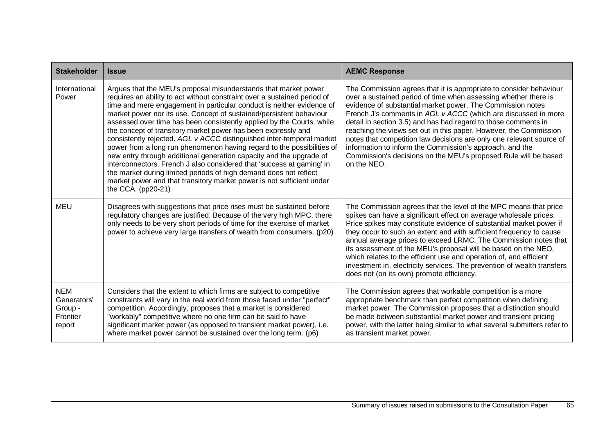| <b>Stakeholder</b>                                         | <b>Issue</b>                                                                                                                                                                                                                                                                                                                                                                                                                                                                                                                                                                                                                                                                                                                                                                                                                                                                                                   | <b>AEMC Response</b>                                                                                                                                                                                                                                                                                                                                                                                                                                                                                                                                                                                                               |
|------------------------------------------------------------|----------------------------------------------------------------------------------------------------------------------------------------------------------------------------------------------------------------------------------------------------------------------------------------------------------------------------------------------------------------------------------------------------------------------------------------------------------------------------------------------------------------------------------------------------------------------------------------------------------------------------------------------------------------------------------------------------------------------------------------------------------------------------------------------------------------------------------------------------------------------------------------------------------------|------------------------------------------------------------------------------------------------------------------------------------------------------------------------------------------------------------------------------------------------------------------------------------------------------------------------------------------------------------------------------------------------------------------------------------------------------------------------------------------------------------------------------------------------------------------------------------------------------------------------------------|
| International<br>Power                                     | Argues that the MEU's proposal misunderstands that market power<br>requires an ability to act without constraint over a sustained period of<br>time and mere engagement in particular conduct is neither evidence of<br>market power nor its use. Concept of sustained/persistent behaviour<br>assessed over time has been consistently applied by the Courts, while<br>the concept of transitory market power has been expressly and<br>consistently rejected. AGL v ACCC distinguished inter-temporal market<br>power from a long run phenomenon having regard to the possibilities of<br>new entry through additional generation capacity and the upgrade of<br>interconnectors. French J also considered that 'success at gaming' in<br>the market during limited periods of high demand does not reflect<br>market power and that transitory market power is not sufficient under<br>the CCA. $(pp20-21)$ | The Commission agrees that it is appropriate to consider behaviour<br>over a sustained period of time when assessing whether there is<br>evidence of substantial market power. The Commission notes<br>French J's comments in AGL v ACCC (which are discussed in more<br>detail in section 3.5) and has had regard to those comments in<br>reaching the views set out in this paper. However, the Commission<br>notes that competition law decisions are only one relevant source of<br>information to inform the Commission's approach, and the<br>Commission's decisions on the MEU's proposed Rule will be based<br>on the NEO. |
| <b>MEU</b>                                                 | Disagrees with suggestions that price rises must be sustained before<br>regulatory changes are justified. Because of the very high MPC, there<br>only needs to be very short periods of time for the exercise of market<br>power to achieve very large transfers of wealth from consumers. (p20)                                                                                                                                                                                                                                                                                                                                                                                                                                                                                                                                                                                                               | The Commission agrees that the level of the MPC means that price<br>spikes can have a significant effect on average wholesale prices.<br>Price spikes may constitute evidence of substantial market power if<br>they occur to such an extent and with sufficient frequency to cause<br>annual average prices to exceed LRMC. The Commission notes that<br>its assessment of the MEU's proposal will be based on the NEO,<br>which relates to the efficient use and operation of, and efficient<br>investment in, electricity services. The prevention of wealth transfers<br>does not (on its own) promote efficiency.             |
| <b>NEM</b><br>Generators'<br>Group -<br>Frontier<br>report | Considers that the extent to which firms are subject to competitive<br>constraints will vary in the real world from those faced under "perfect"<br>competition. Accordingly, proposes that a market is considered<br>"workably" competitive where no one firm can be said to have<br>significant market power (as opposed to transient market power), i.e.<br>where market power cannot be sustained over the long term. (p6)                                                                                                                                                                                                                                                                                                                                                                                                                                                                                  | The Commission agrees that workable competition is a more<br>appropriate benchmark than perfect competition when defining<br>market power. The Commission proposes that a distinction should<br>be made between substantial market power and transient pricing<br>power, with the latter being similar to what several submitters refer to<br>as transient market power.                                                                                                                                                                                                                                                           |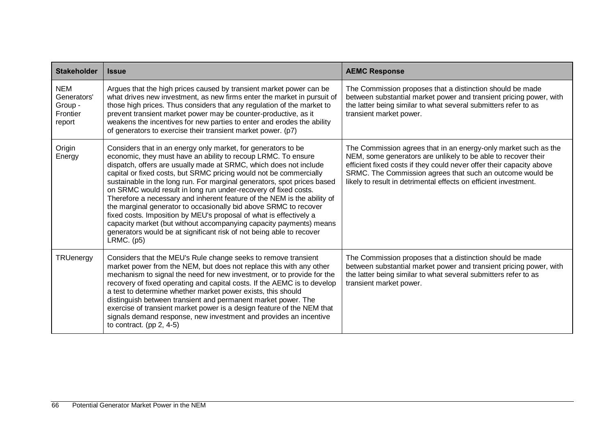| <b>Stakeholder</b>                                         | <b>Issue</b>                                                                                                                                                                                                                                                                                                                                                                                                                                                                                                                                                                                                                                                                                                                                                                                               | <b>AEMC Response</b>                                                                                                                                                                                                                                                                                                                      |
|------------------------------------------------------------|------------------------------------------------------------------------------------------------------------------------------------------------------------------------------------------------------------------------------------------------------------------------------------------------------------------------------------------------------------------------------------------------------------------------------------------------------------------------------------------------------------------------------------------------------------------------------------------------------------------------------------------------------------------------------------------------------------------------------------------------------------------------------------------------------------|-------------------------------------------------------------------------------------------------------------------------------------------------------------------------------------------------------------------------------------------------------------------------------------------------------------------------------------------|
| <b>NEM</b><br>Generators'<br>Group -<br>Frontier<br>report | Argues that the high prices caused by transient market power can be<br>what drives new investment, as new firms enter the market in pursuit of<br>those high prices. Thus considers that any regulation of the market to<br>prevent transient market power may be counter-productive, as it<br>weakens the incentives for new parties to enter and erodes the ability<br>of generators to exercise their transient market power. (p7)                                                                                                                                                                                                                                                                                                                                                                      | The Commission proposes that a distinction should be made<br>between substantial market power and transient pricing power, with<br>the latter being similar to what several submitters refer to as<br>transient market power.                                                                                                             |
| Origin<br>Energy                                           | Considers that in an energy only market, for generators to be<br>economic, they must have an ability to recoup LRMC. To ensure<br>dispatch, offers are usually made at SRMC, which does not include<br>capital or fixed costs, but SRMC pricing would not be commercially<br>sustainable in the long run. For marginal generators, spot prices based<br>on SRMC would result in long run under-recovery of fixed costs.<br>Therefore a necessary and inherent feature of the NEM is the ability of<br>the marginal generator to occasionally bid above SRMC to recover<br>fixed costs. Imposition by MEU's proposal of what is effectively a<br>capacity market (but without accompanying capacity payments) means<br>generators would be at significant risk of not being able to recover<br>$LRMC.$ (p5) | The Commission agrees that in an energy-only market such as the<br>NEM, some generators are unlikely to be able to recover their<br>efficient fixed costs if they could never offer their capacity above<br>SRMC. The Commission agrees that such an outcome would be<br>likely to result in detrimental effects on efficient investment. |
| <b>TRUenergy</b>                                           | Considers that the MEU's Rule change seeks to remove transient<br>market power from the NEM, but does not replace this with any other<br>mechanism to signal the need for new investment, or to provide for the<br>recovery of fixed operating and capital costs. If the AEMC is to develop<br>a test to determine whether market power exists, this should<br>distinguish between transient and permanent market power. The<br>exercise of transient market power is a design feature of the NEM that<br>signals demand response, new investment and provides an incentive<br>to contract. (pp $2, 4-5$ )                                                                                                                                                                                                 | The Commission proposes that a distinction should be made<br>between substantial market power and transient pricing power, with<br>the latter being similar to what several submitters refer to as<br>transient market power.                                                                                                             |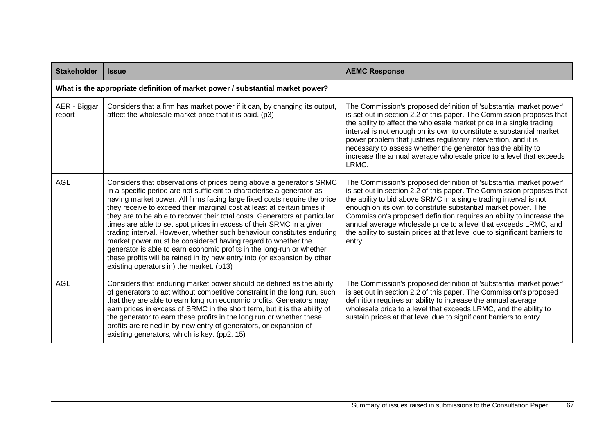| <b>Stakeholder</b>     | <b>Issue</b>                                                                                                                                                                                                                                                                                                                                                                                                                                                                                                                                                                                                                                                                                                                                                                                            | <b>AEMC Response</b>                                                                                                                                                                                                                                                                                                                                                                                                                                                                                                  |  |
|------------------------|---------------------------------------------------------------------------------------------------------------------------------------------------------------------------------------------------------------------------------------------------------------------------------------------------------------------------------------------------------------------------------------------------------------------------------------------------------------------------------------------------------------------------------------------------------------------------------------------------------------------------------------------------------------------------------------------------------------------------------------------------------------------------------------------------------|-----------------------------------------------------------------------------------------------------------------------------------------------------------------------------------------------------------------------------------------------------------------------------------------------------------------------------------------------------------------------------------------------------------------------------------------------------------------------------------------------------------------------|--|
|                        | What is the appropriate definition of market power / substantial market power?                                                                                                                                                                                                                                                                                                                                                                                                                                                                                                                                                                                                                                                                                                                          |                                                                                                                                                                                                                                                                                                                                                                                                                                                                                                                       |  |
| AER - Biggar<br>report | Considers that a firm has market power if it can, by changing its output,<br>affect the wholesale market price that it is paid. (p3)                                                                                                                                                                                                                                                                                                                                                                                                                                                                                                                                                                                                                                                                    | The Commission's proposed definition of 'substantial market power'<br>is set out in section 2.2 of this paper. The Commission proposes that<br>the ability to affect the wholesale market price in a single trading<br>interval is not enough on its own to constitute a substantial market<br>power problem that justifies regulatory intervention, and it is<br>necessary to assess whether the generator has the ability to<br>increase the annual average wholesale price to a level that exceeds<br>LRMC.        |  |
| <b>AGL</b>             | Considers that observations of prices being above a generator's SRMC<br>in a specific period are not sufficient to characterise a generator as<br>having market power. All firms facing large fixed costs require the price<br>they receive to exceed their marginal cost at least at certain times if<br>they are to be able to recover their total costs. Generators at particular<br>times are able to set spot prices in excess of their SRMC in a given<br>trading interval. However, whether such behaviour constitutes enduring<br>market power must be considered having regard to whether the<br>generator is able to earn economic profits in the long-run or whether<br>these profits will be reined in by new entry into (or expansion by other<br>existing operators in) the market. (p13) | The Commission's proposed definition of 'substantial market power'<br>is set out in section 2.2 of this paper. The Commission proposes that<br>the ability to bid above SRMC in a single trading interval is not<br>enough on its own to constitute substantial market power. The<br>Commission's proposed definition requires an ability to increase the<br>annual average wholesale price to a level that exceeds LRMC, and<br>the ability to sustain prices at that level due to significant barriers to<br>entry. |  |
| <b>AGL</b>             | Considers that enduring market power should be defined as the ability<br>of generators to act without competitive constraint in the long run, such<br>that they are able to earn long run economic profits. Generators may<br>earn prices in excess of SRMC in the short term, but it is the ability of<br>the generator to earn these profits in the long run or whether these<br>profits are reined in by new entry of generators, or expansion of<br>existing generators, which is key. (pp2, 15)                                                                                                                                                                                                                                                                                                    | The Commission's proposed definition of 'substantial market power'<br>is set out in section 2.2 of this paper. The Commission's proposed<br>definition requires an ability to increase the annual average<br>wholesale price to a level that exceeds LRMC, and the ability to<br>sustain prices at that level due to significant barriers to entry.                                                                                                                                                                   |  |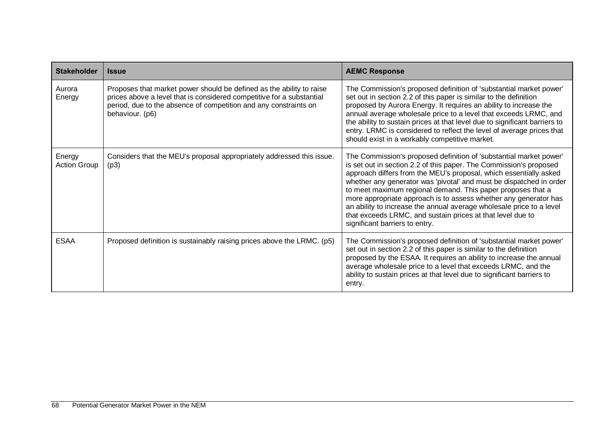| <b>Stakeholder</b>            | <b>Issue</b>                                                                                                                                                                                                                         | <b>AEMC Response</b>                                                                                                                                                                                                                                                                                                                                                                                                                                                                                                                                                                            |
|-------------------------------|--------------------------------------------------------------------------------------------------------------------------------------------------------------------------------------------------------------------------------------|-------------------------------------------------------------------------------------------------------------------------------------------------------------------------------------------------------------------------------------------------------------------------------------------------------------------------------------------------------------------------------------------------------------------------------------------------------------------------------------------------------------------------------------------------------------------------------------------------|
| Aurora<br>Energy              | Proposes that market power should be defined as the ability to raise<br>prices above a level that is considered competitive for a substantial<br>period, due to the absence of competition and any constraints on<br>behaviour. (p6) | The Commission's proposed definition of 'substantial market power'<br>set out in section 2.2 of this paper is similar to the definition<br>proposed by Aurora Energy. It requires an ability to increase the<br>annual average wholesale price to a level that exceeds LRMC, and<br>the ability to sustain prices at that level due to significant barriers to<br>entry. LRMC is considered to reflect the level of average prices that<br>should exist in a workably competitive market.                                                                                                       |
| Energy<br><b>Action Group</b> | Considers that the MEU's proposal appropriately addressed this issue.<br>(p3)                                                                                                                                                        | The Commission's proposed definition of 'substantial market power'<br>is set out in section 2.2 of this paper. The Commission's proposed<br>approach differs from the MEU's proposal, which essentially asked<br>whether any generator was 'pivotal' and must be dispatched in order<br>to meet maximum regional demand. This paper proposes that a<br>more appropriate approach is to assess whether any generator has<br>an ability to increase the annual average wholesale price to a level<br>that exceeds LRMC, and sustain prices at that level due to<br>significant barriers to entry. |
| <b>ESAA</b>                   | Proposed definition is sustainably raising prices above the LRMC. (p5)                                                                                                                                                               | The Commission's proposed definition of 'substantial market power'<br>set out in section 2.2 of this paper is similar to the definition<br>proposed by the ESAA. It requires an ability to increase the annual<br>average wholesale price to a level that exceeds LRMC, and the<br>ability to sustain prices at that level due to significant barriers to<br>entry.                                                                                                                                                                                                                             |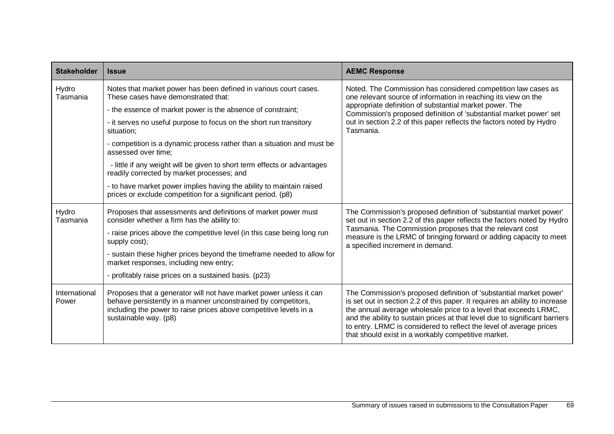| <b>Stakeholder</b>     | <b>Issue</b>                                                                                                                                                                                                                      | <b>AEMC Response</b>                                                                                                                                                                                                                                                                                                                                                                                                               |
|------------------------|-----------------------------------------------------------------------------------------------------------------------------------------------------------------------------------------------------------------------------------|------------------------------------------------------------------------------------------------------------------------------------------------------------------------------------------------------------------------------------------------------------------------------------------------------------------------------------------------------------------------------------------------------------------------------------|
| Hydro<br>Tasmania      | Notes that market power has been defined in various court cases.<br>These cases have demonstrated that:                                                                                                                           | Noted. The Commission has considered competition law cases as<br>one relevant source of information in reaching its view on the                                                                                                                                                                                                                                                                                                    |
|                        | - the essence of market power is the absence of constraint;                                                                                                                                                                       | appropriate definition of substantial market power. The<br>Commission's proposed definition of 'substantial market power' set                                                                                                                                                                                                                                                                                                      |
|                        | - it serves no useful purpose to focus on the short run transitory<br>situation;                                                                                                                                                  | out in section 2.2 of this paper reflects the factors noted by Hydro<br>Tasmania.                                                                                                                                                                                                                                                                                                                                                  |
|                        | - competition is a dynamic process rather than a situation and must be<br>assessed over time;                                                                                                                                     |                                                                                                                                                                                                                                                                                                                                                                                                                                    |
|                        | - little if any weight will be given to short term effects or advantages<br>readily corrected by market processes; and                                                                                                            |                                                                                                                                                                                                                                                                                                                                                                                                                                    |
|                        | - to have market power implies having the ability to maintain raised<br>prices or exclude competition for a significant period. (p8)                                                                                              |                                                                                                                                                                                                                                                                                                                                                                                                                                    |
| Hydro<br>Tasmania      | Proposes that assessments and definitions of market power must<br>consider whether a firm has the ability to:                                                                                                                     | The Commission's proposed definition of 'substantial market power'<br>set out in section 2.2 of this paper reflects the factors noted by Hydro                                                                                                                                                                                                                                                                                     |
|                        | - raise prices above the competitive level (in this case being long run<br>supply cost);                                                                                                                                          | Tasmania. The Commission proposes that the relevant cost<br>measure is the LRMC of bringing forward or adding capacity to meet<br>a specified increment in demand.                                                                                                                                                                                                                                                                 |
|                        | - sustain these higher prices beyond the timeframe needed to allow for<br>market responses, including new entry;                                                                                                                  |                                                                                                                                                                                                                                                                                                                                                                                                                                    |
|                        | - profitably raise prices on a sustained basis. (p23)                                                                                                                                                                             |                                                                                                                                                                                                                                                                                                                                                                                                                                    |
| International<br>Power | Proposes that a generator will not have market power unless it can<br>behave persistently in a manner unconstrained by competitors,<br>including the power to raise prices above competitive levels in a<br>sustainable way. (p8) | The Commission's proposed definition of 'substantial market power'<br>is set out in section 2.2 of this paper. It requires an ability to increase<br>the annual average wholesale price to a level that exceeds LRMC,<br>and the ability to sustain prices at that level due to significant barriers<br>to entry. LRMC is considered to reflect the level of average prices<br>that should exist in a workably competitive market. |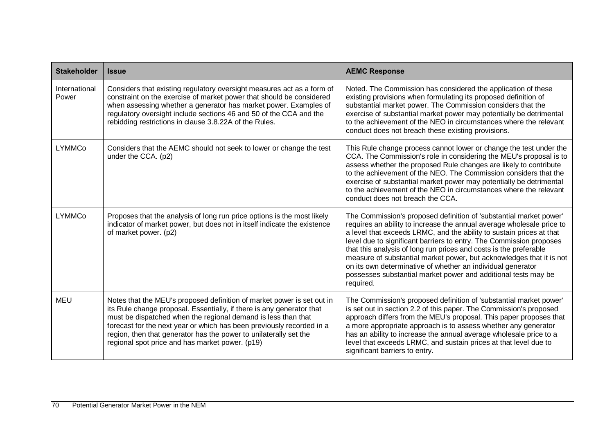| <b>Stakeholder</b>     | <b>Issue</b>                                                                                                                                                                                                                                                                                                                                                                                                      | <b>AEMC Response</b>                                                                                                                                                                                                                                                                                                                                                                                                                                                                                                                                                                  |
|------------------------|-------------------------------------------------------------------------------------------------------------------------------------------------------------------------------------------------------------------------------------------------------------------------------------------------------------------------------------------------------------------------------------------------------------------|---------------------------------------------------------------------------------------------------------------------------------------------------------------------------------------------------------------------------------------------------------------------------------------------------------------------------------------------------------------------------------------------------------------------------------------------------------------------------------------------------------------------------------------------------------------------------------------|
| International<br>Power | Considers that existing regulatory oversight measures act as a form of<br>constraint on the exercise of market power that should be considered<br>when assessing whether a generator has market power. Examples of<br>regulatory oversight include sections 46 and 50 of the CCA and the<br>rebidding restrictions in clause 3.8.22A of the Rules.                                                                | Noted. The Commission has considered the application of these<br>existing provisions when formulating its proposed definition of<br>substantial market power. The Commission considers that the<br>exercise of substantial market power may potentially be detrimental<br>to the achievement of the NEO in circumstances where the relevant<br>conduct does not breach these existing provisions.                                                                                                                                                                                     |
| <b>LYMMCo</b>          | Considers that the AEMC should not seek to lower or change the test<br>under the CCA. (p2)                                                                                                                                                                                                                                                                                                                        | This Rule change process cannot lower or change the test under the<br>CCA. The Commission's role in considering the MEU's proposal is to<br>assess whether the proposed Rule changes are likely to contribute<br>to the achievement of the NEO. The Commission considers that the<br>exercise of substantial market power may potentially be detrimental<br>to the achievement of the NEO in circumstances where the relevant<br>conduct does not breach the CCA.                                                                                                                     |
| <b>LYMMCo</b>          | Proposes that the analysis of long run price options is the most likely<br>indicator of market power, but does not in itself indicate the existence<br>of market power. (p2)                                                                                                                                                                                                                                      | The Commission's proposed definition of 'substantial market power'<br>requires an ability to increase the annual average wholesale price to<br>a level that exceeds LRMC, and the ability to sustain prices at that<br>level due to significant barriers to entry. The Commission proposes<br>that this analysis of long run prices and costs is the preferable<br>measure of substantial market power, but acknowledges that it is not<br>on its own determinative of whether an individual generator<br>possesses substantial market power and additional tests may be<br>required. |
| MEU                    | Notes that the MEU's proposed definition of market power is set out in<br>its Rule change proposal. Essentially, if there is any generator that<br>must be dispatched when the regional demand is less than that<br>forecast for the next year or which has been previously recorded in a<br>region, then that generator has the power to unilaterally set the<br>regional spot price and has market power. (p19) | The Commission's proposed definition of 'substantial market power'<br>is set out in section 2.2 of this paper. The Commission's proposed<br>approach differs from the MEU's proposal. This paper proposes that<br>a more appropriate approach is to assess whether any generator<br>has an ability to increase the annual average wholesale price to a<br>level that exceeds LRMC, and sustain prices at that level due to<br>significant barriers to entry.                                                                                                                          |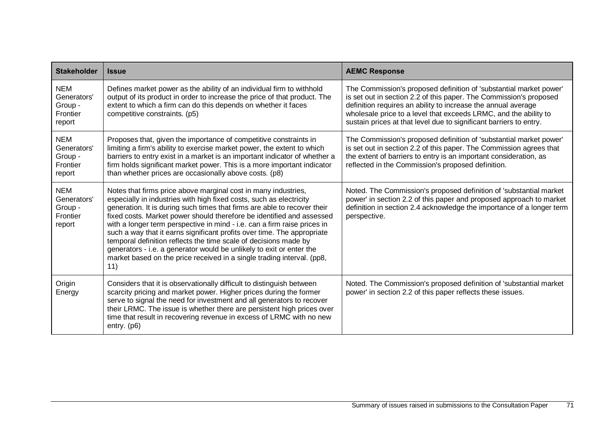| <b>Stakeholder</b>                                         | <b>Issue</b>                                                                                                                                                                                                                                                                                                                                                                                                                                                                                                                                                                                                                                                                   | <b>AEMC Response</b>                                                                                                                                                                                                                                                                                                                                |
|------------------------------------------------------------|--------------------------------------------------------------------------------------------------------------------------------------------------------------------------------------------------------------------------------------------------------------------------------------------------------------------------------------------------------------------------------------------------------------------------------------------------------------------------------------------------------------------------------------------------------------------------------------------------------------------------------------------------------------------------------|-----------------------------------------------------------------------------------------------------------------------------------------------------------------------------------------------------------------------------------------------------------------------------------------------------------------------------------------------------|
| <b>NEM</b><br>Generators'<br>Group -<br>Frontier<br>report | Defines market power as the ability of an individual firm to withhold<br>output of its product in order to increase the price of that product. The<br>extent to which a firm can do this depends on whether it faces<br>competitive constraints. (p5)                                                                                                                                                                                                                                                                                                                                                                                                                          | The Commission's proposed definition of 'substantial market power'<br>is set out in section 2.2 of this paper. The Commission's proposed<br>definition requires an ability to increase the annual average<br>wholesale price to a level that exceeds LRMC, and the ability to<br>sustain prices at that level due to significant barriers to entry. |
| <b>NEM</b><br>Generators'<br>Group -<br>Frontier<br>report | Proposes that, given the importance of competitive constraints in<br>limiting a firm's ability to exercise market power, the extent to which<br>barriers to entry exist in a market is an important indicator of whether a<br>firm holds significant market power. This is a more important indicator<br>than whether prices are occasionally above costs. (p8)                                                                                                                                                                                                                                                                                                                | The Commission's proposed definition of 'substantial market power'<br>is set out in section 2.2 of this paper. The Commission agrees that<br>the extent of barriers to entry is an important consideration, as<br>reflected in the Commission's proposed definition.                                                                                |
| <b>NEM</b><br>Generators'<br>Group -<br>Frontier<br>report | Notes that firms price above marginal cost in many industries,<br>especially in industries with high fixed costs, such as electricity<br>generation. It is during such times that firms are able to recover their<br>fixed costs. Market power should therefore be identified and assessed<br>with a longer term perspective in mind - i.e. can a firm raise prices in<br>such a way that it earns significant profits over time. The appropriate<br>temporal definition reflects the time scale of decisions made by<br>generators - i.e. a generator would be unlikely to exit or enter the<br>market based on the price received in a single trading interval. (pp8,<br>11) | Noted. The Commission's proposed definition of 'substantial market<br>power' in section 2.2 of this paper and proposed approach to market<br>definition in section 2.4 acknowledge the importance of a longer term<br>perspective.                                                                                                                  |
| Origin<br>Energy                                           | Considers that it is observationally difficult to distinguish between<br>scarcity pricing and market power. Higher prices during the former<br>serve to signal the need for investment and all generators to recover<br>their LRMC. The issue is whether there are persistent high prices over<br>time that result in recovering revenue in excess of LRMC with no new<br>entry. $(p6)$                                                                                                                                                                                                                                                                                        | Noted. The Commission's proposed definition of 'substantial market<br>power' in section 2.2 of this paper reflects these issues.                                                                                                                                                                                                                    |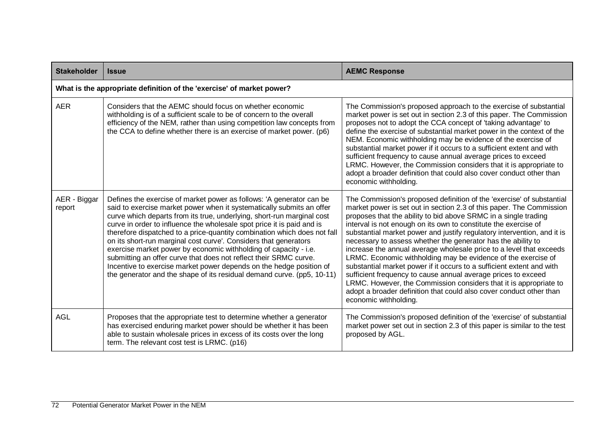| <b>Stakeholder</b>     | <b>Issue</b>                                                                                                                                                                                                                                                                                                                                                                                                                                                                                                                                                                                                                                                                                                                                | <b>AEMC Response</b>                                                                                                                                                                                                                                                                                                                                                                                                                                                                                                                                                                                                                                                                                                                                                                                                                                                                  |
|------------------------|---------------------------------------------------------------------------------------------------------------------------------------------------------------------------------------------------------------------------------------------------------------------------------------------------------------------------------------------------------------------------------------------------------------------------------------------------------------------------------------------------------------------------------------------------------------------------------------------------------------------------------------------------------------------------------------------------------------------------------------------|---------------------------------------------------------------------------------------------------------------------------------------------------------------------------------------------------------------------------------------------------------------------------------------------------------------------------------------------------------------------------------------------------------------------------------------------------------------------------------------------------------------------------------------------------------------------------------------------------------------------------------------------------------------------------------------------------------------------------------------------------------------------------------------------------------------------------------------------------------------------------------------|
|                        | What is the appropriate definition of the 'exercise' of market power?                                                                                                                                                                                                                                                                                                                                                                                                                                                                                                                                                                                                                                                                       |                                                                                                                                                                                                                                                                                                                                                                                                                                                                                                                                                                                                                                                                                                                                                                                                                                                                                       |
| <b>AER</b>             | Considers that the AEMC should focus on whether economic<br>withholding is of a sufficient scale to be of concern to the overall<br>efficiency of the NEM, rather than using competition law concepts from<br>the CCA to define whether there is an exercise of market power. (p6)                                                                                                                                                                                                                                                                                                                                                                                                                                                          | The Commission's proposed approach to the exercise of substantial<br>market power is set out in section 2.3 of this paper. The Commission<br>proposes not to adopt the CCA concept of 'taking advantage' to<br>define the exercise of substantial market power in the context of the<br>NEM. Economic withholding may be evidence of the exercise of<br>substantial market power if it occurs to a sufficient extent and with<br>sufficient frequency to cause annual average prices to exceed<br>LRMC. However, the Commission considers that it is appropriate to<br>adopt a broader definition that could also cover conduct other than<br>economic withholding.                                                                                                                                                                                                                   |
| AER - Biggar<br>report | Defines the exercise of market power as follows: 'A generator can be<br>said to exercise market power when it systematically submits an offer<br>curve which departs from its true, underlying, short-run marginal cost<br>curve in order to influence the wholesale spot price it is paid and is<br>therefore dispatched to a price-quantity combination which does not fall<br>on its short-run marginal cost curve'. Considers that generators<br>exercise market power by economic withholding of capacity - i.e.<br>submitting an offer curve that does not reflect their SRMC curve.<br>Incentive to exercise market power depends on the hedge position of<br>the generator and the shape of its residual demand curve. (pp5, 10-11) | The Commission's proposed definition of the 'exercise' of substantial<br>market power is set out in section 2.3 of this paper. The Commission<br>proposes that the ability to bid above SRMC in a single trading<br>interval is not enough on its own to constitute the exercise of<br>substantial market power and justify regulatory intervention, and it is<br>necessary to assess whether the generator has the ability to<br>increase the annual average wholesale price to a level that exceeds<br>LRMC. Economic withholding may be evidence of the exercise of<br>substantial market power if it occurs to a sufficient extent and with<br>sufficient frequency to cause annual average prices to exceed<br>LRMC. However, the Commission considers that it is appropriate to<br>adopt a broader definition that could also cover conduct other than<br>economic withholding. |
| AGL                    | Proposes that the appropriate test to determine whether a generator<br>has exercised enduring market power should be whether it has been<br>able to sustain wholesale prices in excess of its costs over the long<br>term. The relevant cost test is LRMC. (p16)                                                                                                                                                                                                                                                                                                                                                                                                                                                                            | The Commission's proposed definition of the 'exercise' of substantial<br>market power set out in section 2.3 of this paper is similar to the test<br>proposed by AGL.                                                                                                                                                                                                                                                                                                                                                                                                                                                                                                                                                                                                                                                                                                                 |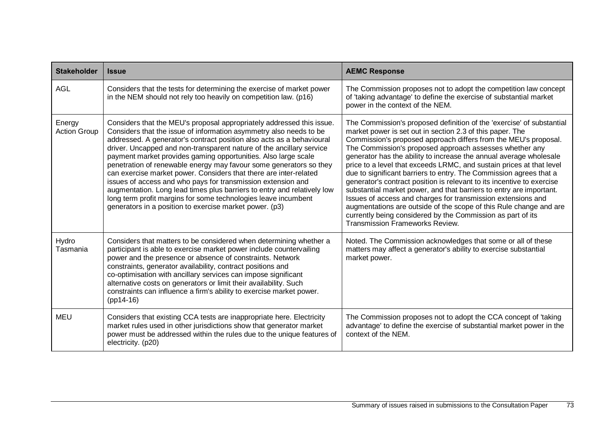| <b>Stakeholder</b>            | <b>Issue</b>                                                                                                                                                                                                                                                                                                                                                                                                                                                                                                                                                                                                                                                                                                                                                                      | <b>AEMC Response</b>                                                                                                                                                                                                                                                                                                                                                                                                                                                                                                                                                                                                                                                                                                                                                                                                                                                                 |
|-------------------------------|-----------------------------------------------------------------------------------------------------------------------------------------------------------------------------------------------------------------------------------------------------------------------------------------------------------------------------------------------------------------------------------------------------------------------------------------------------------------------------------------------------------------------------------------------------------------------------------------------------------------------------------------------------------------------------------------------------------------------------------------------------------------------------------|--------------------------------------------------------------------------------------------------------------------------------------------------------------------------------------------------------------------------------------------------------------------------------------------------------------------------------------------------------------------------------------------------------------------------------------------------------------------------------------------------------------------------------------------------------------------------------------------------------------------------------------------------------------------------------------------------------------------------------------------------------------------------------------------------------------------------------------------------------------------------------------|
| <b>AGL</b>                    | Considers that the tests for determining the exercise of market power<br>in the NEM should not rely too heavily on competition law. (p16)                                                                                                                                                                                                                                                                                                                                                                                                                                                                                                                                                                                                                                         | The Commission proposes not to adopt the competition law concept<br>of 'taking advantage' to define the exercise of substantial market<br>power in the context of the NEM.                                                                                                                                                                                                                                                                                                                                                                                                                                                                                                                                                                                                                                                                                                           |
| Energy<br><b>Action Group</b> | Considers that the MEU's proposal appropriately addressed this issue.<br>Considers that the issue of information asymmetry also needs to be<br>addressed. A generator's contract position also acts as a behavioural<br>driver. Uncapped and non-transparent nature of the ancillary service<br>payment market provides gaming opportunities. Also large scale<br>penetration of renewable energy may favour some generators so they<br>can exercise market power. Considers that there are inter-related<br>issues of access and who pays for transmission extension and<br>augmentation. Long lead times plus barriers to entry and relatively low<br>long term profit margins for some technologies leave incumbent<br>generators in a position to exercise market power. (p3) | The Commission's proposed definition of the 'exercise' of substantial<br>market power is set out in section 2.3 of this paper. The<br>Commission's proposed approach differs from the MEU's proposal.<br>The Commission's proposed approach assesses whether any<br>generator has the ability to increase the annual average wholesale<br>price to a level that exceeds LRMC, and sustain prices at that level<br>due to significant barriers to entry. The Commission agrees that a<br>generator's contract position is relevant to its incentive to exercise<br>substantial market power, and that barriers to entry are important.<br>Issues of access and charges for transmission extensions and<br>augmentations are outside of the scope of this Rule change and are<br>currently being considered by the Commission as part of its<br><b>Transmission Frameworks Review.</b> |
| Hydro<br>Tasmania             | Considers that matters to be considered when determining whether a<br>participant is able to exercise market power include countervailing<br>power and the presence or absence of constraints. Network<br>constraints, generator availability, contract positions and<br>co-optimisation with ancillary services can impose significant<br>alternative costs on generators or limit their availability. Such<br>constraints can influence a firm's ability to exercise market power.<br>$(pp14-16)$                                                                                                                                                                                                                                                                               | Noted. The Commission acknowledges that some or all of these<br>matters may affect a generator's ability to exercise substantial<br>market power.                                                                                                                                                                                                                                                                                                                                                                                                                                                                                                                                                                                                                                                                                                                                    |
| MEU                           | Considers that existing CCA tests are inappropriate here. Electricity<br>market rules used in other jurisdictions show that generator market<br>power must be addressed within the rules due to the unique features of<br>electricity. (p20)                                                                                                                                                                                                                                                                                                                                                                                                                                                                                                                                      | The Commission proposes not to adopt the CCA concept of 'taking<br>advantage' to define the exercise of substantial market power in the<br>context of the NEM.                                                                                                                                                                                                                                                                                                                                                                                                                                                                                                                                                                                                                                                                                                                       |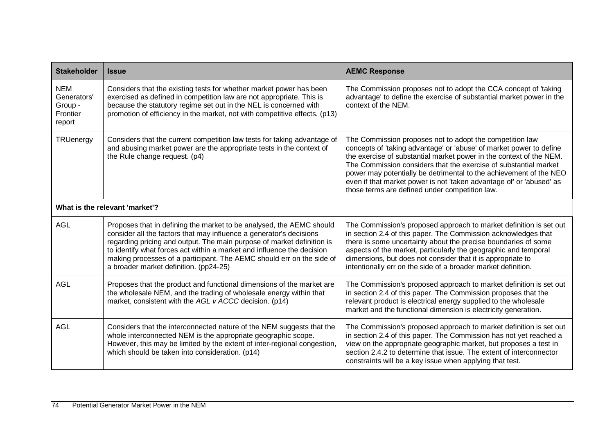| <b>Stakeholder</b>                                         | <b>Issue</b>                                                                                                                                                                                                                                                                                                                                                                                                       | <b>AEMC Response</b>                                                                                                                                                                                                                                                                                                                                                                                                                                                       |
|------------------------------------------------------------|--------------------------------------------------------------------------------------------------------------------------------------------------------------------------------------------------------------------------------------------------------------------------------------------------------------------------------------------------------------------------------------------------------------------|----------------------------------------------------------------------------------------------------------------------------------------------------------------------------------------------------------------------------------------------------------------------------------------------------------------------------------------------------------------------------------------------------------------------------------------------------------------------------|
| <b>NEM</b><br>Generators'<br>Group -<br>Frontier<br>report | Considers that the existing tests for whether market power has been<br>exercised as defined in competition law are not appropriate. This is<br>because the statutory regime set out in the NEL is concerned with<br>promotion of efficiency in the market, not with competitive effects. (p13)                                                                                                                     | The Commission proposes not to adopt the CCA concept of 'taking<br>advantage' to define the exercise of substantial market power in the<br>context of the NEM.                                                                                                                                                                                                                                                                                                             |
| TRUenergy                                                  | Considers that the current competition law tests for taking advantage of<br>and abusing market power are the appropriate tests in the context of<br>the Rule change request. (p4)                                                                                                                                                                                                                                  | The Commission proposes not to adopt the competition law<br>concepts of 'taking advantage' or 'abuse' of market power to define<br>the exercise of substantial market power in the context of the NEM.<br>The Commission considers that the exercise of substantial market<br>power may potentially be detrimental to the achievement of the NEO<br>even if that market power is not 'taken advantage of' or 'abused' as<br>those terms are defined under competition law. |
| What is the relevant 'market'?                             |                                                                                                                                                                                                                                                                                                                                                                                                                    |                                                                                                                                                                                                                                                                                                                                                                                                                                                                            |
| <b>AGL</b>                                                 | Proposes that in defining the market to be analysed, the AEMC should<br>consider all the factors that may influence a generator's decisions<br>regarding pricing and output. The main purpose of market definition is<br>to identify what forces act within a market and influence the decision<br>making processes of a participant. The AEMC should err on the side of<br>a broader market definition. (pp24-25) | The Commission's proposed approach to market definition is set out<br>in section 2.4 of this paper. The Commission acknowledges that<br>there is some uncertainty about the precise boundaries of some<br>aspects of the market, particularly the geographic and temporal<br>dimensions, but does not consider that it is appropriate to<br>intentionally err on the side of a broader market definition.                                                                  |
| <b>AGL</b>                                                 | Proposes that the product and functional dimensions of the market are<br>the wholesale NEM, and the trading of wholesale energy within that<br>market, consistent with the AGL v ACCC decision. (p14)                                                                                                                                                                                                              | The Commission's proposed approach to market definition is set out<br>in section 2.4 of this paper. The Commission proposes that the<br>relevant product is electrical energy supplied to the wholesale<br>market and the functional dimension is electricity generation.                                                                                                                                                                                                  |
| <b>AGL</b>                                                 | Considers that the interconnected nature of the NEM suggests that the<br>whole interconnected NEM is the appropriate geographic scope.<br>However, this may be limited by the extent of inter-regional congestion,<br>which should be taken into consideration. (p14)                                                                                                                                              | The Commission's proposed approach to market definition is set out<br>in section 2.4 of this paper. The Commission has not yet reached a<br>view on the appropriate geographic market, but proposes a test in<br>section 2.4.2 to determine that issue. The extent of interconnector<br>constraints will be a key issue when applying that test.                                                                                                                           |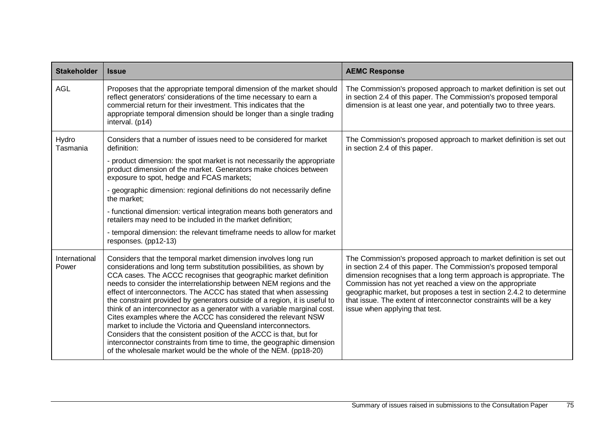| <b>Stakeholder</b>     | <b>Issue</b>                                                                                                                                                                                                                                                                                                                                                                                                                                                                                                                                                                                                                                                                                                                                                                                                                                                              | <b>AEMC Response</b>                                                                                                                                                                                                                                                                                                                                                                                                                                     |
|------------------------|---------------------------------------------------------------------------------------------------------------------------------------------------------------------------------------------------------------------------------------------------------------------------------------------------------------------------------------------------------------------------------------------------------------------------------------------------------------------------------------------------------------------------------------------------------------------------------------------------------------------------------------------------------------------------------------------------------------------------------------------------------------------------------------------------------------------------------------------------------------------------|----------------------------------------------------------------------------------------------------------------------------------------------------------------------------------------------------------------------------------------------------------------------------------------------------------------------------------------------------------------------------------------------------------------------------------------------------------|
| <b>AGL</b>             | Proposes that the appropriate temporal dimension of the market should<br>reflect generators' considerations of the time necessary to earn a<br>commercial return for their investment. This indicates that the<br>appropriate temporal dimension should be longer than a single trading<br>interval. (p14)                                                                                                                                                                                                                                                                                                                                                                                                                                                                                                                                                                | The Commission's proposed approach to market definition is set out<br>in section 2.4 of this paper. The Commission's proposed temporal<br>dimension is at least one year, and potentially two to three years.                                                                                                                                                                                                                                            |
| Hydro<br>Tasmania      | Considers that a number of issues need to be considered for market<br>definition:<br>- product dimension: the spot market is not necessarily the appropriate<br>product dimension of the market. Generators make choices between<br>exposure to spot, hedge and FCAS markets;<br>- geographic dimension: regional definitions do not necessarily define<br>the market;<br>- functional dimension: vertical integration means both generators and<br>retailers may need to be included in the market definition;                                                                                                                                                                                                                                                                                                                                                           | The Commission's proposed approach to market definition is set out<br>in section 2.4 of this paper.                                                                                                                                                                                                                                                                                                                                                      |
|                        | - temporal dimension: the relevant timeframe needs to allow for market<br>responses. (pp12-13)                                                                                                                                                                                                                                                                                                                                                                                                                                                                                                                                                                                                                                                                                                                                                                            |                                                                                                                                                                                                                                                                                                                                                                                                                                                          |
| International<br>Power | Considers that the temporal market dimension involves long run<br>considerations and long term substitution possibilities, as shown by<br>CCA cases. The ACCC recognises that geographic market definition<br>needs to consider the interrelationship between NEM regions and the<br>effect of interconnectors. The ACCC has stated that when assessing<br>the constraint provided by generators outside of a region, it is useful to<br>think of an interconnector as a generator with a variable marginal cost.<br>Cites examples where the ACCC has considered the relevant NSW<br>market to include the Victoria and Queensland interconnectors.<br>Considers that the consistent position of the ACCC is that, but for<br>interconnector constraints from time to time, the geographic dimension<br>of the wholesale market would be the whole of the NEM. (pp18-20) | The Commission's proposed approach to market definition is set out<br>in section 2.4 of this paper. The Commission's proposed temporal<br>dimension recognises that a long term approach is appropriate. The<br>Commission has not yet reached a view on the appropriate<br>geographic market, but proposes a test in section 2.4.2 to determine<br>that issue. The extent of interconnector constraints will be a key<br>issue when applying that test. |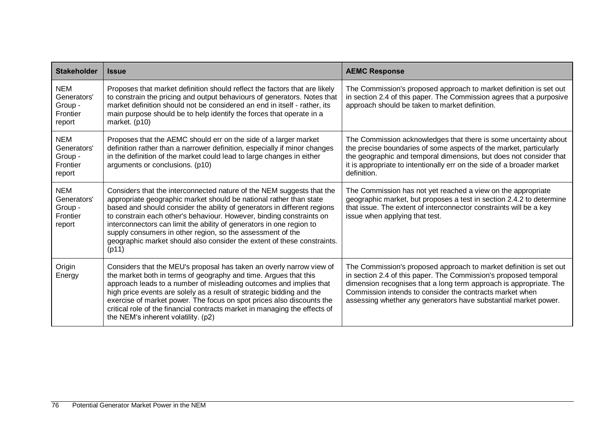| <b>Stakeholder</b>                                         | <b>Issue</b>                                                                                                                                                                                                                                                                                                                                                                                                                                                                                                              | <b>AEMC Response</b>                                                                                                                                                                                                                                                                                                                        |
|------------------------------------------------------------|---------------------------------------------------------------------------------------------------------------------------------------------------------------------------------------------------------------------------------------------------------------------------------------------------------------------------------------------------------------------------------------------------------------------------------------------------------------------------------------------------------------------------|---------------------------------------------------------------------------------------------------------------------------------------------------------------------------------------------------------------------------------------------------------------------------------------------------------------------------------------------|
| <b>NEM</b><br>Generators'<br>Group -<br>Frontier<br>report | Proposes that market definition should reflect the factors that are likely<br>to constrain the pricing and output behaviours of generators. Notes that<br>market definition should not be considered an end in itself - rather, its<br>main purpose should be to help identify the forces that operate in a<br>market. (p10)                                                                                                                                                                                              | The Commission's proposed approach to market definition is set out<br>in section 2.4 of this paper. The Commission agrees that a purposive<br>approach should be taken to market definition.                                                                                                                                                |
| <b>NEM</b><br>Generators'<br>Group -<br>Frontier<br>report | Proposes that the AEMC should err on the side of a larger market<br>definition rather than a narrower definition, especially if minor changes<br>in the definition of the market could lead to large changes in either<br>arguments or conclusions. (p10)                                                                                                                                                                                                                                                                 | The Commission acknowledges that there is some uncertainty about<br>the precise boundaries of some aspects of the market, particularly<br>the geographic and temporal dimensions, but does not consider that<br>it is appropriate to intentionally err on the side of a broader market<br>definition.                                       |
| <b>NEM</b><br>Generators'<br>Group -<br>Frontier<br>report | Considers that the interconnected nature of the NEM suggests that the<br>appropriate geographic market should be national rather than state<br>based and should consider the ability of generators in different regions<br>to constrain each other's behaviour. However, binding constraints on<br>interconnectors can limit the ability of generators in one region to<br>supply consumers in other region, so the assessment of the<br>geographic market should also consider the extent of these constraints.<br>(p11) | The Commission has not yet reached a view on the appropriate<br>geographic market, but proposes a test in section 2.4.2 to determine<br>that issue. The extent of interconnector constraints will be a key<br>issue when applying that test.                                                                                                |
| Origin<br>Energy                                           | Considers that the MEU's proposal has taken an overly narrow view of<br>the market both in terms of geography and time. Argues that this<br>approach leads to a number of misleading outcomes and implies that<br>high price events are solely as a result of strategic bidding and the<br>exercise of market power. The focus on spot prices also discounts the<br>critical role of the financial contracts market in managing the effects of<br>the NEM's inherent volatility. (p2)                                     | The Commission's proposed approach to market definition is set out<br>in section 2.4 of this paper. The Commission's proposed temporal<br>dimension recognises that a long term approach is appropriate. The<br>Commission intends to consider the contracts market when<br>assessing whether any generators have substantial market power. |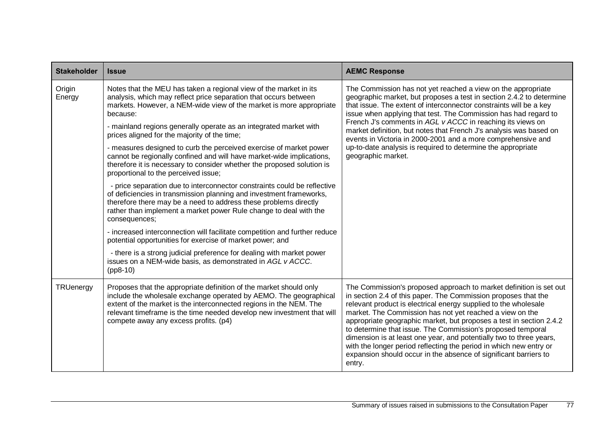| <b>Stakeholder</b> | <b>Issue</b>                                                                                                                                                                                                                                                                                                                                                                                                                                                                                                                                                                                                                                                                                                                                                                                                                                                                                                                                                                                                                                                                                                                                                                                                                | <b>AEMC Response</b>                                                                                                                                                                                                                                                                                                                                                                                                                                                                                                                                                                                                                 |
|--------------------|-----------------------------------------------------------------------------------------------------------------------------------------------------------------------------------------------------------------------------------------------------------------------------------------------------------------------------------------------------------------------------------------------------------------------------------------------------------------------------------------------------------------------------------------------------------------------------------------------------------------------------------------------------------------------------------------------------------------------------------------------------------------------------------------------------------------------------------------------------------------------------------------------------------------------------------------------------------------------------------------------------------------------------------------------------------------------------------------------------------------------------------------------------------------------------------------------------------------------------|--------------------------------------------------------------------------------------------------------------------------------------------------------------------------------------------------------------------------------------------------------------------------------------------------------------------------------------------------------------------------------------------------------------------------------------------------------------------------------------------------------------------------------------------------------------------------------------------------------------------------------------|
| Origin<br>Energy   | Notes that the MEU has taken a regional view of the market in its<br>analysis, which may reflect price separation that occurs between<br>markets. However, a NEM-wide view of the market is more appropriate<br>because:<br>- mainland regions generally operate as an integrated market with<br>prices aligned for the majority of the time;<br>- measures designed to curb the perceived exercise of market power<br>cannot be regionally confined and will have market-wide implications,<br>therefore it is necessary to consider whether the proposed solution is<br>proportional to the perceived issue;<br>- price separation due to interconnector constraints could be reflective<br>of deficiencies in transmission planning and investment frameworks,<br>therefore there may be a need to address these problems directly<br>rather than implement a market power Rule change to deal with the<br>consequences;<br>- increased interconnection will facilitate competition and further reduce<br>potential opportunities for exercise of market power; and<br>- there is a strong judicial preference for dealing with market power<br>issues on a NEM-wide basis, as demonstrated in AGL v ACCC.<br>$(pp8-10)$ | The Commission has not yet reached a view on the appropriate<br>geographic market, but proposes a test in section 2.4.2 to determine<br>that issue. The extent of interconnector constraints will be a key<br>issue when applying that test. The Commission has had regard to<br>French J's comments in AGL v ACCC in reaching its views on<br>market definition, but notes that French J's analysis was based on<br>events in Victoria in 2000-2001 and a more comprehensive and<br>up-to-date analysis is required to determine the appropriate<br>geographic market.                                                              |
| TRUenergy          | Proposes that the appropriate definition of the market should only<br>include the wholesale exchange operated by AEMO. The geographical<br>extent of the market is the interconnected regions in the NEM. The<br>relevant timeframe is the time needed develop new investment that will<br>compete away any excess profits. (p4)                                                                                                                                                                                                                                                                                                                                                                                                                                                                                                                                                                                                                                                                                                                                                                                                                                                                                            | The Commission's proposed approach to market definition is set out<br>in section 2.4 of this paper. The Commission proposes that the<br>relevant product is electrical energy supplied to the wholesale<br>market. The Commission has not yet reached a view on the<br>appropriate geographic market, but proposes a test in section 2.4.2<br>to determine that issue. The Commission's proposed temporal<br>dimension is at least one year, and potentially two to three years,<br>with the longer period reflecting the period in which new entry or<br>expansion should occur in the absence of significant barriers to<br>entry. |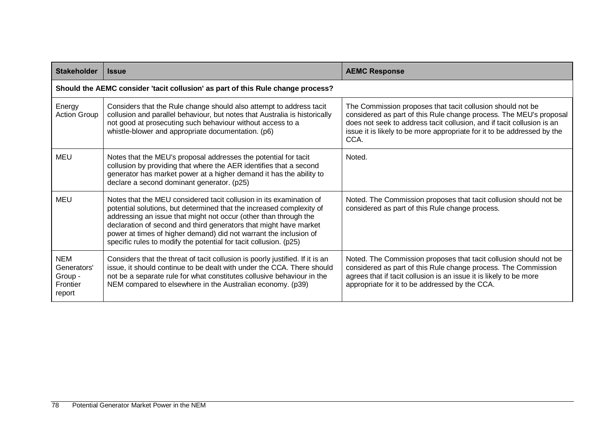| <b>Stakeholder</b>                                         | <b>Issue</b>                                                                                                                                                                                                                                                                                                                                                                                                                   | <b>AEMC Response</b>                                                                                                                                                                                                                                                                          |
|------------------------------------------------------------|--------------------------------------------------------------------------------------------------------------------------------------------------------------------------------------------------------------------------------------------------------------------------------------------------------------------------------------------------------------------------------------------------------------------------------|-----------------------------------------------------------------------------------------------------------------------------------------------------------------------------------------------------------------------------------------------------------------------------------------------|
|                                                            | Should the AEMC consider 'tacit collusion' as part of this Rule change process?                                                                                                                                                                                                                                                                                                                                                |                                                                                                                                                                                                                                                                                               |
| Energy<br><b>Action Group</b>                              | Considers that the Rule change should also attempt to address tacit<br>collusion and parallel behaviour, but notes that Australia is historically<br>not good at prosecuting such behaviour without access to a<br>whistle-blower and appropriate documentation. (p6)                                                                                                                                                          | The Commission proposes that tacit collusion should not be<br>considered as part of this Rule change process. The MEU's proposal<br>does not seek to address tacit collusion, and if tacit collusion is an<br>issue it is likely to be more appropriate for it to be addressed by the<br>CCA. |
| <b>MEU</b>                                                 | Notes that the MEU's proposal addresses the potential for tacit<br>collusion by providing that where the AER identifies that a second<br>generator has market power at a higher demand it has the ability to<br>declare a second dominant generator. (p25)                                                                                                                                                                     | Noted.                                                                                                                                                                                                                                                                                        |
| MEU                                                        | Notes that the MEU considered tacit collusion in its examination of<br>potential solutions, but determined that the increased complexity of<br>addressing an issue that might not occur (other than through the<br>declaration of second and third generators that might have market<br>power at times of higher demand) did not warrant the inclusion of<br>specific rules to modify the potential for tacit collusion. (p25) | Noted. The Commission proposes that tacit collusion should not be<br>considered as part of this Rule change process.                                                                                                                                                                          |
| <b>NEM</b><br>Generators'<br>Group -<br>Frontier<br>report | Considers that the threat of tacit collusion is poorly justified. If it is an<br>issue, it should continue to be dealt with under the CCA. There should<br>not be a separate rule for what constitutes collusive behaviour in the<br>NEM compared to elsewhere in the Australian economy. (p39)                                                                                                                                | Noted. The Commission proposes that tacit collusion should not be<br>considered as part of this Rule change process. The Commission<br>agrees that if tacit collusion is an issue it is likely to be more<br>appropriate for it to be addressed by the CCA.                                   |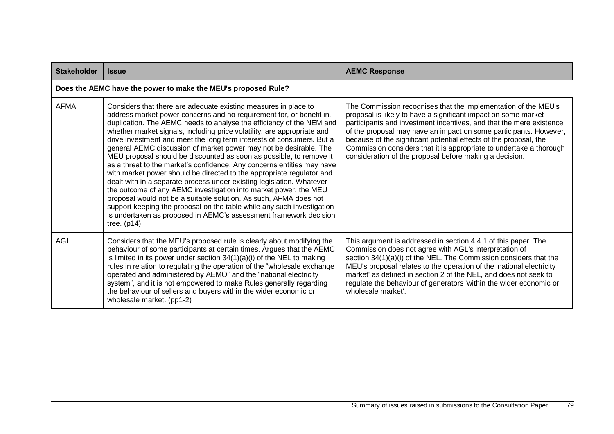| <b>Stakeholder</b> | <b>Issue</b>                                                                                                                                                                                                                                                                                                                                                                                                                                                                                                                                                                                                                                                                                                                                                                                                                                                                                                                                                                                                                                         | <b>AEMC Response</b>                                                                                                                                                                                                                                                                                                                                                                                                                                                                |  |
|--------------------|------------------------------------------------------------------------------------------------------------------------------------------------------------------------------------------------------------------------------------------------------------------------------------------------------------------------------------------------------------------------------------------------------------------------------------------------------------------------------------------------------------------------------------------------------------------------------------------------------------------------------------------------------------------------------------------------------------------------------------------------------------------------------------------------------------------------------------------------------------------------------------------------------------------------------------------------------------------------------------------------------------------------------------------------------|-------------------------------------------------------------------------------------------------------------------------------------------------------------------------------------------------------------------------------------------------------------------------------------------------------------------------------------------------------------------------------------------------------------------------------------------------------------------------------------|--|
|                    | Does the AEMC have the power to make the MEU's proposed Rule?                                                                                                                                                                                                                                                                                                                                                                                                                                                                                                                                                                                                                                                                                                                                                                                                                                                                                                                                                                                        |                                                                                                                                                                                                                                                                                                                                                                                                                                                                                     |  |
| <b>AFMA</b>        | Considers that there are adequate existing measures in place to<br>address market power concerns and no requirement for, or benefit in,<br>duplication. The AEMC needs to analyse the efficiency of the NEM and<br>whether market signals, including price volatility, are appropriate and<br>drive investment and meet the long term interests of consumers. But a<br>general AEMC discussion of market power may not be desirable. The<br>MEU proposal should be discounted as soon as possible, to remove it<br>as a threat to the market's confidence. Any concerns entities may have<br>with market power should be directed to the appropriate regulator and<br>dealt with in a separate process under existing legislation. Whatever<br>the outcome of any AEMC investigation into market power, the MEU<br>proposal would not be a suitable solution. As such, AFMA does not<br>support keeping the proposal on the table while any such investigation<br>is undertaken as proposed in AEMC's assessment framework decision<br>tree. $(p14)$ | The Commission recognises that the implementation of the MEU's<br>proposal is likely to have a significant impact on some market<br>participants and investment incentives, and that the mere existence<br>of the proposal may have an impact on some participants. However,<br>because of the significant potential effects of the proposal, the<br>Commission considers that it is appropriate to undertake a thorough<br>consideration of the proposal before making a decision. |  |
| <b>AGL</b>         | Considers that the MEU's proposed rule is clearly about modifying the<br>behaviour of some participants at certain times. Argues that the AEMC<br>is limited in its power under section $34(1)(a)(i)$ of the NEL to making<br>rules in relation to regulating the operation of the "wholesale exchange<br>operated and administered by AEMO" and the "national electricity<br>system", and it is not empowered to make Rules generally regarding<br>the behaviour of sellers and buyers within the wider economic or<br>wholesale market. (pp1-2)                                                                                                                                                                                                                                                                                                                                                                                                                                                                                                    | This argument is addressed in section 4.4.1 of this paper. The<br>Commission does not agree with AGL's interpretation of<br>section 34(1)(a)(i) of the NEL. The Commission considers that the<br>MEU's proposal relates to the operation of the 'national electricity<br>market' as defined in section 2 of the NEL, and does not seek to<br>regulate the behaviour of generators 'within the wider economic or<br>wholesale market'.                                               |  |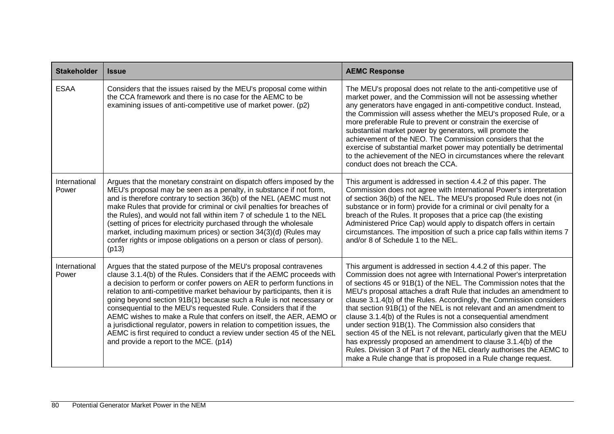| <b>Stakeholder</b>     | <b>Issue</b>                                                                                                                                                                                                                                                                                                                                                                                                                                                                                                                                                                                                                                                                                                        | <b>AEMC Response</b>                                                                                                                                                                                                                                                                                                                                                                                                                                                                                                                                                                                                                                                                                                                                                                                                                             |
|------------------------|---------------------------------------------------------------------------------------------------------------------------------------------------------------------------------------------------------------------------------------------------------------------------------------------------------------------------------------------------------------------------------------------------------------------------------------------------------------------------------------------------------------------------------------------------------------------------------------------------------------------------------------------------------------------------------------------------------------------|--------------------------------------------------------------------------------------------------------------------------------------------------------------------------------------------------------------------------------------------------------------------------------------------------------------------------------------------------------------------------------------------------------------------------------------------------------------------------------------------------------------------------------------------------------------------------------------------------------------------------------------------------------------------------------------------------------------------------------------------------------------------------------------------------------------------------------------------------|
| <b>ESAA</b>            | Considers that the issues raised by the MEU's proposal come within<br>the CCA framework and there is no case for the AEMC to be<br>examining issues of anti-competitive use of market power. (p2)                                                                                                                                                                                                                                                                                                                                                                                                                                                                                                                   | The MEU's proposal does not relate to the anti-competitive use of<br>market power, and the Commission will not be assessing whether<br>any generators have engaged in anti-competitive conduct. Instead,<br>the Commission will assess whether the MEU's proposed Rule, or a<br>more preferable Rule to prevent or constrain the exercise of<br>substantial market power by generators, will promote the<br>achievement of the NEO. The Commission considers that the<br>exercise of substantial market power may potentially be detrimental<br>to the achievement of the NEO in circumstances where the relevant<br>conduct does not breach the CCA.                                                                                                                                                                                            |
| International<br>Power | Argues that the monetary constraint on dispatch offers imposed by the<br>MEU's proposal may be seen as a penalty, in substance if not form,<br>and is therefore contrary to section 36(b) of the NEL (AEMC must not<br>make Rules that provide for criminal or civil penalties for breaches of<br>the Rules), and would not fall within item 7 of schedule 1 to the NEL<br>(setting of prices for electricity purchased through the wholesale<br>market, including maximum prices) or section 34(3)(d) (Rules may<br>confer rights or impose obligations on a person or class of person).<br>(p13)                                                                                                                  | This argument is addressed in section 4.4.2 of this paper. The<br>Commission does not agree with International Power's interpretation<br>of section 36(b) of the NEL. The MEU's proposed Rule does not (in<br>substance or in form) provide for a criminal or civil penalty for a<br>breach of the Rules. It proposes that a price cap (the existing<br>Administered Price Cap) would apply to dispatch offers in certain<br>circumstances. The imposition of such a price cap falls within items 7<br>and/or 8 of Schedule 1 to the NEL.                                                                                                                                                                                                                                                                                                        |
| International<br>Power | Argues that the stated purpose of the MEU's proposal contravenes<br>clause 3.1.4(b) of the Rules. Considers that if the AEMC proceeds with<br>a decision to perform or confer powers on AER to perform functions in<br>relation to anti-competitive market behaviour by participants, then it is<br>going beyond section 91B(1) because such a Rule is not necessary or<br>consequential to the MEU's requested Rule. Considers that if the<br>AEMC wishes to make a Rule that confers on itself, the AER, AEMO or<br>a jurisdictional regulator, powers in relation to competition issues, the<br>AEMC is first required to conduct a review under section 45 of the NEL<br>and provide a report to the MCE. (p14) | This argument is addressed in section 4.4.2 of this paper. The<br>Commission does not agree with International Power's interpretation<br>of sections 45 or 91B(1) of the NEL. The Commission notes that the<br>MEU's proposal attaches a draft Rule that includes an amendment to<br>clause 3.1.4(b) of the Rules. Accordingly, the Commission considers<br>that section 91B(1) of the NEL is not relevant and an amendment to<br>clause 3.1.4(b) of the Rules is not a consequential amendment<br>under section 91B(1). The Commission also considers that<br>section 45 of the NEL is not relevant, particularly given that the MEU<br>has expressly proposed an amendment to clause 3.1.4(b) of the<br>Rules. Division 3 of Part 7 of the NEL clearly authorises the AEMC to<br>make a Rule change that is proposed in a Rule change request. |